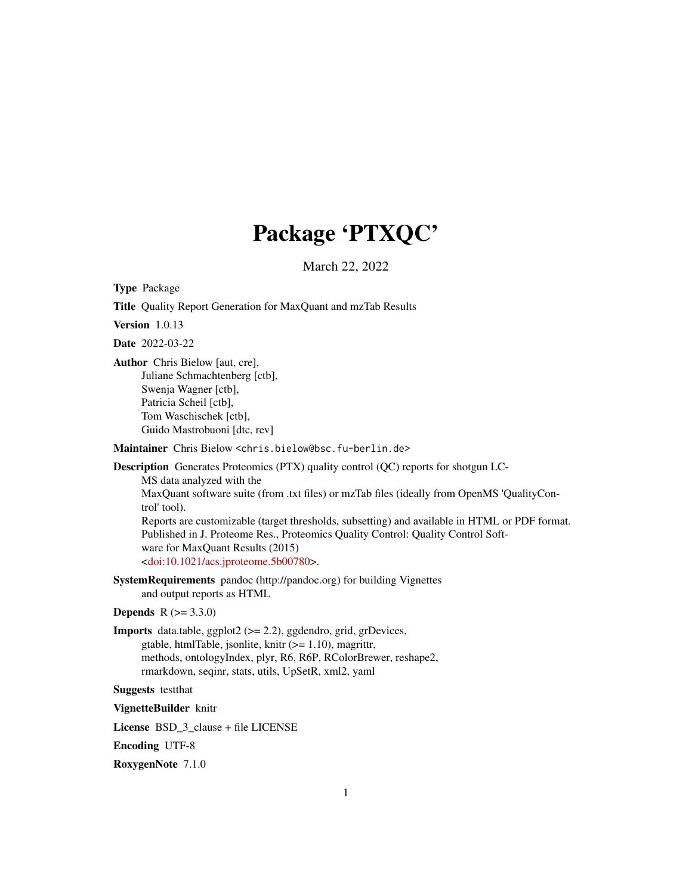# Package 'PTXQC'

March 22, 2022

<span id="page-0-0"></span>Type Package

Title Quality Report Generation for MaxQuant and mzTab Results

Version 1.0.13

Date 2022-03-22

Author Chris Bielow [aut, cre], Juliane Schmachtenberg [ctb], Swenja Wagner [ctb], Patricia Scheil [ctb], Tom Waschischek [ctb], Guido Mastrobuoni [dtc, rev]

Maintainer Chris Bielow <chris.bielow@bsc.fu-berlin.de>

Description Generates Proteomics (PTX) quality control (QC) reports for shotgun LC-MS data analyzed with the MaxQuant software suite (from .txt files) or mzTab files (ideally from OpenMS 'QualityControl' tool). Reports are customizable (target thresholds, subsetting) and available in HTML or PDF format. Published in J. Proteome Res., Proteomics Quality Control: Quality Control Software for MaxQuant Results (2015) [<doi:10.1021/acs.jproteome.5b00780>](https://doi.org/10.1021/acs.jproteome.5b00780).

SystemRequirements pandoc (http://pandoc.org) for building Vignettes and output reports as HTML

**Depends**  $R (= 3.3.0)$ 

Imports data.table, ggplot2 (>= 2.2), ggdendro, grid, grDevices, gtable, htmlTable, jsonlite, knitr (>= 1.10), magrittr, methods, ontologyIndex, plyr, R6, R6P, RColorBrewer, reshape2, rmarkdown, seqinr, stats, utils, UpSetR, xml2, yaml

Suggests testthat

VignetteBuilder knitr

License BSD\_3\_clause + file LICENSE

Encoding UTF-8

RoxygenNote 7.1.0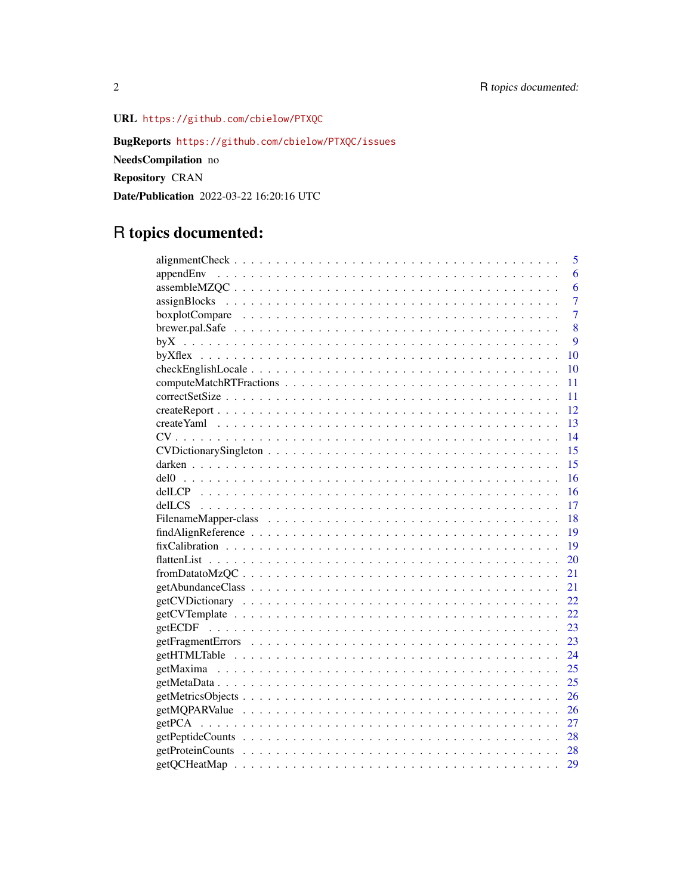URL <https://github.com/cbielow/PTXQC>

BugReports <https://github.com/cbielow/PTXQC/issues>

NeedsCompilation no

Repository CRAN

Date/Publication 2022-03-22 16:20:16 UTC

# R topics documented:

| 5              |
|----------------|
| 6              |
| 6              |
| 7              |
| $\overline{7}$ |
| 8              |
| 9              |
| 10             |
| 10             |
| 11             |
| 11             |
| 12             |
| 13             |
| 14             |
| 15             |
| 15             |
| 16             |
| 16             |
| 17             |
| -18            |
| - 19           |
| - 19           |
| 20             |
| 21             |
| 21             |
|                |
|                |
|                |
|                |
|                |
|                |
| 25             |
| 26             |
| 26             |
| 27             |
|                |
|                |
|                |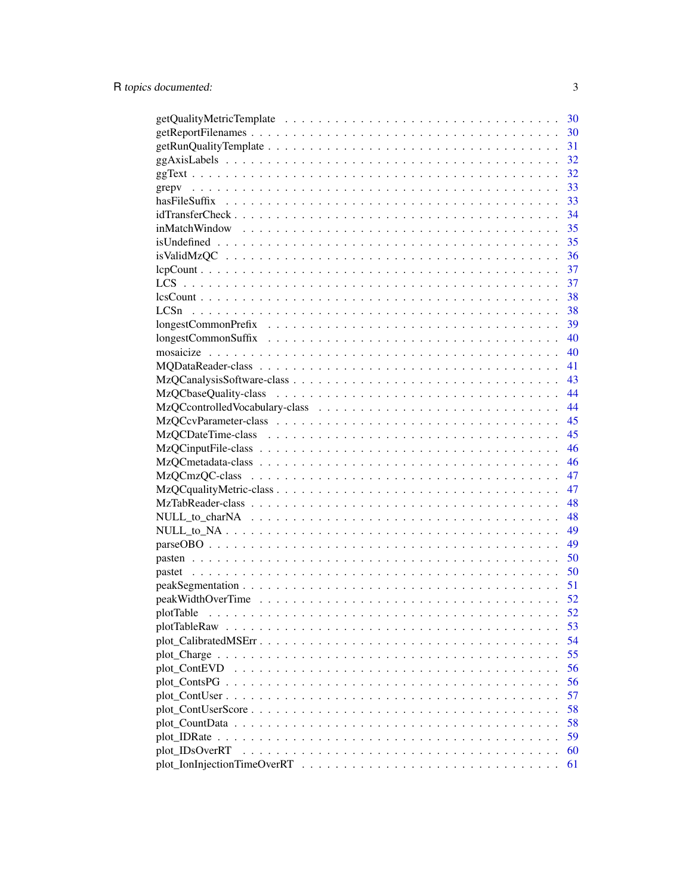|                                                                                                                 | 30 |
|-----------------------------------------------------------------------------------------------------------------|----|
|                                                                                                                 | 30 |
|                                                                                                                 | 31 |
|                                                                                                                 | 32 |
|                                                                                                                 | 32 |
|                                                                                                                 | 33 |
|                                                                                                                 | 33 |
|                                                                                                                 | 34 |
|                                                                                                                 | 35 |
|                                                                                                                 | 35 |
|                                                                                                                 | 36 |
|                                                                                                                 | 37 |
|                                                                                                                 | 37 |
|                                                                                                                 | 38 |
|                                                                                                                 | 38 |
| $longestCommonPrefix \dots \dots \dots \dots \dots \dots \dots \dots \dots \dots \dots \dots \dots \dots$       | 39 |
| $longestCommonSuffix \dots \dots \dots \dots \dots \dots \dots \dots \dots \dots \dots \dots \dots \dots \dots$ | 40 |
|                                                                                                                 | 40 |
|                                                                                                                 | 41 |
|                                                                                                                 | 43 |
|                                                                                                                 |    |
|                                                                                                                 | 44 |
|                                                                                                                 | 44 |
|                                                                                                                 | 45 |
|                                                                                                                 | 45 |
|                                                                                                                 | 46 |
|                                                                                                                 | 46 |
|                                                                                                                 | 47 |
|                                                                                                                 | 47 |
|                                                                                                                 | 48 |
|                                                                                                                 | 48 |
|                                                                                                                 | 49 |
|                                                                                                                 | 49 |
|                                                                                                                 | 50 |
|                                                                                                                 | 50 |
|                                                                                                                 | 51 |
|                                                                                                                 | 52 |
|                                                                                                                 | 52 |
|                                                                                                                 | 53 |
|                                                                                                                 | 54 |
|                                                                                                                 | 55 |
| plot_ContEVD                                                                                                    | 56 |
|                                                                                                                 | 56 |
|                                                                                                                 | 57 |
|                                                                                                                 | 58 |
|                                                                                                                 | 58 |
|                                                                                                                 | 59 |
| plot_IDsOverRT                                                                                                  | 60 |
|                                                                                                                 | 61 |
|                                                                                                                 |    |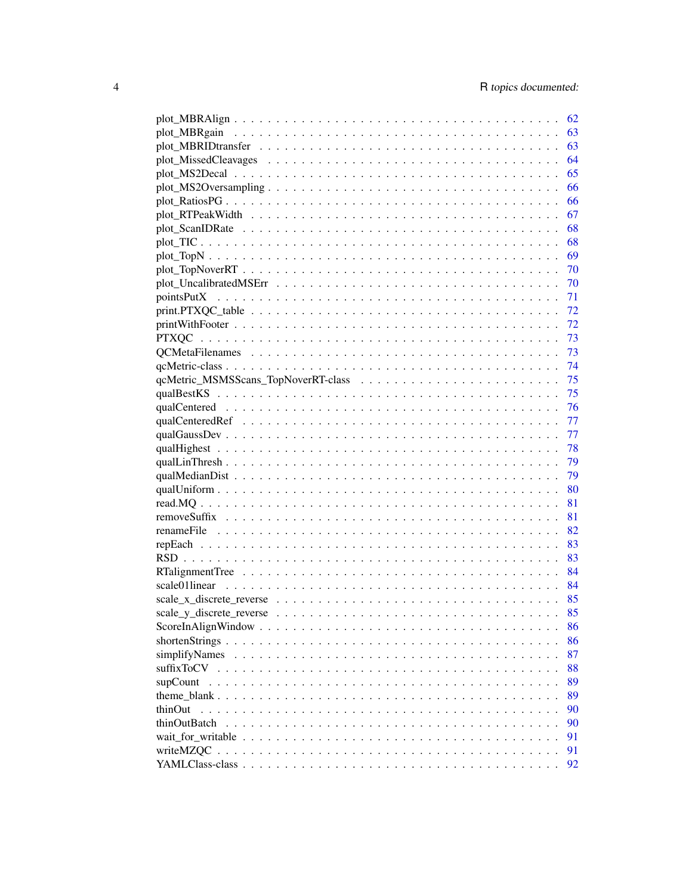|               | 62   |
|---------------|------|
|               | 63   |
|               | 63   |
|               | 64   |
|               | 65   |
|               | 66   |
|               | 66   |
|               | 67   |
|               | 68   |
|               | 68   |
|               | 69   |
|               | - 70 |
|               |      |
|               |      |
|               |      |
|               |      |
|               |      |
|               | 73   |
|               |      |
|               | 74   |
|               | 75   |
|               | 75   |
|               | 76   |
|               | 77   |
|               | 77   |
|               | 78   |
|               |      |
|               | 79   |
|               | 80   |
|               | 81   |
|               | 81   |
|               |      |
|               | 83   |
|               | 83   |
|               |      |
|               |      |
|               |      |
|               |      |
|               | 86   |
|               | 86   |
| simplifyNames | 87   |
|               | 88   |
|               | 89   |
|               | 89   |
| thinOut       | 90   |
| thinOutBatch  | 90   |
|               | 91   |
|               | 91   |
|               | 92   |
|               |      |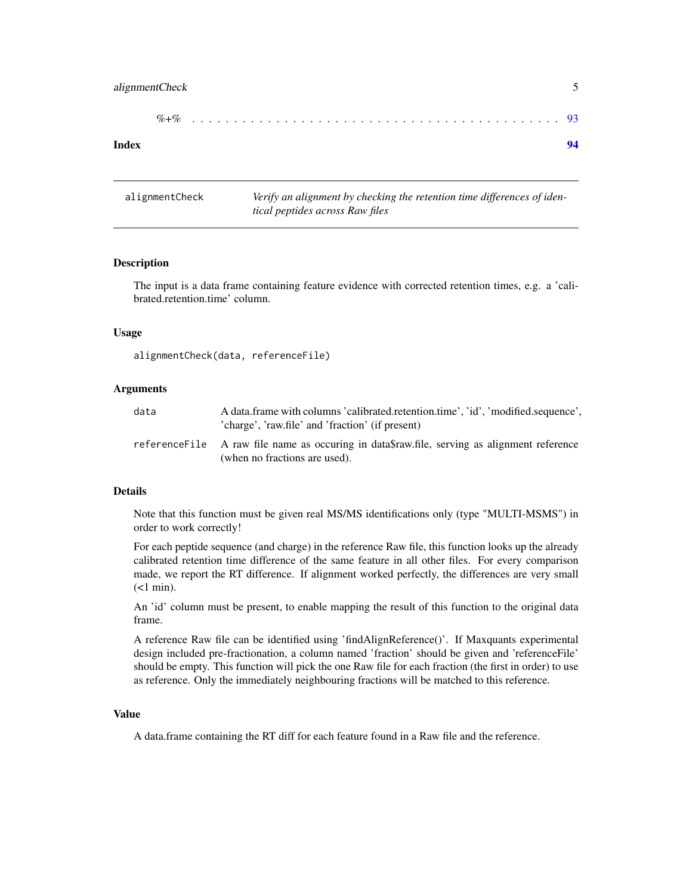# <span id="page-4-0"></span>alignmentCheck 5

| $%+$ |  |  |  |  |  |  |  |  |  |  |  |  |  |  |  |  |  |  |  |  |  |  |  |  |  |  |  |  |  |  |  |  |  |  |  |  |  |  |  |  |  |  |  |  |  |  |  |  |  |
|------|--|--|--|--|--|--|--|--|--|--|--|--|--|--|--|--|--|--|--|--|--|--|--|--|--|--|--|--|--|--|--|--|--|--|--|--|--|--|--|--|--|--|--|--|--|--|--|--|--|
|------|--|--|--|--|--|--|--|--|--|--|--|--|--|--|--|--|--|--|--|--|--|--|--|--|--|--|--|--|--|--|--|--|--|--|--|--|--|--|--|--|--|--|--|--|--|--|--|--|--|

#### **Index** [94](#page-93-0)

alignmentCheck *Verify an alignment by checking the retention time differences of identical peptides across Raw files*

#### Description

The input is a data frame containing feature evidence with corrected retention times, e.g. a 'calibrated.retention.time' column.

#### Usage

```
alignmentCheck(data, referenceFile)
```
#### Arguments

| data | A data frame with columns 'calibrated.retention.time', 'id', 'modified.sequence',<br>'charge', 'raw.file' and 'fraction' (if present) |
|------|---------------------------------------------------------------------------------------------------------------------------------------|
|      | reference File A raw file name as occuring in data fraw file, serving as alignment reference<br>(when no fractions are used).         |

#### Details

Note that this function must be given real MS/MS identifications only (type "MULTI-MSMS") in order to work correctly!

For each peptide sequence (and charge) in the reference Raw file, this function looks up the already calibrated retention time difference of the same feature in all other files. For every comparison made, we report the RT difference. If alignment worked perfectly, the differences are very small  $(<1$  min).

An 'id' column must be present, to enable mapping the result of this function to the original data frame.

A reference Raw file can be identified using 'findAlignReference()'. If Maxquants experimental design included pre-fractionation, a column named 'fraction' should be given and 'referenceFile' should be empty. This function will pick the one Raw file for each fraction (the first in order) to use as reference. Only the immediately neighbouring fractions will be matched to this reference.

# Value

A data.frame containing the RT diff for each feature found in a Raw file and the reference.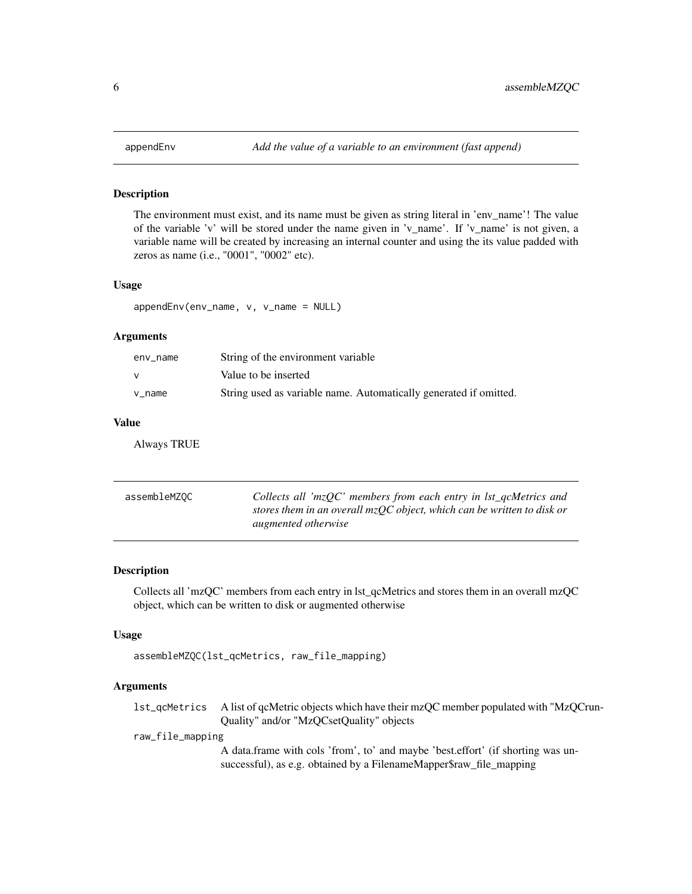<span id="page-5-0"></span>

The environment must exist, and its name must be given as string literal in 'env\_name'! The value of the variable 'v' will be stored under the name given in 'v\_name'. If 'v\_name' is not given, a variable name will be created by increasing an internal counter and using the its value padded with zeros as name (i.e., "0001", "0002" etc).

# Usage

appendEnv(env\_name, v, v\_name = NULL)

#### Arguments

| env name | String of the environment variable                                |
|----------|-------------------------------------------------------------------|
|          | Value to be inserted                                              |
| v name   | String used as variable name. Automatically generated if omitted. |

#### Value

Always TRUE

| assembleMZOC | Collects all ' $mzQC$ ' members from each entry in lst_qcMetrics and     |
|--------------|--------------------------------------------------------------------------|
|              | stores them in an overall $mzQC$ object, which can be written to disk or |
|              | augmented otherwise                                                      |

# Description

Collects all 'mzQC' members from each entry in lst\_qcMetrics and stores them in an overall mzQC object, which can be written to disk or augmented otherwise

#### Usage

```
assembleMZQC(lst_qcMetrics, raw_file_mapping)
```
# Arguments

| 1st_qcMetrics A list of qcMetric objects which have their mzQC member populated with "MzQCrun- |
|------------------------------------------------------------------------------------------------|
| Quality" and/or "MzQCsetQuality" objects                                                       |

raw\_file\_mapping

A data.frame with cols 'from', to' and maybe 'best.effort' (if shorting was unsuccessful), as e.g. obtained by a FilenameMapper\$raw\_file\_mapping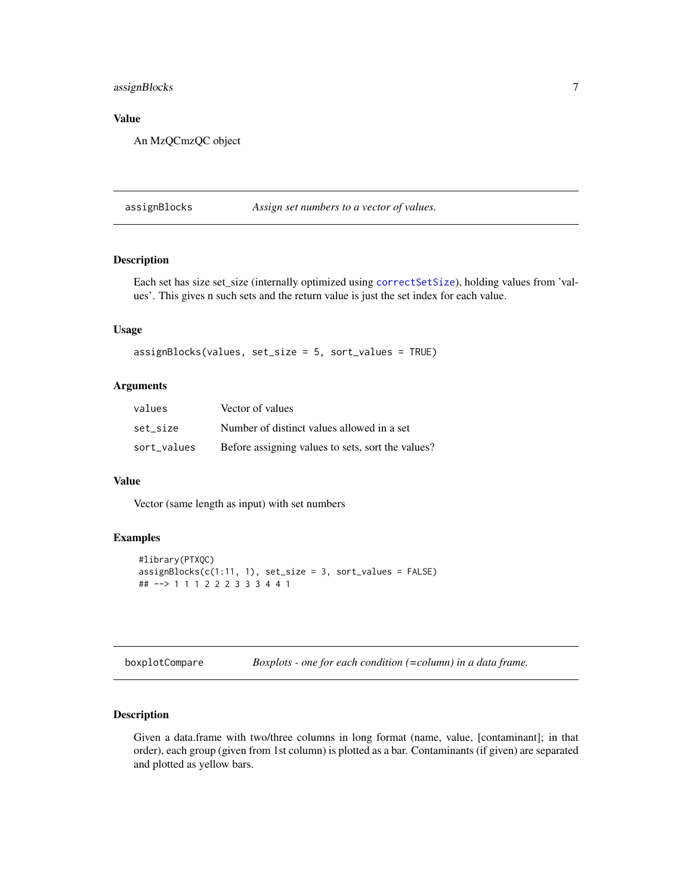# <span id="page-6-0"></span>assignBlocks 7

# Value

An MzQCmzQC object

assignBlocks *Assign set numbers to a vector of values.*

# Description

Each set has size set\_size (internally optimized using [correctSetSize](#page-10-1)), holding values from 'values'. This gives n such sets and the return value is just the set index for each value.

# Usage

```
assignBlocks(values, set_size = 5, sort_values = TRUE)
```
# Arguments

| values      | Vector of values                                  |
|-------------|---------------------------------------------------|
| set size    | Number of distinct values allowed in a set        |
| sort_values | Before assigning values to sets, sort the values? |

# Value

Vector (same length as input) with set numbers

# Examples

```
#library(PTXQC)
assignBlocks(c(1:11, 1), set_size = 3, sort_values = FALSE)
## --> 1 1 1 2 2 2 3 3 3 4 4 1
```

| boxplotCompare |  | Boxplots - one for each condition $(=column)$ in a data frame. |
|----------------|--|----------------------------------------------------------------|
|----------------|--|----------------------------------------------------------------|

# Description

Given a data.frame with two/three columns in long format (name, value, [contaminant]; in that order), each group (given from 1st column) is plotted as a bar. Contaminants (if given) are separated and plotted as yellow bars.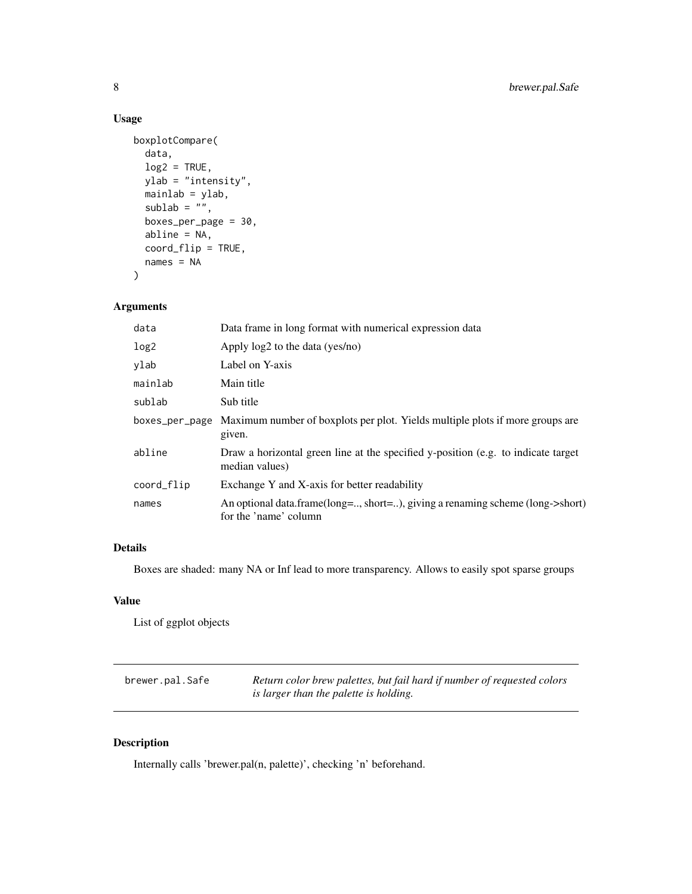# Usage

```
boxplotCompare(
  data,
  log2 = TRUE,ylab = "intensity",
  mainlab = ylab,
  sublab = \overline{''''},
  boxes_per_page = 30,
  abline = NA,
  coord_flip = TRUE,
  names = NA
)
```
# Arguments

| Data frame in long format with numerical expression data                                               |
|--------------------------------------------------------------------------------------------------------|
| Apply log2 to the data (yes/no)                                                                        |
| Label on Y-axis                                                                                        |
| Main title                                                                                             |
| Sub title                                                                                              |
| boxes_per_page Maximum number of boxplots per plot. Yields multiple plots if more groups are<br>given. |
| Draw a horizontal green line at the specified y-position (e.g. to indicate target<br>median values)    |
| Exchange Y and X-axis for better readability                                                           |
| An optional data.frame(long=, short=), giving a renaming scheme (long->short)<br>for the 'name' column |
|                                                                                                        |

# Details

Boxes are shaded: many NA or Inf lead to more transparency. Allows to easily spot sparse groups

# Value

List of ggplot objects

| brewer.pal.Safe | Return color brew palettes, but fail hard if number of requested colors |
|-----------------|-------------------------------------------------------------------------|
|                 | is larger than the palette is holding.                                  |

# Description

Internally calls 'brewer.pal(n, palette)', checking 'n' beforehand.

<span id="page-7-0"></span>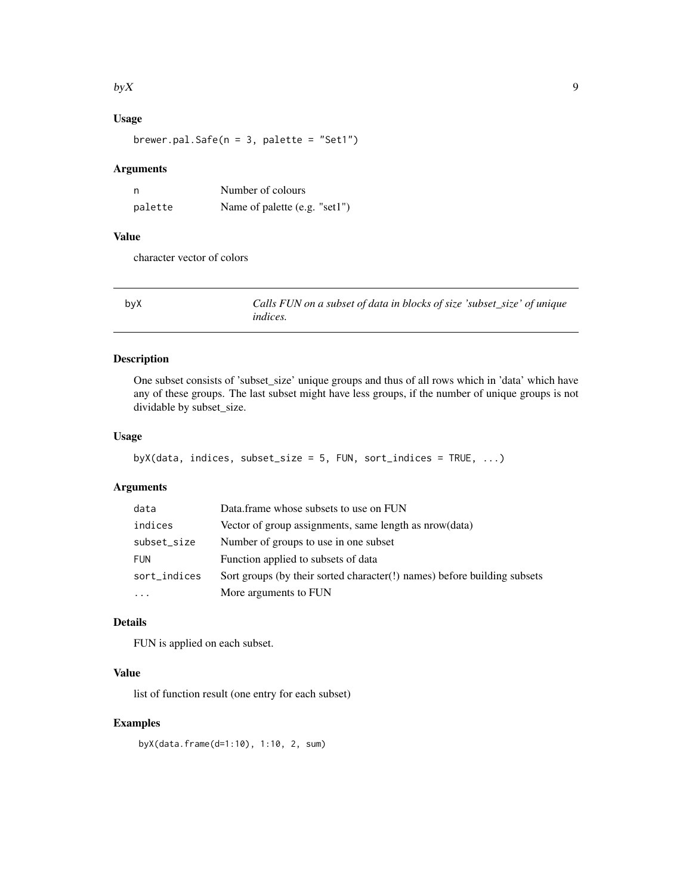#### <span id="page-8-0"></span> $b$ y X $\,$

# Usage

brewer.pal.Safe( $n = 3$ , palette = "Set1")

# Arguments

| n       | Number of colours             |  |  |
|---------|-------------------------------|--|--|
| palette | Name of palette (e.g. "set1") |  |  |

# Value

character vector of colors

<span id="page-8-1"></span>

| byX | Calls FUN on a subset of data in blocks of size 'subset_size' of unique |
|-----|-------------------------------------------------------------------------|
|     | <i>indices.</i>                                                         |

# Description

One subset consists of 'subset\_size' unique groups and thus of all rows which in 'data' which have any of these groups. The last subset might have less groups, if the number of unique groups is not dividable by subset\_size.

# Usage

```
byX(data, indices, subset_size = 5, FUN, sort_indices = TRUE, \dots)
```
# Arguments

| data         | Data.frame whose subsets to use on FUN                                   |
|--------------|--------------------------------------------------------------------------|
| indices      | Vector of group assignments, same length as nrow(data)                   |
| subset_size  | Number of groups to use in one subset                                    |
| <b>FUN</b>   | Function applied to subsets of data                                      |
| sort_indices | Sort groups (by their sorted character(!) names) before building subsets |
| $\cdots$     | More arguments to FUN                                                    |

# Details

FUN is applied on each subset.

# Value

list of function result (one entry for each subset)

# Examples

byX(data.frame(d=1:10), 1:10, 2, sum)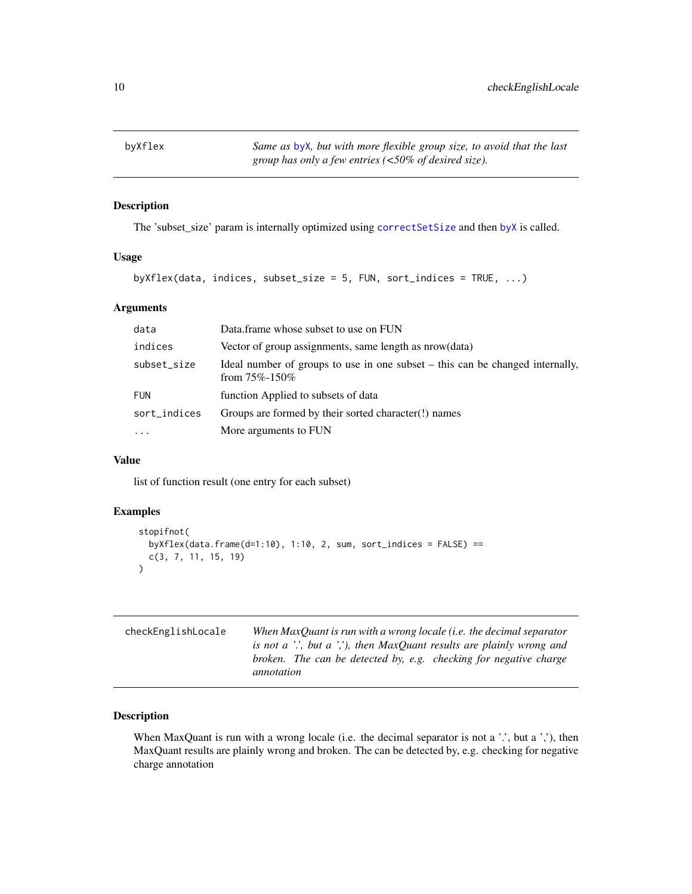<span id="page-9-0"></span>byXflex *Same as* [byX](#page-8-1)*, but with more flexible group size, to avoid that the last group has only a few entries (<50% of desired size).*

# Description

The 'subset\_size' param is internally optimized using [correctSetSize](#page-10-1) and then [byX](#page-8-1) is called.

#### Usage

byXflex(data, indices, subset\_size = 5, FUN, sort\_indices = TRUE, ...)

# Arguments

| data         | Data.frame whose subset to use on FUN                                                                  |
|--------------|--------------------------------------------------------------------------------------------------------|
| indices      | Vector of group assignments, same length as nrow(data)                                                 |
| subset_size  | Ideal number of groups to use in one subset $-$ this can be changed internally,<br>from $75\% - 150\%$ |
| <b>FUN</b>   | function Applied to subsets of data                                                                    |
| sort_indices | Groups are formed by their sorted character(!) names                                                   |
| $\cdots$     | More arguments to FUN                                                                                  |

# Value

list of function result (one entry for each subset)

# Examples

```
stopifnot(
 byXflex(data.frame(d=1:10), 1:10, 2, sum, sort_indices = FALSE) ==
  c(3, 7, 11, 15, 19)
)
```

| checkEnglishLocale | When MaxOuant is run with a wrong locale ( <i>i.e.</i> the decimal separator |  |  |
|--------------------|------------------------------------------------------------------------------|--|--|
|                    | is not a '', but a '', then MaxQuant results are plainly wrong and           |  |  |
|                    | broken. The can be detected by, e.g. checking for negative charge            |  |  |
|                    | annotation                                                                   |  |  |
|                    |                                                                              |  |  |

# Description

When MaxQuant is run with a wrong locale (i.e. the decimal separator is not a  $\cdot$ , but a  $\cdot$ ,), then MaxQuant results are plainly wrong and broken. The can be detected by, e.g. checking for negative charge annotation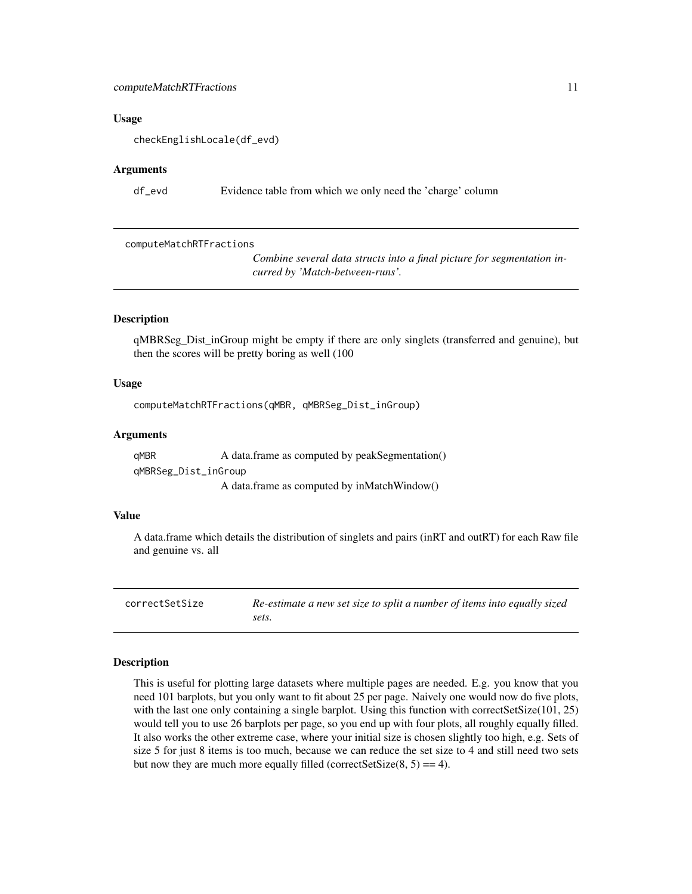#### <span id="page-10-0"></span>computeMatchRTFractions 11

#### Usage

checkEnglishLocale(df\_evd)

#### Arguments

df\_evd Evidence table from which we only need the 'charge' column

computeMatchRTFractions

*Combine several data structs into a final picture for segmentation incurred by 'Match-between-runs'.*

#### **Description**

qMBRSeg\_Dist\_inGroup might be empty if there are only singlets (transferred and genuine), but then the scores will be pretty boring as well (100

#### Usage

computeMatchRTFractions(qMBR, qMBRSeg\_Dist\_inGroup)

#### Arguments

qMBR A data.frame as computed by peakSegmentation() qMBRSeg\_Dist\_inGroup A data.frame as computed by inMatchWindow()

# Value

A data.frame which details the distribution of singlets and pairs (inRT and outRT) for each Raw file and genuine vs. all

<span id="page-10-1"></span>correctSetSize *Re-estimate a new set size to split a number of items into equally sized sets.*

#### Description

This is useful for plotting large datasets where multiple pages are needed. E.g. you know that you need 101 barplots, but you only want to fit about 25 per page. Naively one would now do five plots, with the last one only containing a single barplot. Using this function with correctSetSize(101, 25) would tell you to use 26 barplots per page, so you end up with four plots, all roughly equally filled. It also works the other extreme case, where your initial size is chosen slightly too high, e.g. Sets of size 5 for just 8 items is too much, because we can reduce the set size to 4 and still need two sets but now they are much more equally filled (correctSetSize $(8, 5) == 4$ ).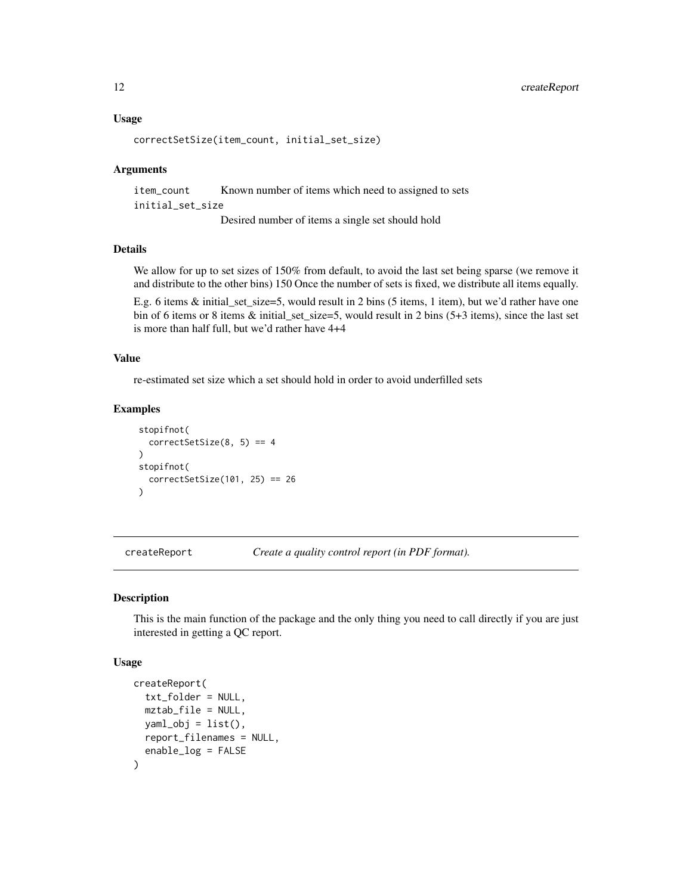# <span id="page-11-0"></span>12 createReport

#### Usage

```
correctSetSize(item_count, initial_set_size)
```
#### Arguments

item\_count Known number of items which need to assigned to sets initial\_set\_size Desired number of items a single set should hold

# Details

We allow for up to set sizes of 150% from default, to avoid the last set being sparse (we remove it and distribute to the other bins) 150 Once the number of sets is fixed, we distribute all items equally.

E.g. 6 items & initial\_set\_size=5, would result in 2 bins (5 items, 1 item), but we'd rather have one bin of 6 items or 8 items & initial\_set\_size=5, would result in 2 bins (5+3 items), since the last set is more than half full, but we'd rather have 4+4

#### Value

re-estimated set size which a set should hold in order to avoid underfilled sets

# Examples

```
stopifnot(
  correctSetSize(8, 5) == 4)
stopifnot(
  correctSetSize(101, 25) == 26\lambda
```
createReport *Create a quality control report (in PDF format).*

#### Description

This is the main function of the package and the only thing you need to call directly if you are just interested in getting a QC report.

#### Usage

```
createReport(
  txt_folder = NULL,
  mztab_file = NULL,
  yaml_obj = list(),
  report_filenames = NULL,
  enable_log = FALSE
)
```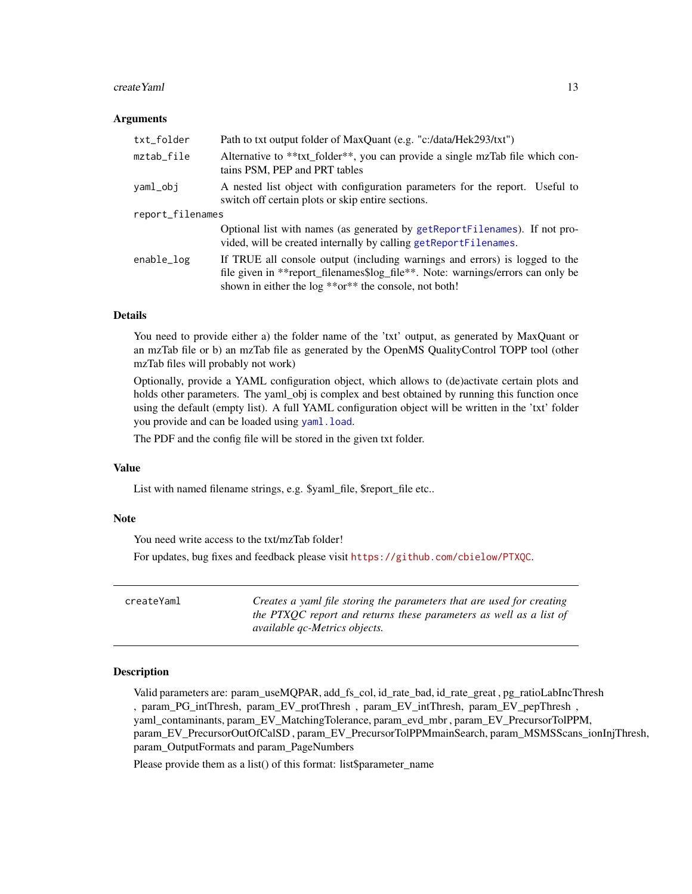#### <span id="page-12-0"></span> $\epsilon$ reateYaml 13

#### Arguments

| txt_folder       | Path to txt output folder of MaxQuant (e.g. "c:/data/Hek293/txt")                                                                                                                                                       |  |
|------------------|-------------------------------------------------------------------------------------------------------------------------------------------------------------------------------------------------------------------------|--|
| mztab_file       | Alternative to **txt_folder**, you can provide a single mzTab file which con-<br>tains PSM, PEP and PRT tables                                                                                                          |  |
| yaml_obj         | A nested list object with configuration parameters for the report. Useful to<br>switch off certain plots or skip entire sections.                                                                                       |  |
| report_filenames |                                                                                                                                                                                                                         |  |
|                  | Optional list with names (as generated by getReportFilenames). If not pro-<br>vided, will be created internally by calling getReportFilenames.                                                                          |  |
| enable_log       | If TRUE all console output (including warnings and errors) is logged to the<br>file given in **report_filenames\$log_file**. Note: warnings/errors can only be<br>shown in either the log **or** the console, not both! |  |

#### Details

You need to provide either a) the folder name of the 'txt' output, as generated by MaxQuant or an mzTab file or b) an mzTab file as generated by the OpenMS QualityControl TOPP tool (other mzTab files will probably not work)

Optionally, provide a YAML configuration object, which allows to (de)activate certain plots and holds other parameters. The yaml\_obj is complex and best obtained by running this function once using the default (empty list). A full YAML configuration object will be written in the 'txt' folder you provide and can be loaded using [yaml.load](#page-0-0).

The PDF and the config file will be stored in the given txt folder.

#### Value

List with named filename strings, e.g. \$yaml\_file, \$report\_file etc..

#### Note

You need write access to the txt/mzTab folder!

For updates, bug fixes and feedback please visit <https://github.com/cbielow/PTXQC>.

| createYaml | Creates a yaml file storing the parameters that are used for creating |
|------------|-----------------------------------------------------------------------|
|            | the PTXOC report and returns these parameters as well as a list of    |
|            | <i>available qc-Metrics objects.</i>                                  |

# **Description**

Valid parameters are: param\_useMQPAR, add\_fs\_col, id\_rate\_bad, id\_rate\_great , pg\_ratioLabIncThresh , param\_PG\_intThresh, param\_EV\_protThresh , param\_EV\_intThresh, param\_EV\_pepThresh , yaml\_contaminants, param\_EV\_MatchingTolerance, param\_evd\_mbr , param\_EV\_PrecursorTolPPM, param\_EV\_PrecursorOutOfCalSD , param\_EV\_PrecursorTolPPMmainSearch, param\_MSMSScans\_ionInjThresh, param\_OutputFormats and param\_PageNumbers

Please provide them as a list() of this format: list\$parameter\_name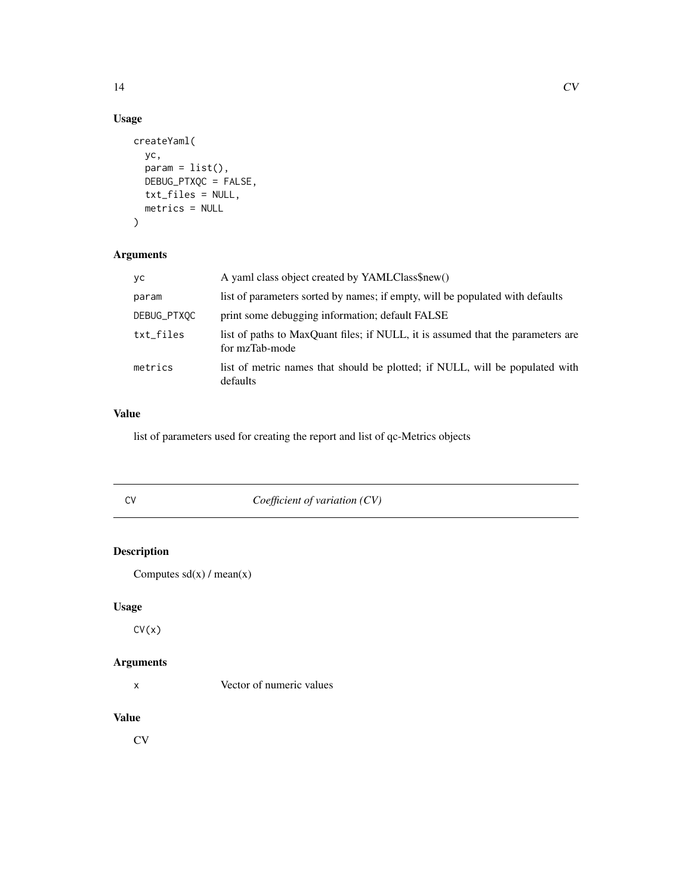# Usage

```
createYaml(
 yc,
 param = list(),DEBUG_PTXQC = FALSE,
 txt_files = NULL,
 metrics = NULL
)
```
# Arguments

| уc          | A yaml class object created by YAMLClass\$new()                                                   |
|-------------|---------------------------------------------------------------------------------------------------|
| param       | list of parameters sorted by names; if empty, will be populated with defaults                     |
| DEBUG_PTXQC | print some debugging information; default FALSE                                                   |
| txt_files   | list of paths to MaxQuant files; if NULL, it is assumed that the parameters are<br>for mzTab-mode |
| metrics     | list of metric names that should be plotted; if NULL, will be populated with<br>defaults          |

# Value

list of parameters used for creating the report and list of qc-Metrics objects

CV *Coefficient of variation (CV)*

# Description

```
Computes sd(x) / mean(x)
```
# Usage

 $CV(x)$ 

# Arguments

x Vector of numeric values

#### Value

CV

<span id="page-13-0"></span>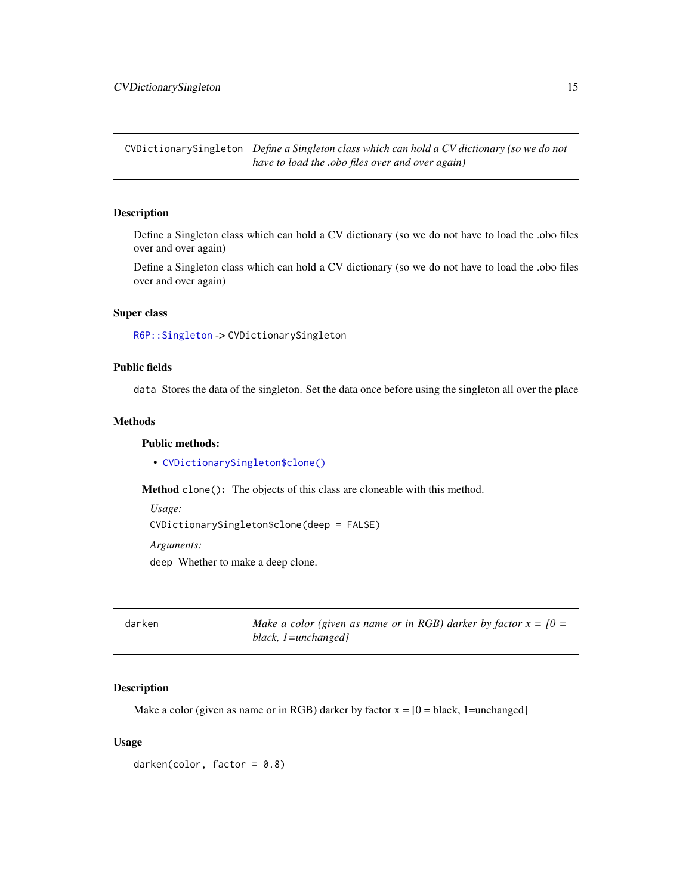<span id="page-14-0"></span>CVDictionarySingleton *Define a Singleton class which can hold a CV dictionary (so we do not have to load the .obo files over and over again)*

#### Description

Define a Singleton class which can hold a CV dictionary (so we do not have to load the .obo files over and over again)

Define a Singleton class which can hold a CV dictionary (so we do not have to load the .obo files over and over again)

#### Super class

[R6P::Singleton](#page-0-0) -> CVDictionarySingleton

# Public fields

data Stores the data of the singleton. Set the data once before using the singleton all over the place

# Methods

#### Public methods:

• [CVDictionarySingleton\\$clone\(\)](#page-14-1)

<span id="page-14-1"></span>Method clone(): The objects of this class are cloneable with this method.

*Usage:* CVDictionarySingleton\$clone(deep = FALSE) *Arguments:* deep Whether to make a deep clone.

darken *Make a color (given as name or in RGB) darker by factor x = [0 = black, 1=unchanged]*

# **Description**

Make a color (given as name or in RGB) darker by factor  $x = [0 = black, 1 = unchanged]$ 

# Usage

 $darken(color, factor = 0.8)$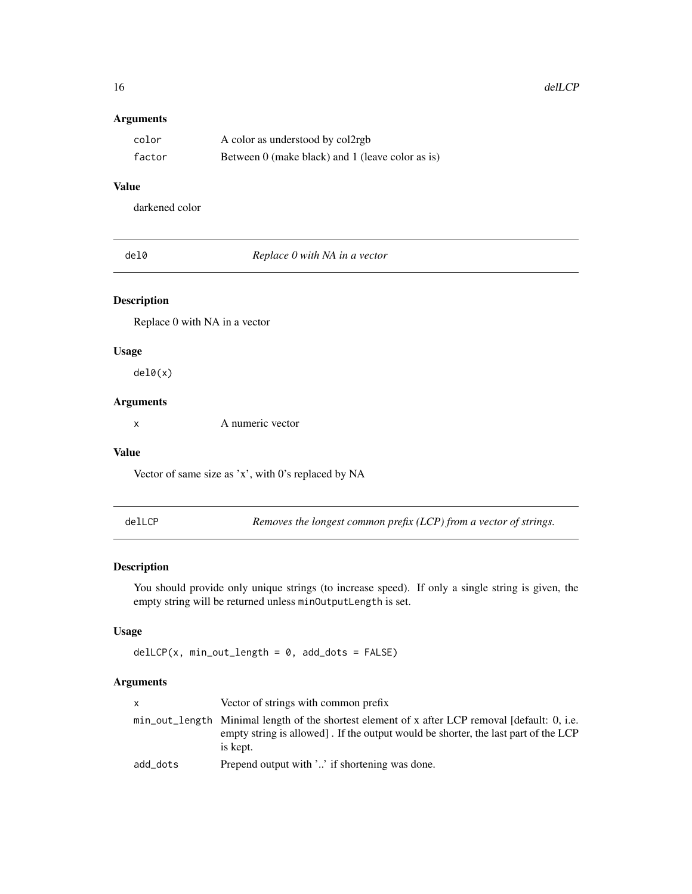# Arguments

| color  | A color as understood by col2rgb                 |
|--------|--------------------------------------------------|
| factor | Between 0 (make black) and 1 (leave color as is) |

# Value

darkened color

| . .<br>×<br>۰, | I<br>× |
|----------------|--------|
|----------------|--------|

Replace 0 with NA in a vector

# Description

Replace 0 with NA in a vector

#### Usage

del0(x)

# Arguments

x A numeric vector

#### Value

Vector of same size as 'x', with 0's replaced by NA

delLCP *Removes the longest common prefix (LCP) from a vector of strings.*

# Description

You should provide only unique strings (to increase speed). If only a single string is given, the empty string will be returned unless minOutputLength is set.

#### Usage

delLCP(x, min\_out\_length = 0, add\_dots = FALSE)

# Arguments

| X        | Vector of strings with common prefix                                                                                                                                                            |
|----------|-------------------------------------------------------------------------------------------------------------------------------------------------------------------------------------------------|
|          | min_out_length Minimal length of the shortest element of x after LCP removal [default: 0, i.e.<br>empty string is allowed. If the output would be shorter, the last part of the LCP<br>is kept. |
| add dots | Prepend output with '' if shortening was done.                                                                                                                                                  |

<span id="page-15-0"></span>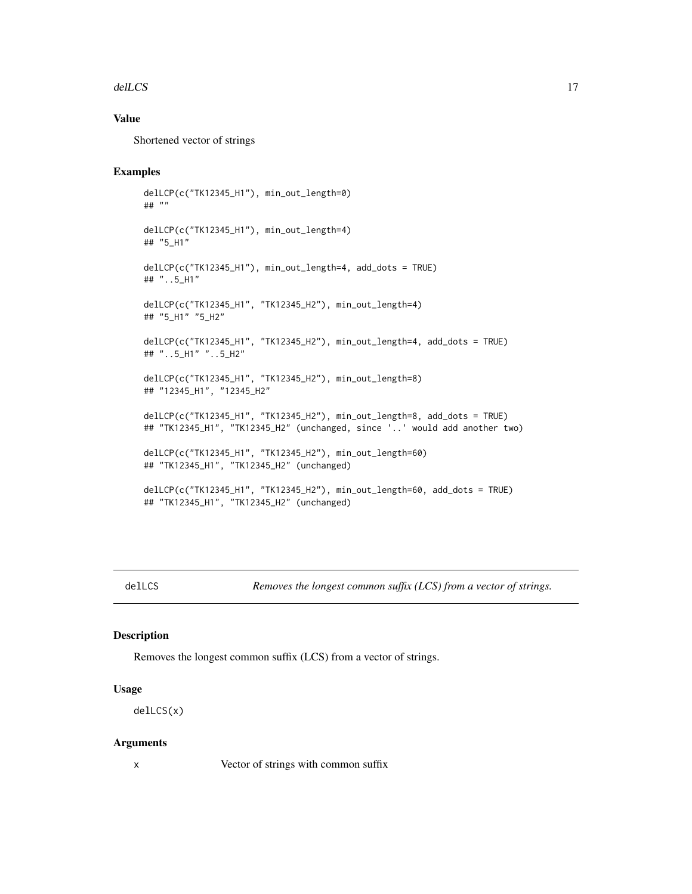#### <span id="page-16-0"></span>delLCS and the state of the state of the state of the state of the state of the state of the state of the state of the state of the state of the state of the state of the state of the state of the state of the state of the

# Value

Shortened vector of strings

# Examples

```
delLCP(c("TK12345_H1"), min_out_length=0)
## ""
delLCP(c("TK12345_H1"), min_out_length=4)
## "5_H1"
delLCP(c("TK12345_H1"), min_out_length=4, add_dots = TRUE)
## "..5_H1"
delLCP(c("TK12345_H1", "TK12345_H2"), min_out_length=4)
## "5_H1" "5_H2"
delLCP(c("TK12345_H1", "TK12345_H2"), min_out_length=4, add_dots = TRUE)
## "..5_H1" "..5_H2"
delLCP(c("TK12345_H1", "TK12345_H2"), min_out_length=8)
## "12345_H1", "12345_H2"
delLCP(c("TK12345_H1", "TK12345_H2"), min_out_length=8, add_dots = TRUE)
## "TK12345_H1", "TK12345_H2" (unchanged, since '..' would add another two)
delLCP(c("TK12345_H1", "TK12345_H2"), min_out_length=60)
## "TK12345_H1", "TK12345_H2" (unchanged)
delLCP(c("TK12345_H1", "TK12345_H2"), min_out_length=60, add_dots = TRUE)
## "TK12345_H1", "TK12345_H2" (unchanged)
```
delLCS *Removes the longest common suffix (LCS) from a vector of strings.*

#### Description

Removes the longest common suffix (LCS) from a vector of strings.

#### Usage

delLCS(x)

#### Arguments

x Vector of strings with common suffix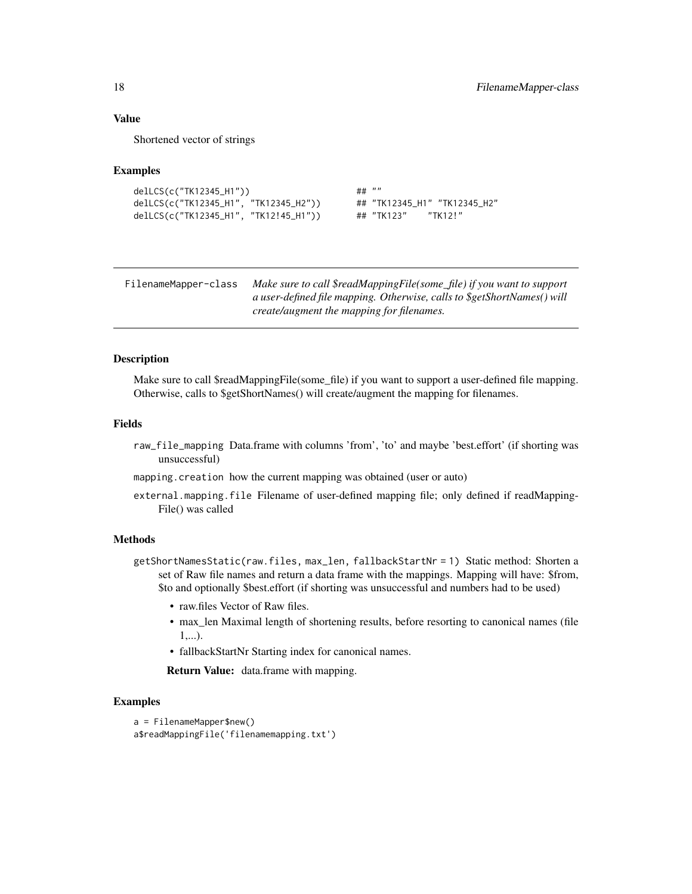# <span id="page-17-0"></span>Value

Shortened vector of strings

#### Examples

```
delLCS(c("TK12345_H1")) ## ""
delLCS(c("TK12345_H1", "TK12345_H2")) ## "TK12345_H1" "TK12345_H2"
delLCS(c("TK12345_H1", "TK12!45_H1")) ## "TK123" "TK12!"
```
FilenameMapper-class *Make sure to call \$readMappingFile(some\_file) if you want to support a user-defined file mapping. Otherwise, calls to \$getShortNames() will create/augment the mapping for filenames.*

#### Description

Make sure to call \$readMappingFile(some\_file) if you want to support a user-defined file mapping. Otherwise, calls to \$getShortNames() will create/augment the mapping for filenames.

#### Fields

- raw\_file\_mapping Data.frame with columns 'from', 'to' and maybe 'best.effort' (if shorting was unsuccessful)
- mapping.creation how the current mapping was obtained (user or auto)
- external.mapping.file Filename of user-defined mapping file; only defined if readMapping-File() was called

#### Methods

getShortNamesStatic(raw.files, max\_len, fallbackStartNr = 1) Static method: Shorten a set of Raw file names and return a data frame with the mappings. Mapping will have: \$from, \$to and optionally \$best.effort (if shorting was unsuccessful and numbers had to be used)

- raw.files Vector of Raw files.
- max len Maximal length of shortening results, before resorting to canonical names (file)  $1,...)$ .
- fallbackStartNr Starting index for canonical names.

Return Value: data.frame with mapping.

# Examples

```
a = FilenameMapper$new()
a$readMappingFile('filenamemapping.txt')
```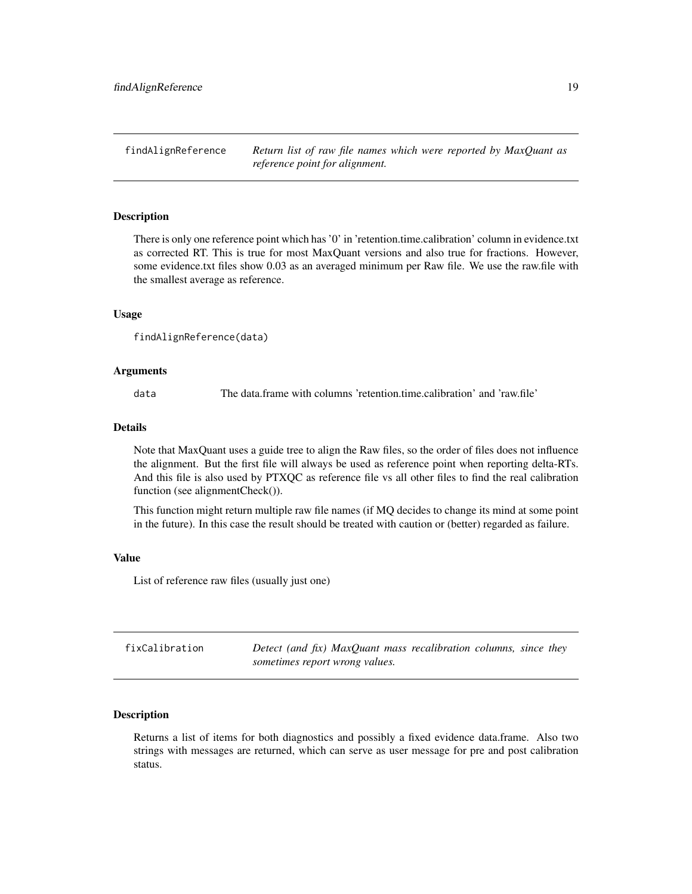<span id="page-18-0"></span>findAlignReference *Return list of raw file names which were reported by MaxQuant as reference point for alignment.*

#### Description

There is only one reference point which has '0' in 'retention.time.calibration' column in evidence.txt as corrected RT. This is true for most MaxQuant versions and also true for fractions. However, some evidence.txt files show 0.03 as an averaged minimum per Raw file. We use the raw.file with the smallest average as reference.

#### Usage

findAlignReference(data)

#### Arguments

data The data.frame with columns 'retention.time.calibration' and 'raw.file'

#### Details

Note that MaxQuant uses a guide tree to align the Raw files, so the order of files does not influence the alignment. But the first file will always be used as reference point when reporting delta-RTs. And this file is also used by PTXQC as reference file vs all other files to find the real calibration function (see alignmentCheck()).

This function might return multiple raw file names (if MQ decides to change its mind at some point in the future). In this case the result should be treated with caution or (better) regarded as failure.

#### Value

List of reference raw files (usually just one)

| fixCalibration | Detect (and fix) MaxQuant mass recalibration columns, since they |  |
|----------------|------------------------------------------------------------------|--|
|                | sometimes report wrong values.                                   |  |

#### Description

Returns a list of items for both diagnostics and possibly a fixed evidence data.frame. Also two strings with messages are returned, which can serve as user message for pre and post calibration status.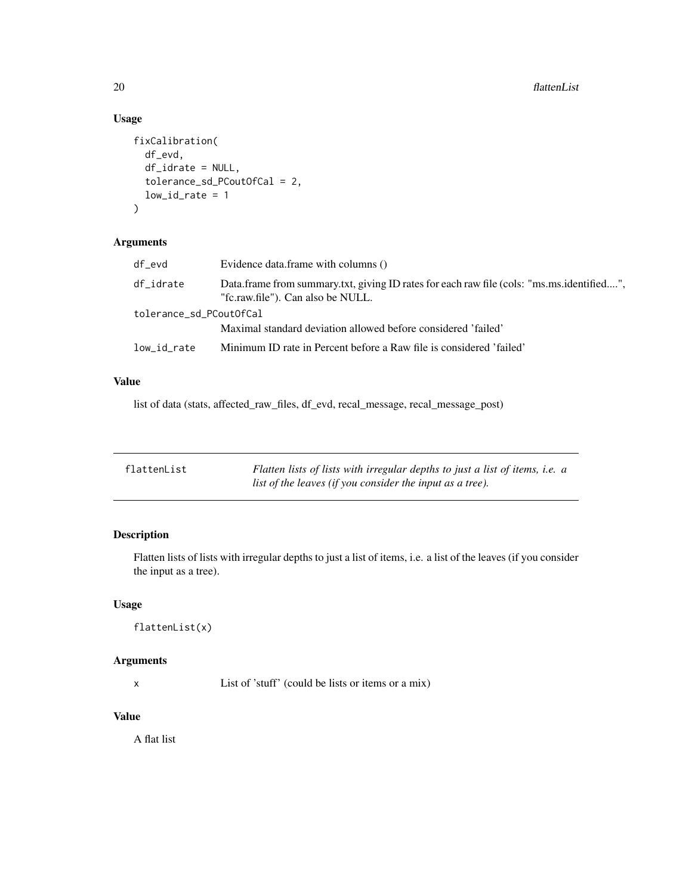# Usage

```
fixCalibration(
  df_evd,
  df_idrate = NULL,
  tolerance_sd_PCoutOfCal = 2,
  low_id_rate = 1)
```
# Arguments

| df_evd                  | Evidence data.frame with columns ()                                                                                            |
|-------------------------|--------------------------------------------------------------------------------------------------------------------------------|
| df_idrate               | Data.frame from summary.txt, giving ID rates for each raw file (cols: "ms.ms.identified",<br>"fc.raw.file"). Can also be NULL. |
| tolerance_sd_PCoutOfCal |                                                                                                                                |
|                         | Maximal standard deviation allowed before considered 'failed'                                                                  |
| low_id_rate             | Minimum ID rate in Percent before a Raw file is considered 'failed'                                                            |

# Value

list of data (stats, affected\_raw\_files, df\_evd, recal\_message, recal\_message\_post)

| flattenList | Flatten lists of lists with irregular depths to just a list of items, <i>i.e.</i> a |
|-------------|-------------------------------------------------------------------------------------|
|             | list of the leaves (if you consider the input as a tree).                           |

# Description

Flatten lists of lists with irregular depths to just a list of items, i.e. a list of the leaves (if you consider the input as a tree).

# Usage

```
flattenList(x)
```
# Arguments

x List of 'stuff' (could be lists or items or a mix)

# Value

A flat list

<span id="page-19-0"></span>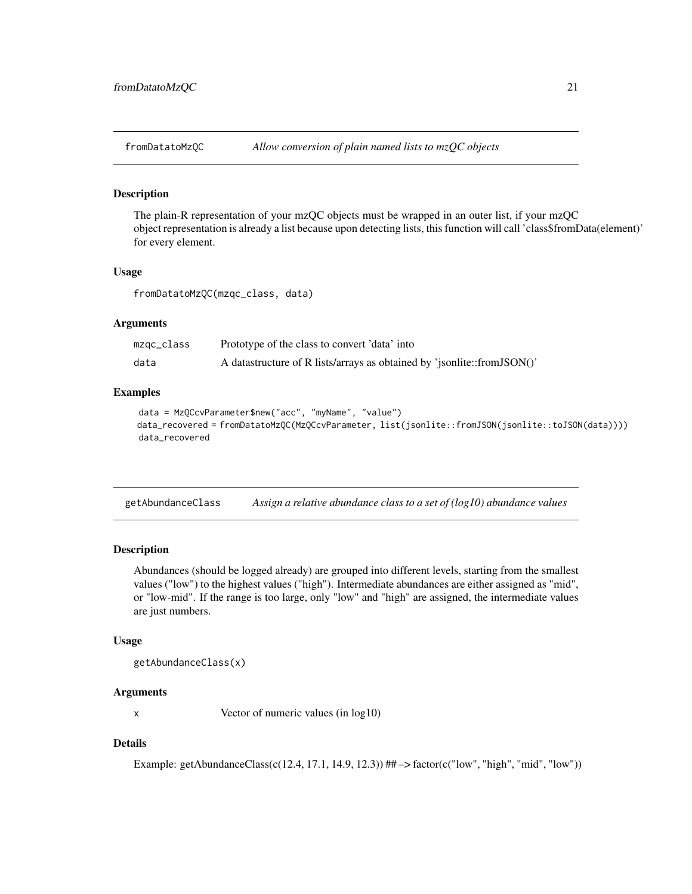<span id="page-20-0"></span>

The plain-R representation of your mzQC objects must be wrapped in an outer list, if your mzQC object representation is already a list because upon detecting lists, this function will call 'class\$fromData(element)' for every element.

#### Usage

fromDatatoMzQC(mzqc\_class, data)

# Arguments

| mzqc_class | Prototype of the class to convert 'data' into                           |
|------------|-------------------------------------------------------------------------|
| data       | A datastructure of R lists/arrays as obtained by 'jsonlite::fromJSON()' |

# Examples

```
data = MzQCcvParameter$new("acc", "myName", "value")
data_recovered = fromDatatoMzQC(MzQCcvParameter, list(jsonlite::fromJSON(jsonlite::toJSON(data))))
data_recovered
```
getAbundanceClass *Assign a relative abundance class to a set of (log10) abundance values*

# Description

Abundances (should be logged already) are grouped into different levels, starting from the smallest values ("low") to the highest values ("high"). Intermediate abundances are either assigned as "mid", or "low-mid". If the range is too large, only "low" and "high" are assigned, the intermediate values are just numbers.

#### Usage

getAbundanceClass(x)

#### Arguments

x Vector of numeric values (in log10)

#### Details

Example: getAbundanceClass(c(12.4, 17.1, 14.9, 12.3))  $\#+$   $\Rightarrow$  factor(c("low", "high", "mid", "low"))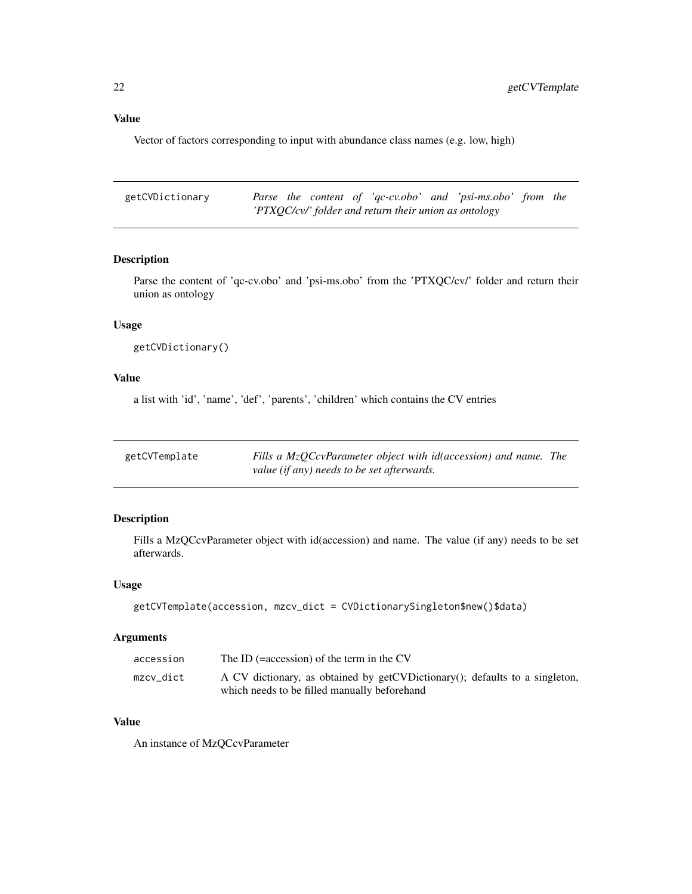# <span id="page-21-0"></span>Value

Vector of factors corresponding to input with abundance class names (e.g. low, high)

| getCVDictionary |  |  |                                                       | Parse the content of 'qc-cv.obo' and 'psi-ms.obo' from the |  |
|-----------------|--|--|-------------------------------------------------------|------------------------------------------------------------|--|
|                 |  |  | 'PTXQC/cv/' folder and return their union as ontology |                                                            |  |

# Description

Parse the content of 'qc-cv.obo' and 'psi-ms.obo' from the 'PTXQC/cv/' folder and return their union as ontology

# Usage

```
getCVDictionary()
```
# Value

a list with 'id', 'name', 'def', 'parents', 'children' which contains the CV entries

| getCVTemplate | Fills a MzOCcvParameter object with id(accession) and name. The |  |
|---------------|-----------------------------------------------------------------|--|
|               | value (if any) needs to be set afterwards.                      |  |

# Description

Fills a MzQCcvParameter object with id(accession) and name. The value (if any) needs to be set afterwards.

# Usage

```
getCVTemplate(accession, mzcv_dict = CVDictionarySingleton$new()$data)
```
# Arguments

| accession | The ID $( = \frac{1}{2}$ accession) of the term in the CV                   |
|-----------|-----------------------------------------------------------------------------|
| mzcv dict | A CV dictionary, as obtained by getCVDictionary(); defaults to a singleton, |
|           | which needs to be filled manually beforehand                                |

# Value

An instance of MzQCcvParameter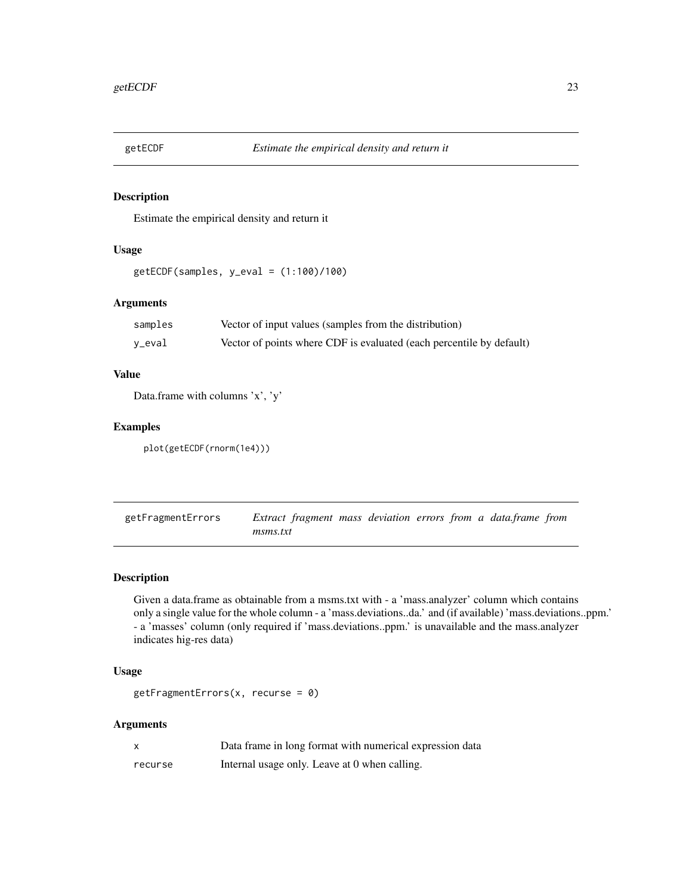<span id="page-22-0"></span>

Estimate the empirical density and return it

# Usage

getECDF(samples, y\_eval = (1:100)/100)

#### Arguments

| samples | Vector of input values (samples from the distribution)               |
|---------|----------------------------------------------------------------------|
| y_eval  | Vector of points where CDF is evaluated (each percentile by default) |

# Value

Data.frame with columns 'x', 'y'

# Examples

plot(getECDF(rnorm(1e4)))

getFragmentErrors *Extract fragment mass deviation errors from a data.frame from msms.txt*

# Description

Given a data.frame as obtainable from a msms.txt with - a 'mass.analyzer' column which contains only a single value for the whole column - a 'mass.deviations..da.' and (if available) 'mass.deviations..ppm.' - a 'masses' column (only required if 'mass.deviations..ppm.' is unavailable and the mass.analyzer indicates hig-res data)

# Usage

```
getFragmentErrors(x, recurse = 0)
```
#### Arguments

|         | Data frame in long format with numerical expression data |
|---------|----------------------------------------------------------|
| recurse | Internal usage only. Leave at 0 when calling.            |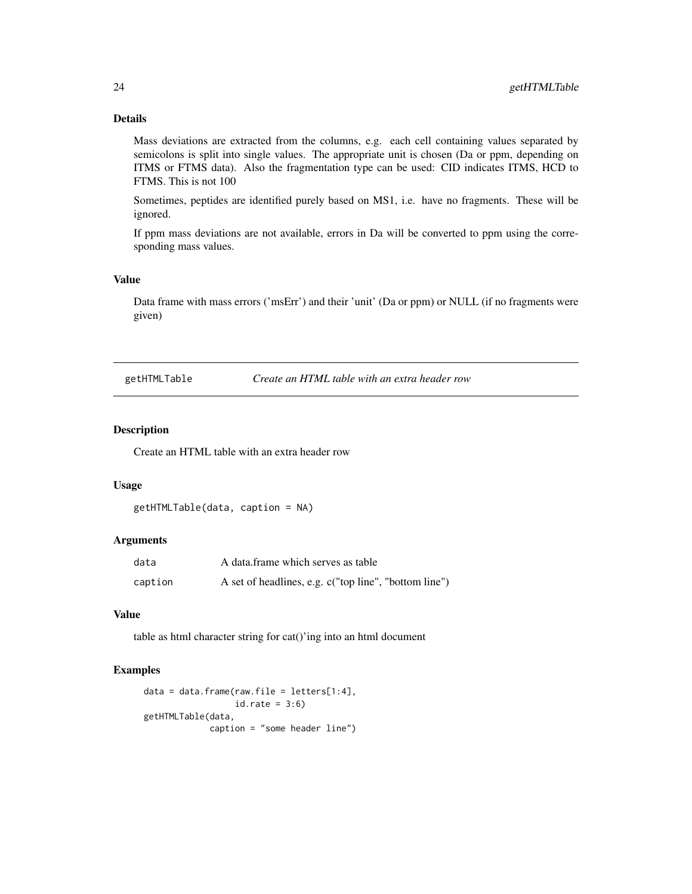# Details

Mass deviations are extracted from the columns, e.g. each cell containing values separated by semicolons is split into single values. The appropriate unit is chosen (Da or ppm, depending on ITMS or FTMS data). Also the fragmentation type can be used: CID indicates ITMS, HCD to FTMS. This is not 100

Sometimes, peptides are identified purely based on MS1, i.e. have no fragments. These will be ignored.

If ppm mass deviations are not available, errors in Da will be converted to ppm using the corresponding mass values.

#### Value

Data frame with mass errors ('msErr') and their 'unit' (Da or ppm) or NULL (if no fragments were given)

getHTMLTable *Create an HTML table with an extra header row*

# Description

Create an HTML table with an extra header row

# Usage

```
getHTMLTable(data, caption = NA)
```
# Arguments

| data    | A data frame which serves as table                    |
|---------|-------------------------------------------------------|
| caption | A set of headlines, e.g. c("top line", "bottom line") |

# Value

table as html character string for cat()'ing into an html document

# Examples

```
data = data-frame(raw.file = letters[1:4],id.\text{rate} = 3:6getHTMLTable(data,
             caption = "some header line")
```
<span id="page-23-0"></span>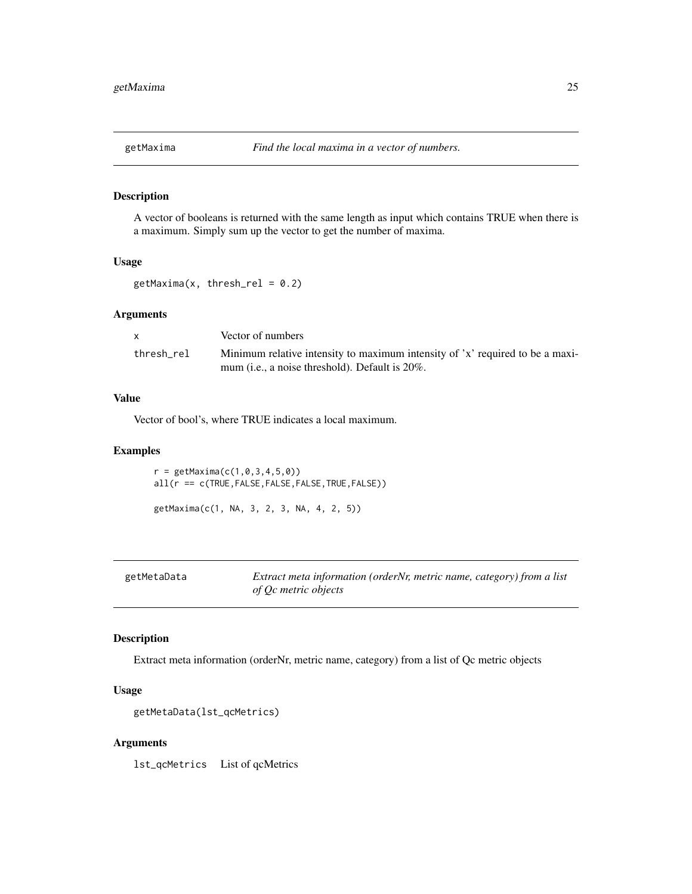<span id="page-24-0"></span>

A vector of booleans is returned with the same length as input which contains TRUE when there is a maximum. Simply sum up the vector to get the number of maxima.

# Usage

 $getMaxima(x, thresh_{rel} = 0.2)$ 

# Arguments

|            | Vector of numbers                                                                                                                        |
|------------|------------------------------------------------------------------------------------------------------------------------------------------|
| thresh rel | Minimum relative intensity to maximum intensity of 'x' required to be a maxi-<br>mum ( <i>i.e.</i> , a noise threshold). Default is 20%. |

# Value

Vector of bool's, where TRUE indicates a local maximum.

#### Examples

 $r = getMaxima(c(1, 0, 3, 4, 5, 0))$ all(r == c(TRUE,FALSE,FALSE,FALSE,TRUE,FALSE)) getMaxima(c(1, NA, 3, 2, 3, NA, 4, 2, 5))

| getMetaData | Extract meta information (orderNr, metric name, category) from a list |
|-------------|-----------------------------------------------------------------------|
|             | of Oc metric objects                                                  |

#### Description

Extract meta information (orderNr, metric name, category) from a list of Qc metric objects

# Usage

```
getMetaData(lst_qcMetrics)
```
# Arguments

lst\_qcMetrics List of qcMetrics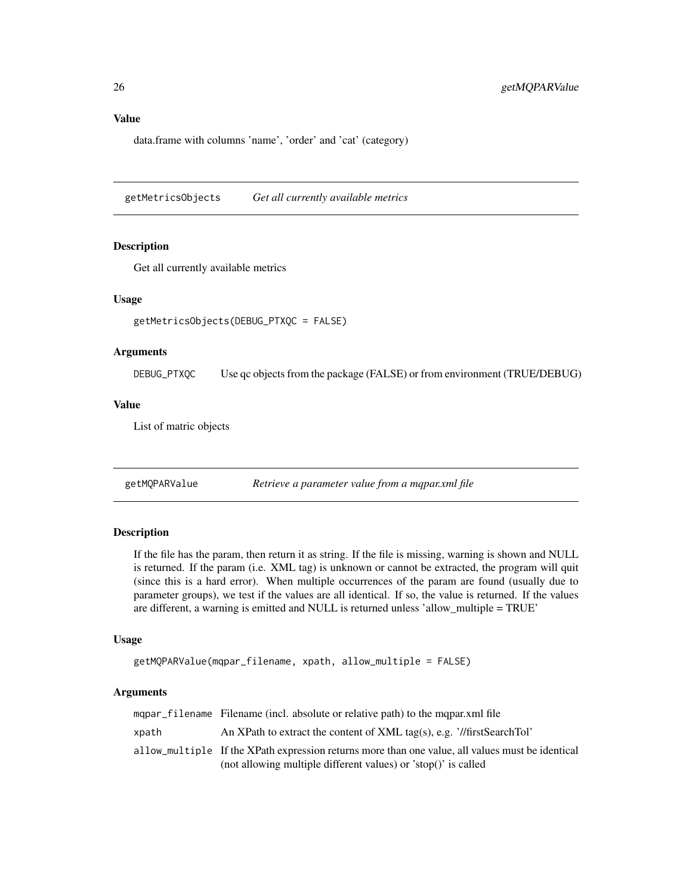# <span id="page-25-0"></span>Value

data.frame with columns 'name', 'order' and 'cat' (category)

getMetricsObjects *Get all currently available metrics*

#### Description

Get all currently available metrics

# Usage

```
getMetricsObjects(DEBUG_PTXQC = FALSE)
```
#### Arguments

DEBUG\_PTXQC Use qc objects from the package (FALSE) or from environment (TRUE/DEBUG)

#### Value

List of matric objects

getMQPARValue *Retrieve a parameter value from a mqpar.xml file*

# Description

If the file has the param, then return it as string. If the file is missing, warning is shown and NULL is returned. If the param (i.e. XML tag) is unknown or cannot be extracted, the program will quit (since this is a hard error). When multiple occurrences of the param are found (usually due to parameter groups), we test if the values are all identical. If so, the value is returned. If the values are different, a warning is emitted and NULL is returned unless 'allow\_multiple = TRUE'

#### Usage

```
getMQPARValue(mqpar_filename, xpath, allow_multiple = FALSE)
```
#### Arguments

|       | mapar_filename Filename (incl. absolute or relative path) to the mapar.xml file                  |
|-------|--------------------------------------------------------------------------------------------------|
| xpath | An XPath to extract the content of XML tag(s), e.g. $\frac{\gamma}{\text{firstSearchTol}}$       |
|       | allow_multiple If the XPath expression returns more than one value, all values must be identical |
|       | (not allowing multiple different values) or 'stop()' is called                                   |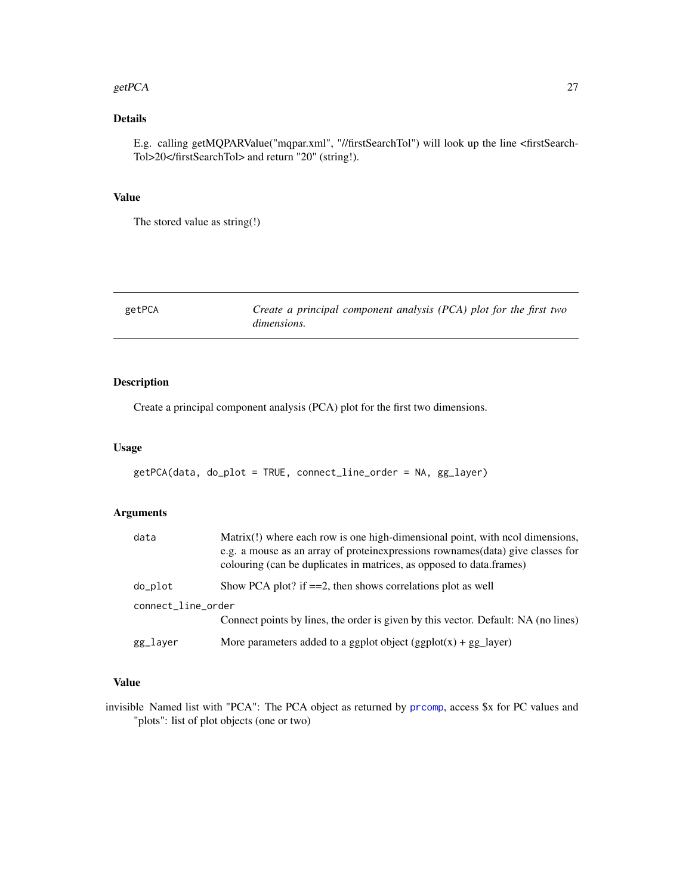#### <span id="page-26-0"></span>getPCA 27

# Details

E.g. calling getMQPARValue("mqpar.xml", "//firstSearchTol") will look up the line <firstSearch-Tol>20</firstSearchTol> and return "20" (string!).

#### Value

The stored value as string(!)

getPCA *Create a principal component analysis (PCA) plot for the first two dimensions.*

# Description

Create a principal component analysis (PCA) plot for the first two dimensions.

#### Usage

```
getPCA(data, do_plot = TRUE, connect_line_order = NA, gg_layer)
```
# Arguments

| data               | Matrix(!) where each row is one high-dimensional point, with ncol dimensions,                                                                           |
|--------------------|---------------------------------------------------------------------------------------------------------------------------------------------------------|
|                    | e.g. a mouse as an array of proteinexpressions rownames (data) give classes for<br>colouring (can be duplicates in matrices, as opposed to data.frames) |
| do_plot            | Show PCA plot? if $==2$ , then shows correlations plot as well                                                                                          |
| connect_line_order |                                                                                                                                                         |
|                    | Connect points by lines, the order is given by this vector. Default: NA (no lines)                                                                      |
| gg_layer           | More parameters added to a ggplot object $(ggplot(x) + gg\_{layer})$                                                                                    |

#### Value

invisible Named list with "PCA": The PCA object as returned by [prcomp](#page-0-0), access \$x for PC values and "plots": list of plot objects (one or two)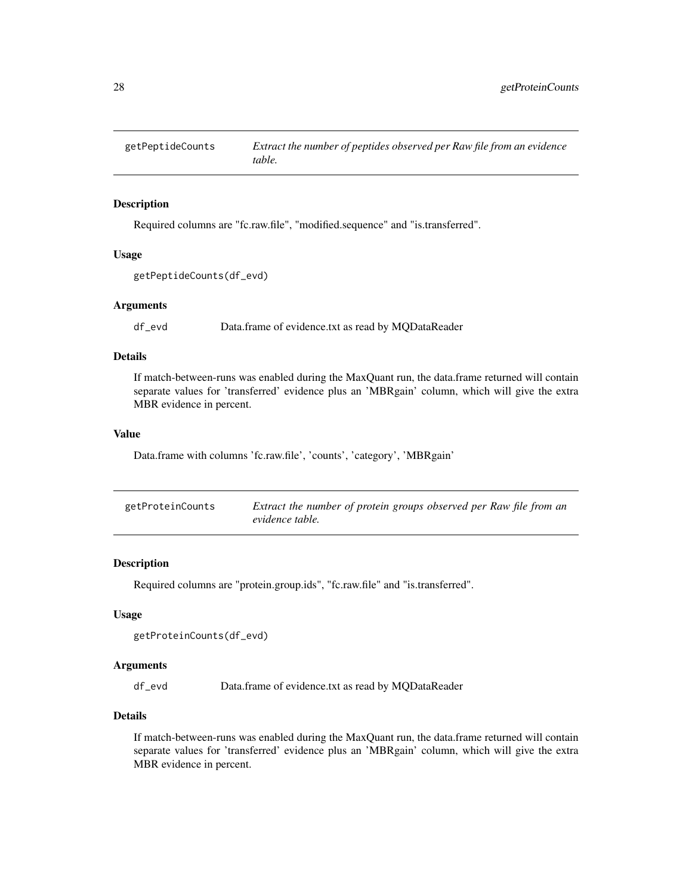<span id="page-27-0"></span>

Required columns are "fc.raw.file", "modified.sequence" and "is.transferred".

# Usage

```
getPeptideCounts(df_evd)
```
# Arguments

df\_evd Data.frame of evidence.txt as read by MQDataReader

# Details

If match-between-runs was enabled during the MaxQuant run, the data.frame returned will contain separate values for 'transferred' evidence plus an 'MBRgain' column, which will give the extra MBR evidence in percent.

# Value

Data.frame with columns 'fc.raw.file', 'counts', 'category', 'MBRgain'

| getProteinCounts | Extract the number of protein groups observed per Raw file from an |
|------------------|--------------------------------------------------------------------|
|                  | evidence table.                                                    |

#### Description

Required columns are "protein.group.ids", "fc.raw.file" and "is.transferred".

#### Usage

```
getProteinCounts(df_evd)
```
# Arguments

df\_evd Data.frame of evidence.txt as read by MQDataReader

# Details

If match-between-runs was enabled during the MaxQuant run, the data.frame returned will contain separate values for 'transferred' evidence plus an 'MBRgain' column, which will give the extra MBR evidence in percent.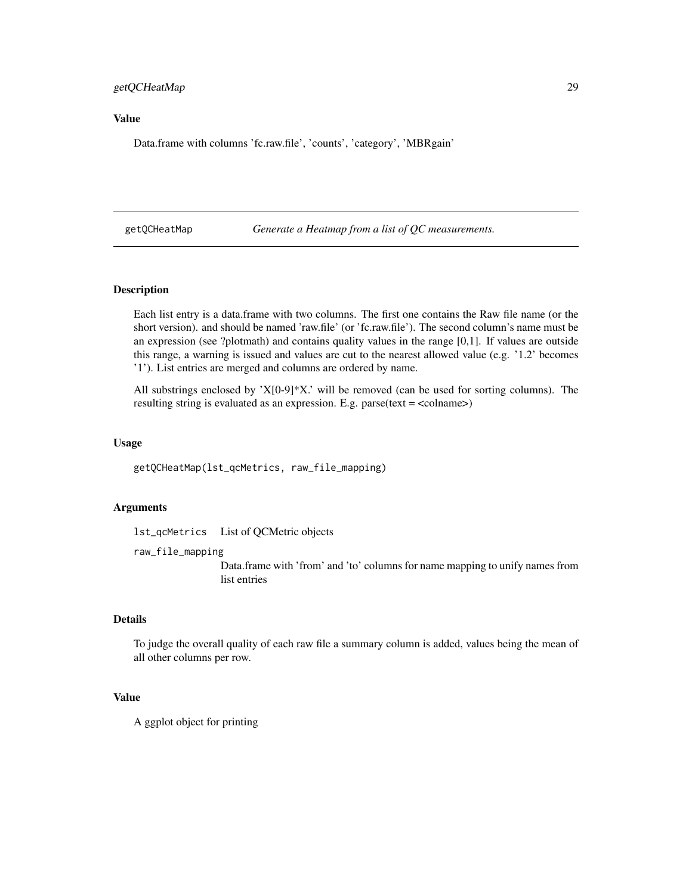# <span id="page-28-0"></span>getQCHeatMap 29

# Value

Data.frame with columns 'fc.raw.file', 'counts', 'category', 'MBRgain'

getQCHeatMap *Generate a Heatmap from a list of QC measurements.*

#### Description

Each list entry is a data.frame with two columns. The first one contains the Raw file name (or the short version). and should be named 'raw.file' (or 'fc.raw.file'). The second column's name must be an expression (see ?plotmath) and contains quality values in the range [0,1]. If values are outside this range, a warning is issued and values are cut to the nearest allowed value (e.g. '1.2' becomes '1'). List entries are merged and columns are ordered by name.

All substrings enclosed by ' $X[0-9]*X$ .' will be removed (can be used for sorting columns). The resulting string is evaluated as an expression. E.g. parse(text = <colname>)

#### Usage

getQCHeatMap(lst\_qcMetrics, raw\_file\_mapping)

#### Arguments

lst\_qcMetrics List of QCMetric objects

raw\_file\_mapping

Data.frame with 'from' and 'to' columns for name mapping to unify names from list entries

#### Details

To judge the overall quality of each raw file a summary column is added, values being the mean of all other columns per row.

# Value

A ggplot object for printing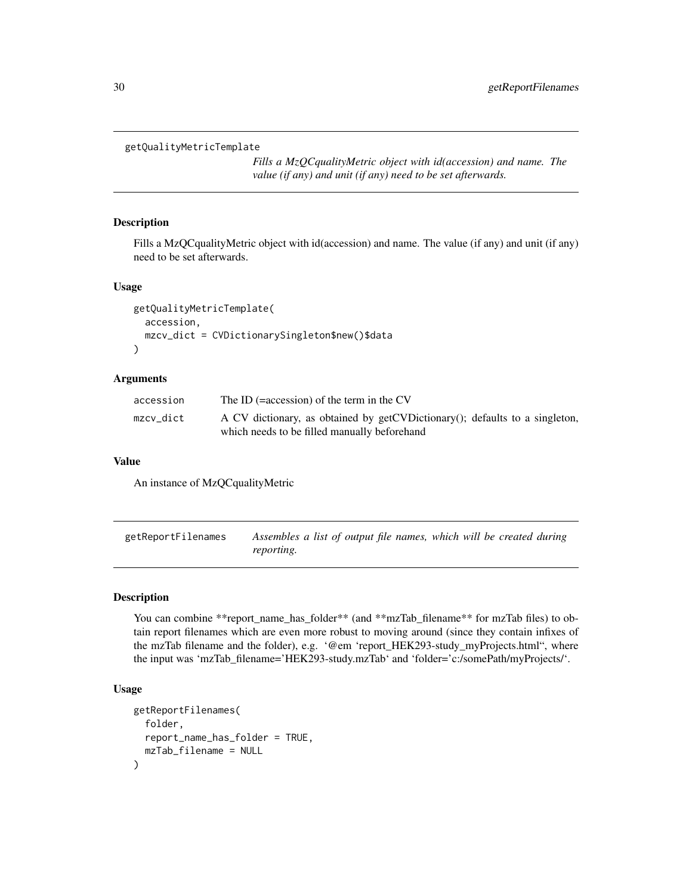```
getQualityMetricTemplate
```
*Fills a MzQCqualityMetric object with id(accession) and name. The value (if any) and unit (if any) need to be set afterwards.*

# Description

Fills a MzQCqualityMetric object with id(accession) and name. The value (if any) and unit (if any) need to be set afterwards.

# Usage

```
getQualityMetricTemplate(
  accession,
  mzcv_dict = CVDictionarySingleton$new()$data
)
```
# Arguments

| accession | The ID $( = \frac{1}{2}$ accession) of the term in the CV                                                                   |
|-----------|-----------------------------------------------------------------------------------------------------------------------------|
| mzcv dict | A CV dictionary, as obtained by getCVDictionary(); defaults to a singleton,<br>which needs to be filled manually beforehand |

#### Value

An instance of MzQCqualityMetric

<span id="page-29-1"></span>getReportFilenames *Assembles a list of output file names, which will be created during reporting.*

#### Description

You can combine \*\*report\_name\_has\_folder\*\* (and \*\*mzTab\_filename\*\* for mzTab files) to obtain report filenames which are even more robust to moving around (since they contain infixes of the mzTab filename and the folder), e.g. '@em 'report\_HEK293-study\_myProjects.html", where the input was 'mzTab\_filename='HEK293-study.mzTab' and 'folder='c:/somePath/myProjects/'.

# Usage

```
getReportFilenames(
  folder,
  report_name_has_folder = TRUE,
  mzTab_filename = NULL
)
```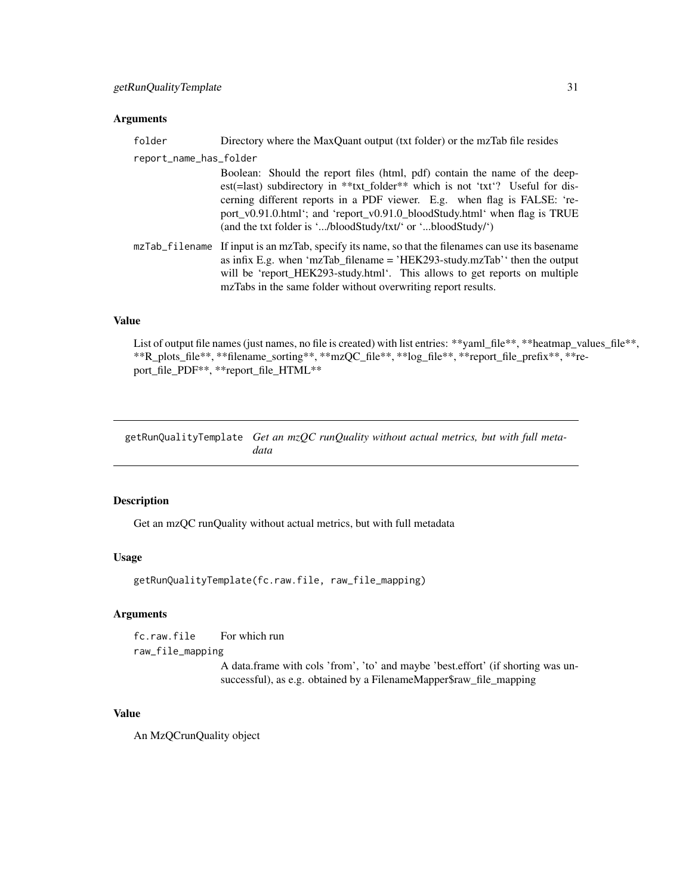# <span id="page-30-0"></span>Arguments

| folder                 | Directory where the MaxQuant output (txt folder) or the mzTab file resides                                                                                                                                                                                                                                                                                                            |
|------------------------|---------------------------------------------------------------------------------------------------------------------------------------------------------------------------------------------------------------------------------------------------------------------------------------------------------------------------------------------------------------------------------------|
| report_name_has_folder |                                                                                                                                                                                                                                                                                                                                                                                       |
|                        | Boolean: Should the report files (html, pdf) contain the name of the deep-<br>est(=last) subdirectory in ***txt_folder** which is not 'txt'? Useful for dis-<br>cerning different reports in a PDF viewer. E.g. when flag is FALSE: 're-<br>port_v0.91.0.html'; and 'report_v0.91.0_bloodStudy.html' when flag is TRUE<br>(and the txt folder is '/bloodStudy/txt/' or 'bloodStudy/') |
| mzTab_filename         | If input is an mzTab, specify its name, so that the filenames can use its basename<br>as infix E.g. when 'mzTab_filename = 'HEK293-study.mzTab'' then the output<br>will be 'report_HEK293-study.html'. This allows to get reports on multiple<br>mzTabs in the same folder without overwriting report results.                                                                       |

# Value

List of output file names (just names, no file is created) with list entries: \*\*yaml\_file\*\*, \*\*heatmap\_values\_file\*\*, \*\*R\_plots\_file\*\*, \*\*filename\_sorting\*\*, \*\*mzQC\_file\*\*, \*\*log\_file\*\*, \*\*report\_file\_prefix\*\*, \*\*report\_file\_PDF\*\*, \*\*report\_file\_HTML\*\*

getRunQualityTemplate *Get an mzQC runQuality without actual metrics, but with full metadata*

#### Description

Get an mzQC runQuality without actual metrics, but with full metadata

# Usage

getRunQualityTemplate(fc.raw.file, raw\_file\_mapping)

# Arguments

fc.raw.file For which run raw\_file\_mapping

A data.frame with cols 'from', 'to' and maybe 'best.effort' (if shorting was unsuccessful), as e.g. obtained by a FilenameMapper\$raw\_file\_mapping

# Value

An MzQCrunQuality object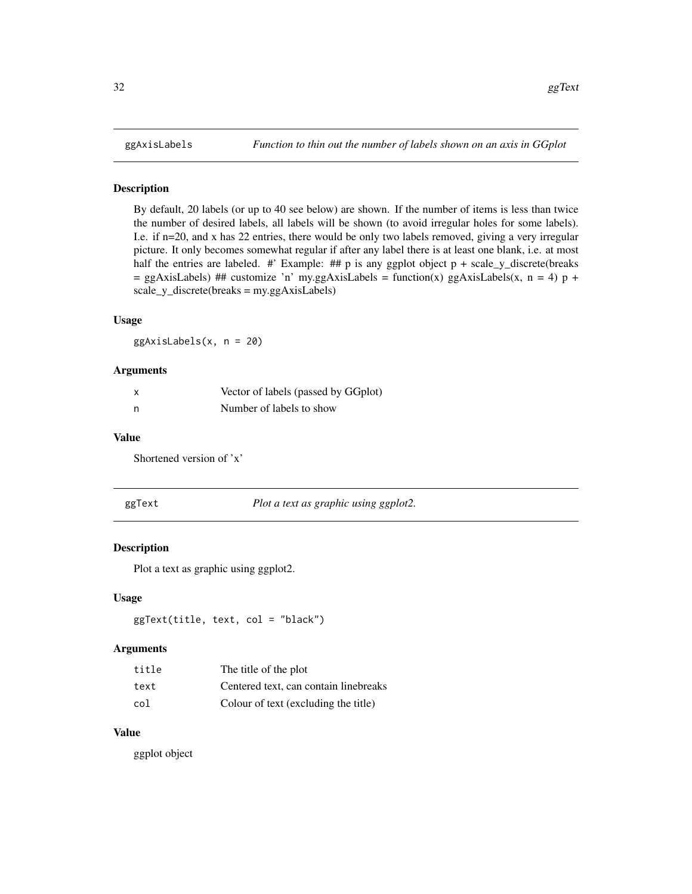<span id="page-31-0"></span>By default, 20 labels (or up to 40 see below) are shown. If the number of items is less than twice the number of desired labels, all labels will be shown (to avoid irregular holes for some labels). I.e. if n=20, and x has 22 entries, there would be only two labels removed, giving a very irregular picture. It only becomes somewhat regular if after any label there is at least one blank, i.e. at most half the entries are labeled. #' Example: ## p is any ggplot object  $p + scale_y$  discrete(breaks  $=$  ggAxisLabels) ## customize 'n' my.ggAxisLabels = function(x) ggAxisLabels(x, n = 4) p + scale\_y\_discrete(breaks = my.ggAxisLabels)

# Usage

ggAxisLabels(x, n = 20)

#### Arguments

| x | Vector of labels (passed by GGplot) |
|---|-------------------------------------|
| n | Number of labels to show            |

#### Value

Shortened version of 'x'

ggText *Plot a text as graphic using ggplot2.*

#### Description

Plot a text as graphic using ggplot2.

#### Usage

ggText(title, text, col = "black")

#### Arguments

| title | The title of the plot                 |
|-------|---------------------------------------|
| text  | Centered text, can contain linebreaks |
| col   | Colour of text (excluding the title)  |

#### Value

ggplot object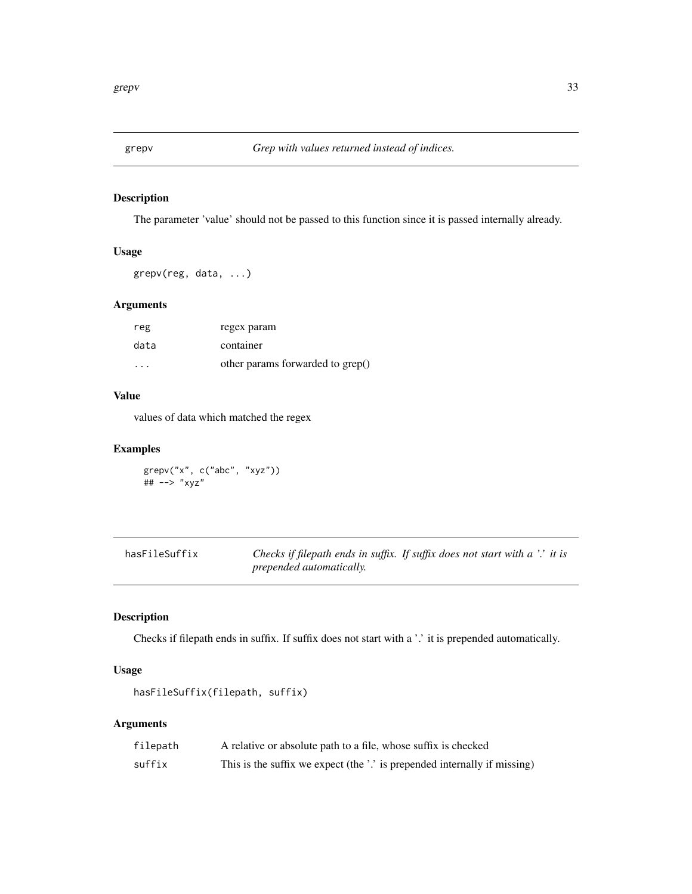<span id="page-32-0"></span>

The parameter 'value' should not be passed to this function since it is passed internally already.

# Usage

grepv(reg, data, ...)

# Arguments

| reg                     | regex param                      |
|-------------------------|----------------------------------|
| data                    | container                        |
| $\cdot$ $\cdot$ $\cdot$ | other params forwarded to grep() |

#### Value

values of data which matched the regex

# Examples

grepv("x", c("abc", "xyz")) ## --> "xyz"

| hasFileSuffix |                                 | Checks if filepath ends in suffix. If suffix does not start with a '.' it is |
|---------------|---------------------------------|------------------------------------------------------------------------------|
|               | <i>prepended automatically.</i> |                                                                              |

# Description

Checks if filepath ends in suffix. If suffix does not start with a '.' it is prepended automatically.

# Usage

```
hasFileSuffix(filepath, suffix)
```
# Arguments

| filepath | A relative or absolute path to a file, whose suffix is checked            |
|----------|---------------------------------------------------------------------------|
| suffix   | This is the suffix we expect (the '.' is prepended internally if missing) |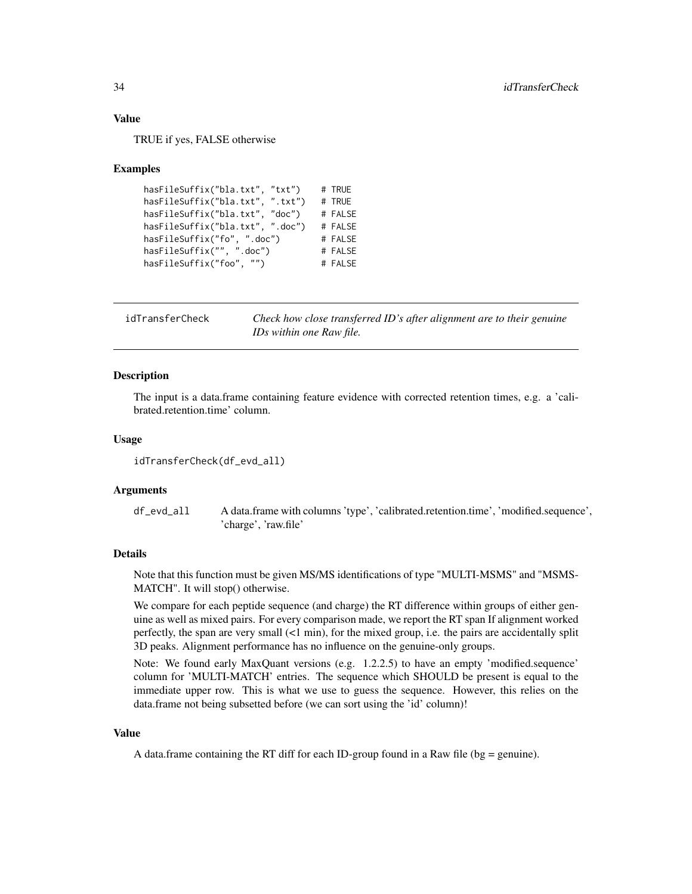#### Value

TRUE if yes, FALSE otherwise

#### Examples

```
hasFileSuffix("bla.txt", "txt") # TRUE
hasFileSuffix("bla.txt", ".txt") # TRUE
hasFileSuffix("bla.txt", "doc") # FALSE
hasFileSuffix("bla.txt", ".doc") # FALSE
hasFileSuffix("fo", ".doc") # FALSE
hasFileSuffix("", ".doc") # FALSE
hasFileSuffix("foo", "") # FALSE
```
idTransferCheck *Check how close transferred ID's after alignment are to their genuine IDs within one Raw file.*

#### **Description**

The input is a data.frame containing feature evidence with corrected retention times, e.g. a 'calibrated.retention.time' column.

# Usage

```
idTransferCheck(df_evd_all)
```
#### Arguments

df\_evd\_all A data.frame with columns 'type', 'calibrated.retention.time', 'modified.sequence', 'charge', 'raw.file'

#### Details

Note that this function must be given MS/MS identifications of type "MULTI-MSMS" and "MSMS-MATCH". It will stop() otherwise.

We compare for each peptide sequence (and charge) the RT difference within groups of either genuine as well as mixed pairs. For every comparison made, we report the RT span If alignment worked perfectly, the span are very small (<1 min), for the mixed group, i.e. the pairs are accidentally split 3D peaks. Alignment performance has no influence on the genuine-only groups.

Note: We found early MaxQuant versions (e.g. 1.2.2.5) to have an empty 'modified.sequence' column for 'MULTI-MATCH' entries. The sequence which SHOULD be present is equal to the immediate upper row. This is what we use to guess the sequence. However, this relies on the data.frame not being subsetted before (we can sort using the 'id' column)!

#### Value

A data.frame containing the RT diff for each ID-group found in a Raw file ( $bg =$  genuine).

<span id="page-33-0"></span>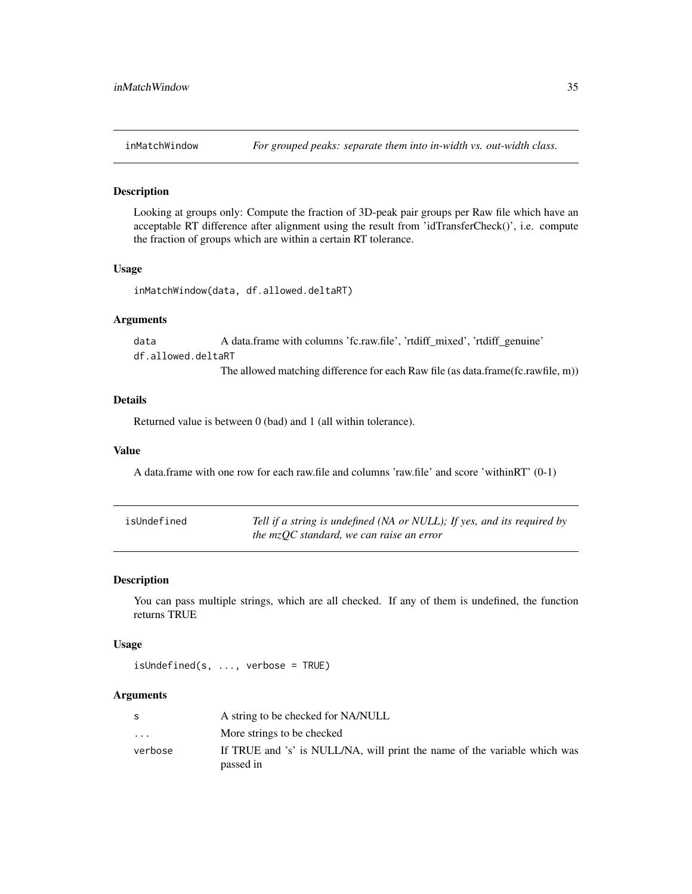<span id="page-34-0"></span>

Looking at groups only: Compute the fraction of 3D-peak pair groups per Raw file which have an acceptable RT difference after alignment using the result from 'idTransferCheck()', i.e. compute the fraction of groups which are within a certain RT tolerance.

#### Usage

```
inMatchWindow(data, df.allowed.deltaRT)
```
# Arguments

data A data.frame with columns 'fc.raw.file', 'rtdiff\_mixed', 'rtdiff\_genuine' df.allowed.deltaRT The allowed matching difference for each Raw file (as data.frame(fc.rawfile, m))

#### Details

Returned value is between 0 (bad) and 1 (all within tolerance).

#### Value

A data.frame with one row for each raw.file and columns 'raw.file' and score 'withinRT' (0-1)

| isUndefined | Tell if a string is undefined (NA or NULL); If yes, and its required by |
|-------------|-------------------------------------------------------------------------|
|             | the $mzOC$ standard, we can raise an error                              |

#### Description

You can pass multiple strings, which are all checked. If any of them is undefined, the function returns TRUE

#### Usage

```
isUndefined(s, ..., verbose = TRUE)
```
# Arguments

|                         | A string to be checked for NA/NULL                                        |
|-------------------------|---------------------------------------------------------------------------|
| $\cdot$ $\cdot$ $\cdot$ | More strings to be checked                                                |
| verbose                 | If TRUE and 's' is NULL/NA, will print the name of the variable which was |
|                         | passed in                                                                 |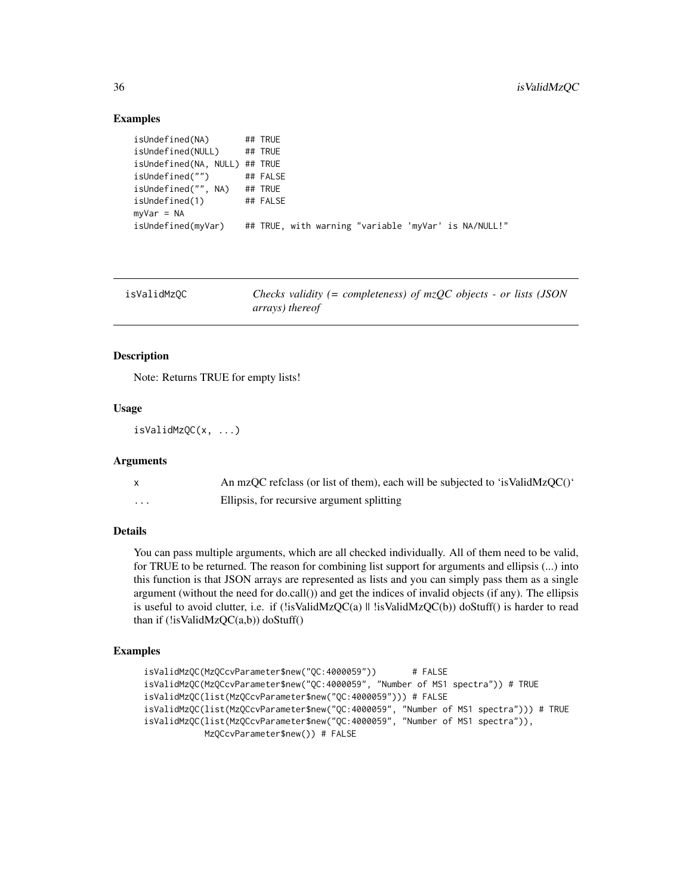#### Examples

```
isUndefined(NA) ## TRUE
isUndefined(NULL) ## TRUE
isUndefined(NA, NULL) ## TRUE
isUndefined("") ## FALSE
isUndefined("", NA) ## TRUE
isUndefined(1) ## FALSE
myVar = NA
isUndefined(myVar) ## TRUE, with warning "variable 'myVar' is NA/NULL!"
```

| isValidMzQC | Checks validity (= completeness) of $mzQC$ objects - or lists (JSON |
|-------------|---------------------------------------------------------------------|
|             | arrays) thereof                                                     |

#### Description

Note: Returns TRUE for empty lists!

# Usage

```
isValidMzQC(x, ...)
```
### Arguments

|          | An mzQC refclass (or list of them), each will be subjected to 'is ValidMzQC()' |
|----------|--------------------------------------------------------------------------------|
| $\cdots$ | Ellipsis, for recursive argument splitting                                     |

# Details

You can pass multiple arguments, which are all checked individually. All of them need to be valid, for TRUE to be returned. The reason for combining list support for arguments and ellipsis (...) into this function is that JSON arrays are represented as lists and you can simply pass them as a single argument (without the need for do.call()) and get the indices of invalid objects (if any). The ellipsis is useful to avoid clutter, i.e. if (!isValidMzQC(a) || !isValidMzQC(b)) doStuff() is harder to read than if (!isValidMzQC(a,b)) doStuff()

# Examples

```
isValidMzQC(MzQCcvParameter$new("QC:4000059")) # FALSE
isValidMzQC(MzQCcvParameter$new("QC:4000059", "Number of MS1 spectra")) # TRUE
isValidMzQC(list(MzQCcvParameter$new("QC:4000059"))) # FALSE
isValidMzQC(list(MzQCcvParameter$new("QC:4000059", "Number of MS1 spectra"))) # TRUE
isValidMzQC(list(MzQCcvParameter$new("QC:4000059", "Number of MS1 spectra")),
           MzQCcvParameter$new()) # FALSE
```
<span id="page-35-0"></span>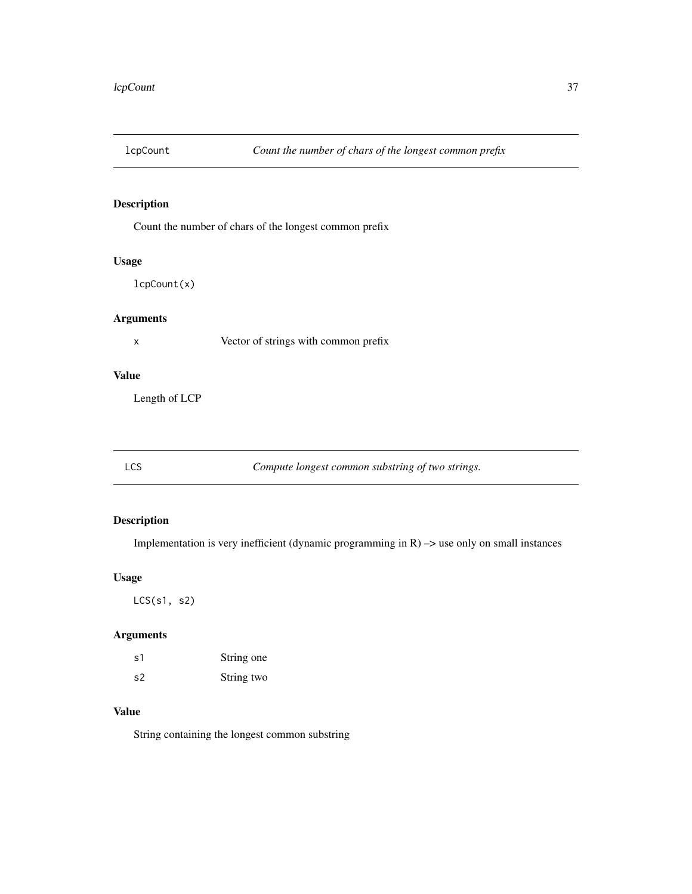Count the number of chars of the longest common prefix

## Usage

lcpCount(x)

# Arguments

x Vector of strings with common prefix

## Value

Length of LCP

LCS *Compute longest common substring of two strings.*

## Description

Implementation is very inefficient (dynamic programming in  $R$ )  $\rightarrow$  use only on small instances

## Usage

LCS(s1, s2)

## Arguments

| s1 | String one |
|----|------------|
| s2 | String two |

## Value

String containing the longest common substring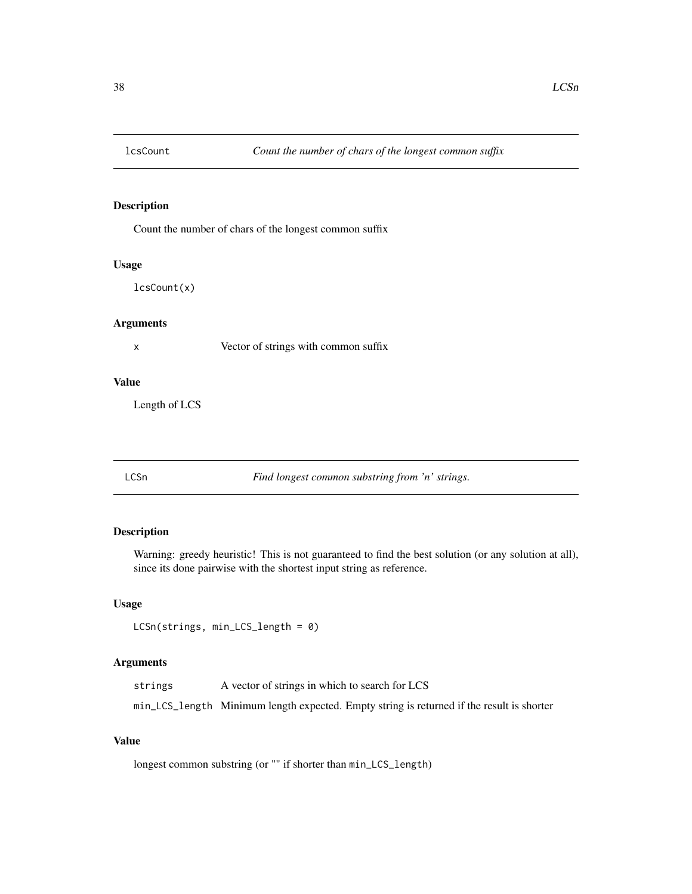Count the number of chars of the longest common suffix

#### Usage

lcsCount(x)

## Arguments

x Vector of strings with common suffix

#### Value

Length of LCS

LCSn *Find longest common substring from 'n' strings.*

## Description

Warning: greedy heuristic! This is not guaranteed to find the best solution (or any solution at all), since its done pairwise with the shortest input string as reference.

## Usage

```
LCSn(strings, min_LCS_length = 0)
```
## Arguments

|  | strings | A vector of strings in which to search for LCS |  |
|--|---------|------------------------------------------------|--|
|--|---------|------------------------------------------------|--|

min\_LCS\_length Minimum length expected. Empty string is returned if the result is shorter

## Value

```
longest common substring (or "" if shorter than min_LCS_length)
```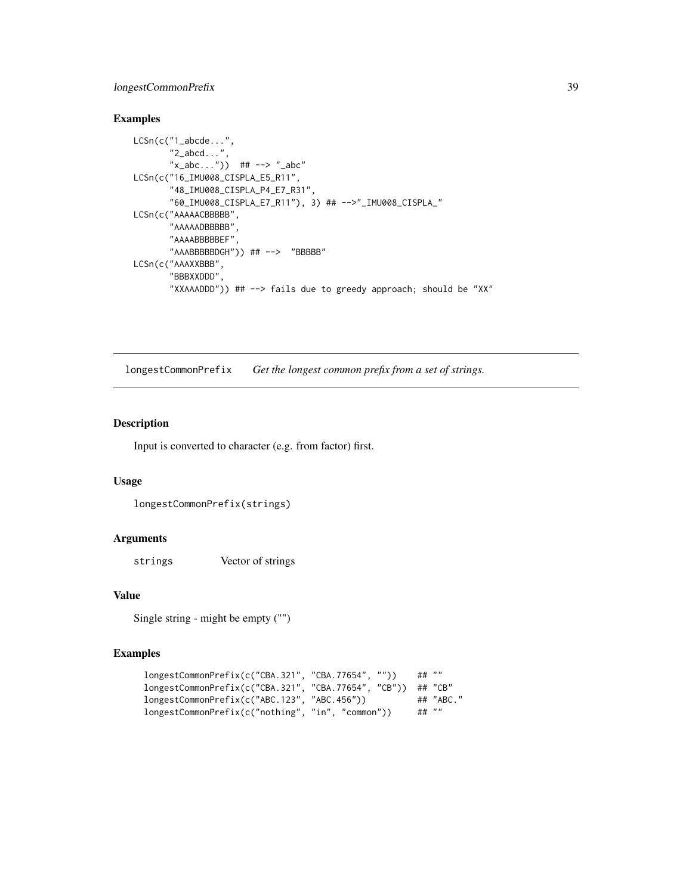## longestCommonPrefix 39

## Examples

```
LCSn(c("1_abcde...",
       "2_abcd...",
       "x_abc...") ## --> "_abc"
LCSn(c("16_IMU008_CISPLA_E5_R11",
       "48_IMU008_CISPLA_P4_E7_R31",
       "60_IMU008_CISPLA_E7_R11"), 3) ## -->"_IMU008_CISPLA_"
LCSn(c("AAAAACBBBBB",
       "AAAAADBBBBB",
       "AAAABBBBBEF",
       "AAABBBBBDGH")) ## --> "BBBBB"
LCSn(c("AAAXXBBB",
       "BBBXXDDD",
       "XXAAADDD")) ## --> fails due to greedy approach; should be "XX"
```
longestCommonPrefix *Get the longest common prefix from a set of strings.*

### Description

Input is converted to character (e.g. from factor) first.

## Usage

```
longestCommonPrefix(strings)
```
#### Arguments

strings Vector of strings

## Value

Single string - might be empty ("")

```
longestCommonPrefix(c("CBA.321", "CBA.77654", "")) ## ""
longestCommonPrefix(c("CBA.321", "CBA.77654", "CB")) ## "CB"
longestCommonPrefix(c("ABC.123", "ABC.456")) ## "ABC."
longestCommonPrefix(c("nothing", "in", "common")) ## ""
```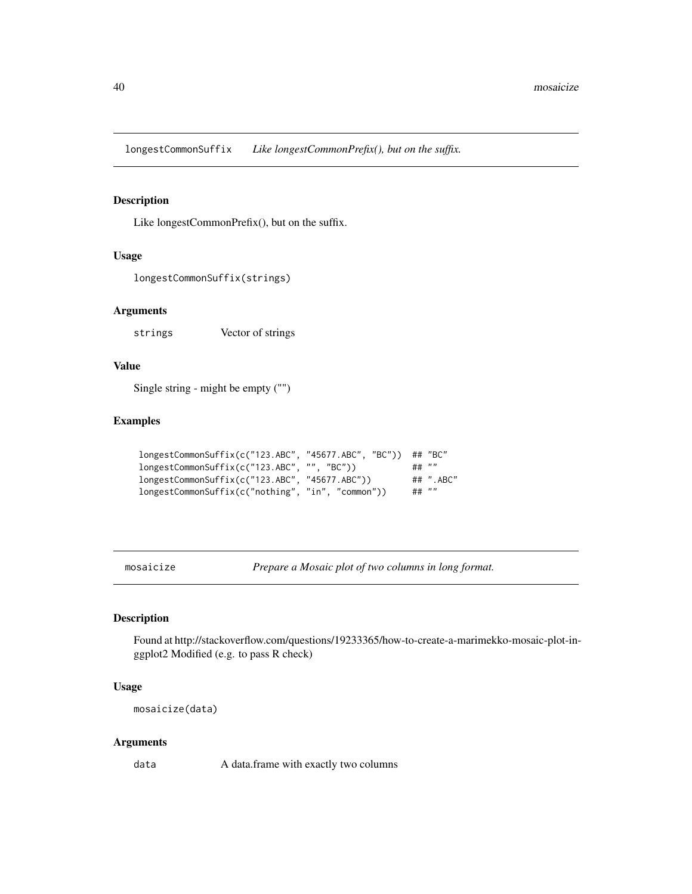longestCommonSuffix *Like longestCommonPrefix(), but on the suffix.*

### Description

Like longestCommonPrefix(), but on the suffix.

#### Usage

```
longestCommonSuffix(strings)
```
## Arguments

strings Vector of strings

## Value

Single string - might be empty ("")

## Examples

```
longestCommonSuffix(c("123.ABC", "45677.ABC", "BC")) ## "BC"<br>longestCommonSuffix(c("123.ABC", "". "BC")) ## ""
longestCommonSuffix(c("123.ABC", "", "BC")) ## ""<br>longestCommonSuffix(c("123.ABC", "45677.ABC") ## ".ABC"
longestCommonSuffix(c("123.ABC", "45677.ABC"))longestCommonSuffix(c("nothing", "in", "common")) ## ""
```
mosaicize *Prepare a Mosaic plot of two columns in long format.*

#### Description

Found at http://stackoverflow.com/questions/19233365/how-to-create-a-marimekko-mosaic-plot-inggplot2 Modified (e.g. to pass R check)

#### Usage

mosaicize(data)

#### Arguments

data A data.frame with exactly two columns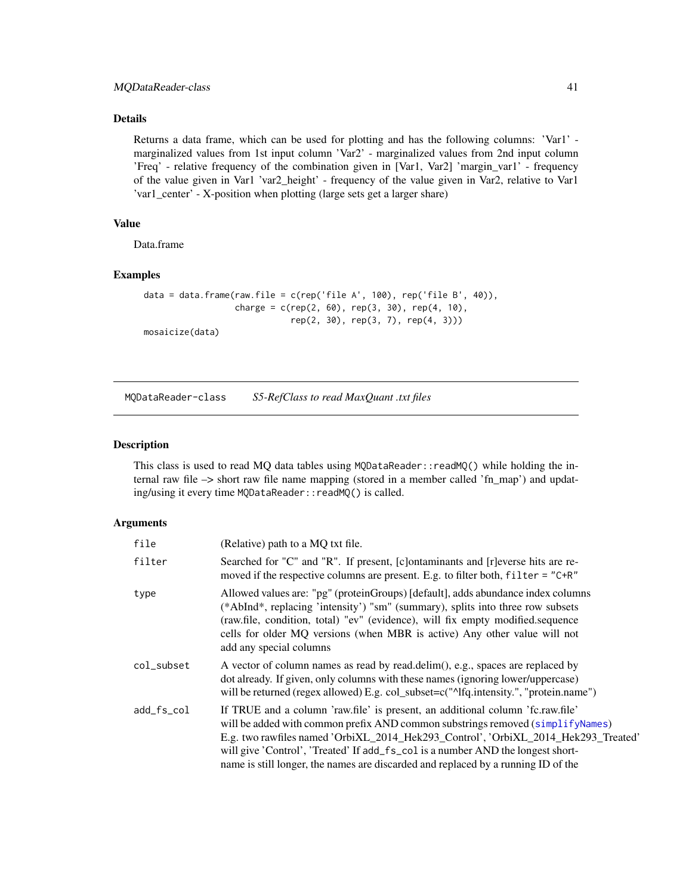## Details

Returns a data frame, which can be used for plotting and has the following columns: 'Var1' marginalized values from 1st input column 'Var2' - marginalized values from 2nd input column 'Freq' - relative frequency of the combination given in [Var1, Var2] 'margin\_var1' - frequency of the value given in Var1 'var2\_height' - frequency of the value given in Var2, relative to Var1 'var1\_center' - X-position when plotting (large sets get a larger share)

## Value

Data.frame

## Examples

```
data = data.frame(raw.file = c(rep('file A', 100), rep('file B', 40)),
                 charge = c(rep(2, 60), rep(3, 30), rep(4, 10),rep(2, 30), rep(3, 7), rep(4, 3)))
mosaicize(data)
```
MQDataReader-class *S5-RefClass to read MaxQuant .txt files*

#### Description

This class is used to read MQ data tables using MQDataReader::readMQ() while holding the internal raw file –> short raw file name mapping (stored in a member called 'fn\_map') and updating/using it every time MQDataReader::readMQ() is called.

### Arguments

| file       | (Relative) path to a MO txt file.                                                                                                                                                                                                                                                                                                                                                                                               |
|------------|---------------------------------------------------------------------------------------------------------------------------------------------------------------------------------------------------------------------------------------------------------------------------------------------------------------------------------------------------------------------------------------------------------------------------------|
| filter     | Searched for "C" and "R". If present, [c] ontaminants and [r] everse hits are re-<br>moved if the respective columns are present. E.g. to filter both, $filter = "C+R"$                                                                                                                                                                                                                                                         |
| type       | Allowed values are: "pg" (proteinGroups) [default], adds abundance index columns<br>(*AbInd*, replacing 'intensity') "sm" (summary), splits into three row subsets<br>(raw.file, condition, total) "ev" (evidence), will fix empty modified.sequence<br>cells for older MQ versions (when MBR is active) Any other value will not<br>add any special columns                                                                    |
| col_subset | A vector of column names as read by read.delim(), e.g., spaces are replaced by<br>dot already. If given, only columns with these names (ignoring lower/uppercase)<br>will be returned (regex allowed) E.g. col_subset=c("^Ifq.intensity.", "protein.name")                                                                                                                                                                      |
| add_fs_col | If TRUE and a column 'raw.file' is present, an additional column 'fc.raw.file'<br>will be added with common prefix AND common substrings removed (simplify Names)<br>E.g. two rawfiles named 'OrbiXL_2014_Hek293_Control', 'OrbiXL_2014_Hek293_Treated'<br>will give 'Control', 'Treated' If add_fs_col is a number AND the longest short-<br>name is still longer, the names are discarded and replaced by a running ID of the |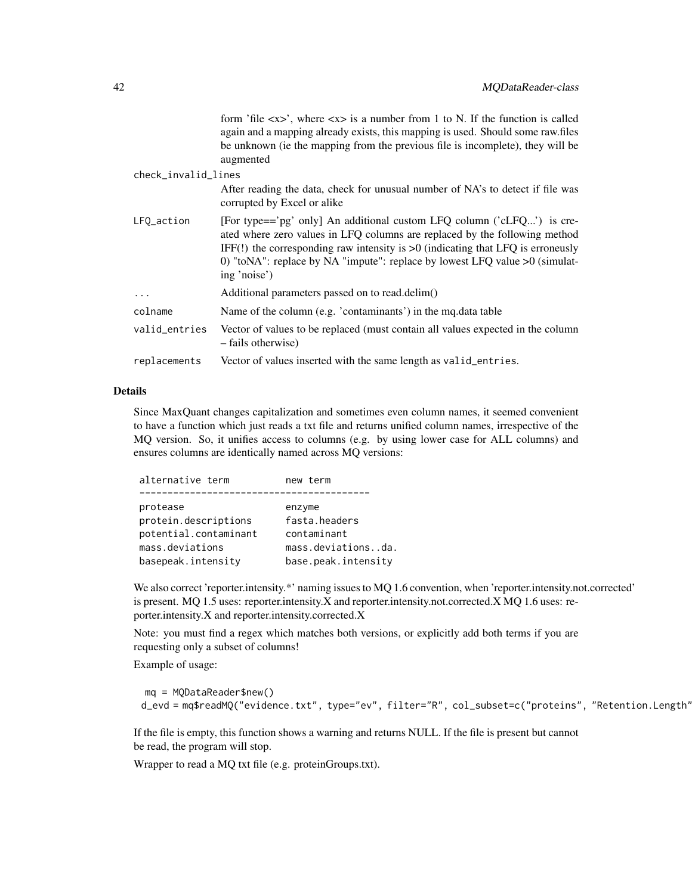|                     | form 'file $\langle x \rangle$ ', where $\langle x \rangle$ is a number from 1 to N. If the function is called<br>again and a mapping already exists, this mapping is used. Should some raw.files<br>be unknown (ie the mapping from the previous file is incomplete), they will be<br>augmented                                           |
|---------------------|--------------------------------------------------------------------------------------------------------------------------------------------------------------------------------------------------------------------------------------------------------------------------------------------------------------------------------------------|
| check_invalid_lines |                                                                                                                                                                                                                                                                                                                                            |
|                     | After reading the data, check for unusual number of NA's to detect if file was<br>corrupted by Excel or alike                                                                                                                                                                                                                              |
| LFQ_action          | [For type=='pg' only] An additional custom LFQ column ('cLFQ') is cre-<br>ated where zero values in LFQ columns are replaced by the following method<br>IFF(!) the corresponding raw intensity is $>0$ (indicating that LFQ is erroneusly<br>0) "toNA": replace by NA "impute": replace by lowest LFQ value $>0$ (simulat-<br>ing 'noise') |
| .                   | Additional parameters passed on to read.delim()                                                                                                                                                                                                                                                                                            |
| colname             | Name of the column (e.g. 'contaminants') in the mq.data table                                                                                                                                                                                                                                                                              |
| valid_entries       | Vector of values to be replaced (must contain all values expected in the column<br>– fails otherwise)                                                                                                                                                                                                                                      |
| replacements        | Vector of values inserted with the same length as valid_entries.                                                                                                                                                                                                                                                                           |

### Details

Since MaxQuant changes capitalization and sometimes even column names, it seemed convenient to have a function which just reads a txt file and returns unified column names, irrespective of the MQ version. So, it unifies access to columns (e.g. by using lower case for ALL columns) and ensures columns are identically named across MQ versions:

| alternative term      | new term            |
|-----------------------|---------------------|
|                       |                     |
| protease              | enzyme              |
| protein.descriptions  | fasta.headers       |
| potential.contaminant | contaminant         |
| mass.deviations       | mass.deviationsda.  |
| basepeak.intensity    | base.peak.intensity |
|                       |                     |

We also correct 'reporter.intensity.\*' naming issues to MQ 1.6 convention, when 'reporter.intensity.not.corrected' is present. MQ 1.5 uses: reporter.intensity.X and reporter.intensity.not.corrected.X MQ 1.6 uses: reporter.intensity.X and reporter.intensity.corrected.X

Note: you must find a regex which matches both versions, or explicitly add both terms if you are requesting only a subset of columns!

Example of usage:

```
mq = MQDataReader$new()
d_evd = mq$readMQ("evidence.txt", type="ev", filter="R", col_subset=c("proteins", "Retention.Length'
```
If the file is empty, this function shows a warning and returns NULL. If the file is present but cannot be read, the program will stop.

Wrapper to read a MQ txt file (e.g. proteinGroups.txt).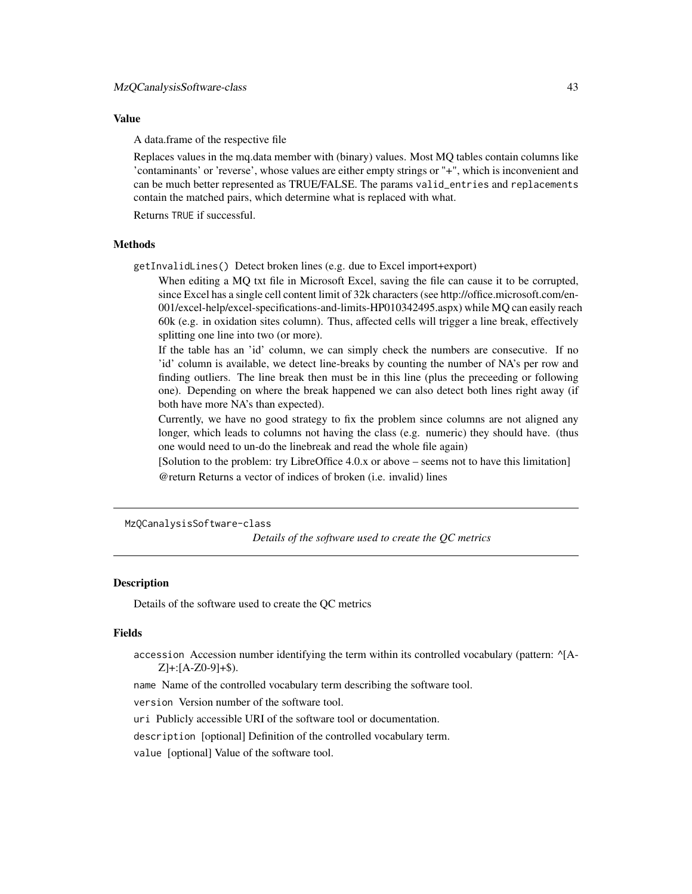### Value

A data.frame of the respective file

Replaces values in the mq.data member with (binary) values. Most MQ tables contain columns like 'contaminants' or 'reverse', whose values are either empty strings or "+", which is inconvenient and can be much better represented as TRUE/FALSE. The params valid\_entries and replacements contain the matched pairs, which determine what is replaced with what.

Returns TRUE if successful.

#### Methods

getInvalidLines() Detect broken lines (e.g. due to Excel import+export)

When editing a MQ txt file in Microsoft Excel, saving the file can cause it to be corrupted, since Excel has a single cell content limit of 32k characters (see http://office.microsoft.com/en-001/excel-help/excel-specifications-and-limits-HP010342495.aspx) while MQ can easily reach 60k (e.g. in oxidation sites column). Thus, affected cells will trigger a line break, effectively splitting one line into two (or more).

If the table has an 'id' column, we can simply check the numbers are consecutive. If no 'id' column is available, we detect line-breaks by counting the number of NA's per row and finding outliers. The line break then must be in this line (plus the preceeding or following one). Depending on where the break happened we can also detect both lines right away (if both have more NA's than expected).

Currently, we have no good strategy to fix the problem since columns are not aligned any longer, which leads to columns not having the class (e.g. numeric) they should have. (thus one would need to un-do the linebreak and read the whole file again)

[Solution to the problem: try LibreOffice 4.0.x or above – seems not to have this limitation] @return Returns a vector of indices of broken (i.e. invalid) lines

MzQCanalysisSoftware-class

*Details of the software used to create the QC metrics*

#### Description

Details of the software used to create the QC metrics

#### Fields

accession Accession number identifying the term within its controlled vocabulary (pattern: ^[A- $Z$  +:  $[A-Z0-9]+$$ ).

name Name of the controlled vocabulary term describing the software tool.

version Version number of the software tool.

uri Publicly accessible URI of the software tool or documentation.

description [optional] Definition of the controlled vocabulary term.

value [optional] Value of the software tool.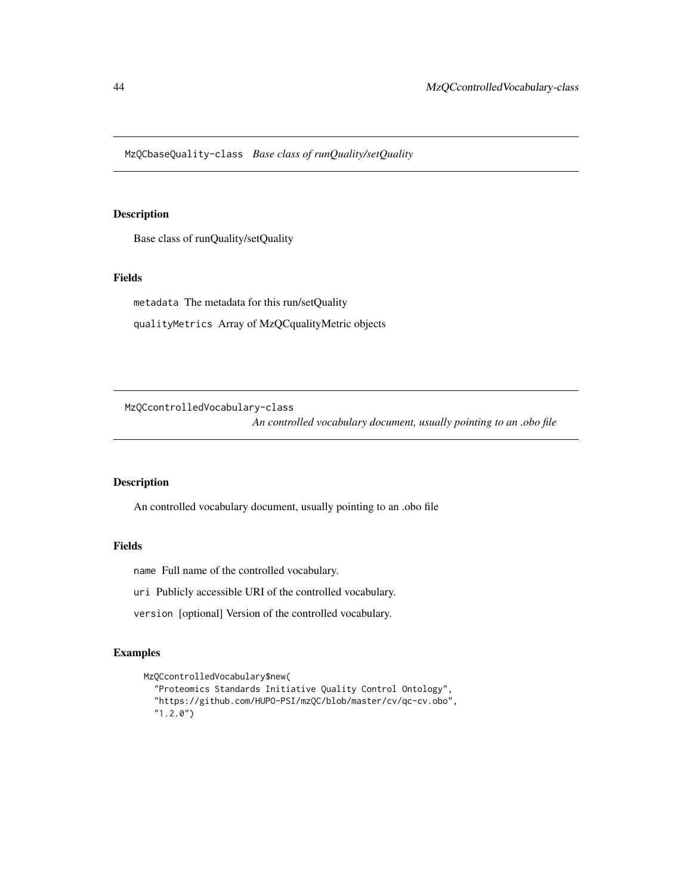MzQCbaseQuality-class *Base class of runQuality/setQuality*

## Description

Base class of runQuality/setQuality

#### Fields

metadata The metadata for this run/setQuality

qualityMetrics Array of MzQCqualityMetric objects

MzQCcontrolledVocabulary-class

*An controlled vocabulary document, usually pointing to an .obo file*

## Description

An controlled vocabulary document, usually pointing to an .obo file

## Fields

name Full name of the controlled vocabulary.

uri Publicly accessible URI of the controlled vocabulary.

version [optional] Version of the controlled vocabulary.

```
MzQCcontrolledVocabulary$new(
  "Proteomics Standards Initiative Quality Control Ontology",
  "https://github.com/HUPO-PSI/mzQC/blob/master/cv/qc-cv.obo",
  "1.2.0")
```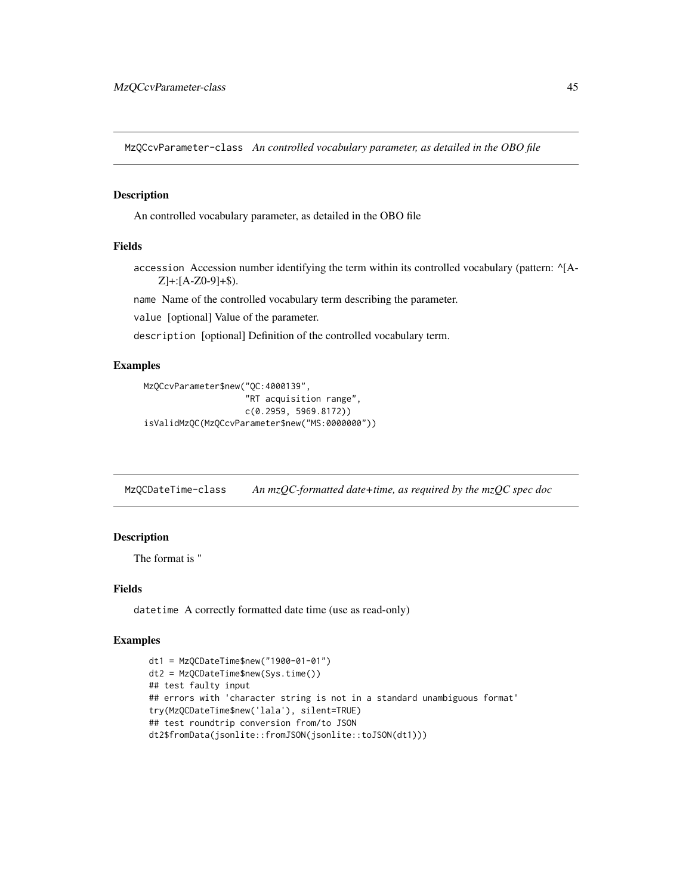MzQCcvParameter-class *An controlled vocabulary parameter, as detailed in the OBO file*

#### Description

An controlled vocabulary parameter, as detailed in the OBO file

## Fields

accession Accession number identifying the term within its controlled vocabulary (pattern: ^[A- $Z$ ]+:[A-Z0-9]+\$).

name Name of the controlled vocabulary term describing the parameter.

value [optional] Value of the parameter.

description [optional] Definition of the controlled vocabulary term.

## Examples

```
MzQCcvParameter$new("QC:4000139",
                    "RT acquisition range",
                    c(0.2959, 5969.8172))
isValidMzQC(MzQCcvParameter$new("MS:0000000"))
```
MzQCDateTime-class *An mzQC-formatted date+time, as required by the mzQC spec doc*

# Description

The format is "

### Fields

datetime A correctly formatted date time (use as read-only)

```
dt1 = MzQCDateTime$new("1900-01-01")
dt2 = MzQCDateTime$new(Sys.time())
## test faulty input
## errors with 'character string is not in a standard unambiguous format'
try(MzQCDateTime$new('lala'), silent=TRUE)
## test roundtrip conversion from/to JSON
dt2$fromData(jsonlite::fromJSON(jsonlite::toJSON(dt1)))
```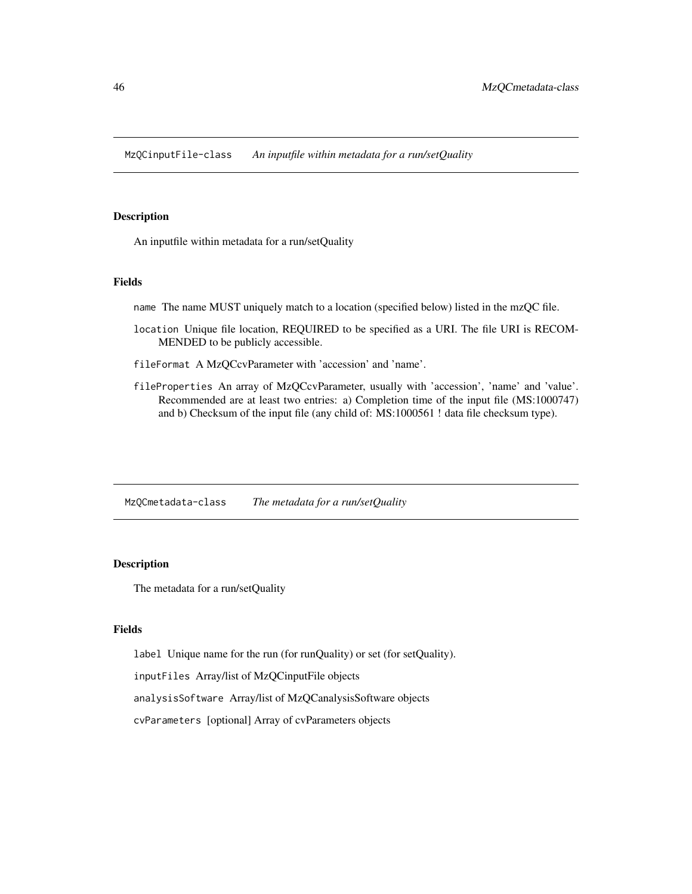MzQCinputFile-class *An inputfile within metadata for a run/setQuality*

## Description

An inputfile within metadata for a run/setQuality

#### Fields

name The name MUST uniquely match to a location (specified below) listed in the mzQC file.

- location Unique file location, REQUIRED to be specified as a URI. The file URI is RECOM-MENDED to be publicly accessible.
- fileFormat A MzQCcvParameter with 'accession' and 'name'.
- fileProperties An array of MzQCcvParameter, usually with 'accession', 'name' and 'value'. Recommended are at least two entries: a) Completion time of the input file (MS:1000747) and b) Checksum of the input file (any child of: MS:1000561 ! data file checksum type).

MzQCmetadata-class *The metadata for a run/setQuality*

#### Description

The metadata for a run/setQuality

### Fields

label Unique name for the run (for runQuality) or set (for setQuality).

inputFiles Array/list of MzQCinputFile objects

analysisSoftware Array/list of MzQCanalysisSoftware objects

cvParameters [optional] Array of cvParameters objects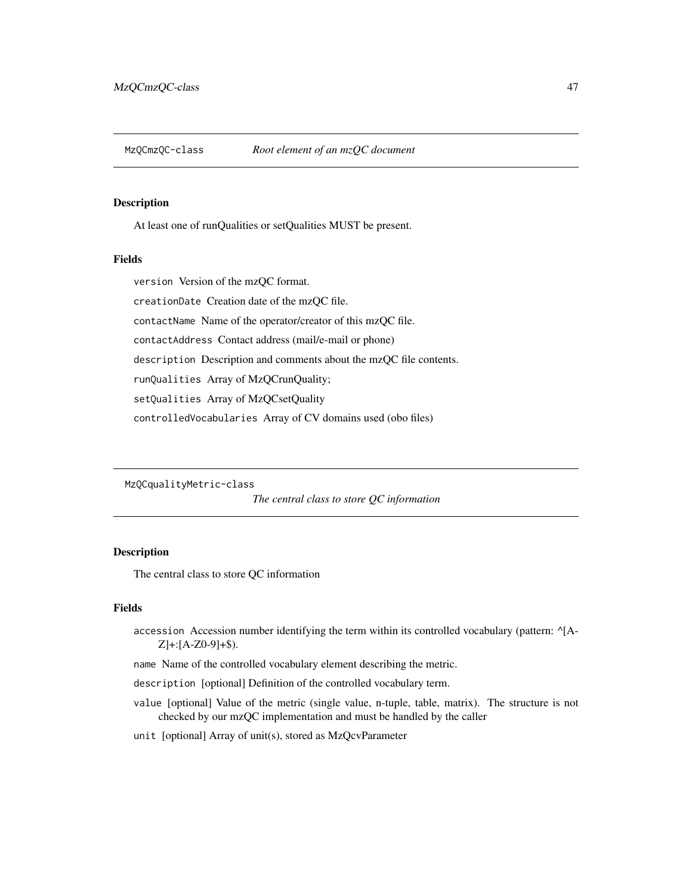At least one of runQualities or setQualities MUST be present.

## Fields

version Version of the mzQC format. creationDate Creation date of the mzQC file. contactName Name of the operator/creator of this mzQC file. contactAddress Contact address (mail/e-mail or phone) description Description and comments about the mzQC file contents. runQualities Array of MzQCrunQuality; setQualities Array of MzQCsetQuality controlledVocabularies Array of CV domains used (obo files)

MzQCqualityMetric-class

*The central class to store QC information*

## Description

The central class to store QC information

## Fields

accession Accession number identifying the term within its controlled vocabulary (pattern:  $^{4}$ [A-Z]+:[A-Z0-9]+\$).

name Name of the controlled vocabulary element describing the metric.

description [optional] Definition of the controlled vocabulary term.

- value [optional] Value of the metric (single value, n-tuple, table, matrix). The structure is not checked by our mzQC implementation and must be handled by the caller
- unit [optional] Array of unit(s), stored as MzQcvParameter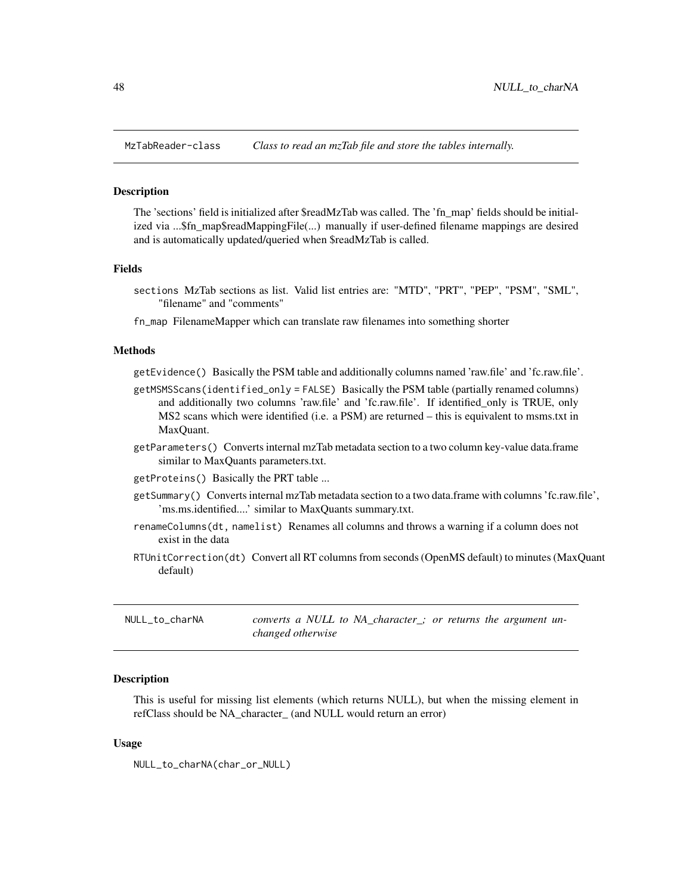The 'sections' field is initialized after \$readMzTab was called. The 'fn\_map' fields should be initialized via ...\$fn\_map\$readMappingFile(...) manually if user-defined filename mappings are desired and is automatically updated/queried when \$readMzTab is called.

### Fields

- sections MzTab sections as list. Valid list entries are: "MTD", "PRT", "PEP", "PSM", "SML", "filename" and "comments"
- fn\_map FilenameMapper which can translate raw filenames into something shorter

#### Methods

getEvidence() Basically the PSM table and additionally columns named 'raw.file' and 'fc.raw.file'.

- getMSMSScans(identified\_only = FALSE) Basically the PSM table (partially renamed columns) and additionally two columns 'raw.file' and 'fc.raw.file'. If identified\_only is TRUE, only MS2 scans which were identified (i.e. a PSM) are returned – this is equivalent to msms.txt in MaxQuant.
- getParameters() Converts internal mzTab metadata section to a two column key-value data.frame similar to MaxQuants parameters.txt.
- getProteins() Basically the PRT table ...
- getSummary() Converts internal mzTab metadata section to a two data.frame with columns 'fc.raw.file', 'ms.ms.identified....' similar to MaxQuants summary.txt.
- renameColumns(dt, namelist) Renames all columns and throws a warning if a column does not exist in the data
- RTUnitCorrection(dt) Convert all RT columns from seconds (OpenMS default) to minutes (MaxQuant default)

NULL\_to\_charNA *converts a NULL to NA\_character\_; or returns the argument unchanged otherwise*

#### **Description**

This is useful for missing list elements (which returns NULL), but when the missing element in refClass should be NA\_character\_ (and NULL would return an error)

#### Usage

NULL\_to\_charNA(char\_or\_NULL)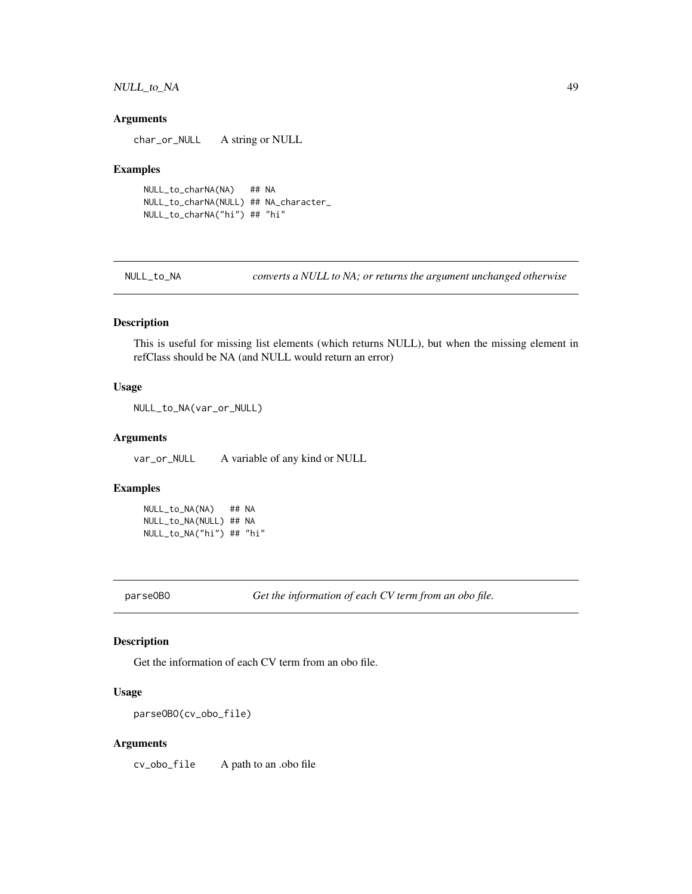## NULL\_to\_NA 49

### Arguments

char\_or\_NULL A string or NULL

#### Examples

NULL\_to\_charNA(NA) ## NA NULL\_to\_charNA(NULL) ## NA\_character\_ NULL\_to\_charNA("hi") ## "hi"

NULL\_to\_NA *converts a NULL to NA; or returns the argument unchanged otherwise*

## Description

This is useful for missing list elements (which returns NULL), but when the missing element in refClass should be NA (and NULL would return an error)

#### Usage

NULL\_to\_NA(var\_or\_NULL)

### Arguments

var\_or\_NULL A variable of any kind or NULL

#### Examples

NULL\_to\_NA(NA) ## NA NULL\_to\_NA(NULL) ## NA NULL\_to\_NA("hi") ## "hi"

parseOBO *Get the information of each CV term from an obo file.*

## Description

Get the information of each CV term from an obo file.

### Usage

parseOBO(cv\_obo\_file)

#### Arguments

cv\_obo\_file A path to an .obo file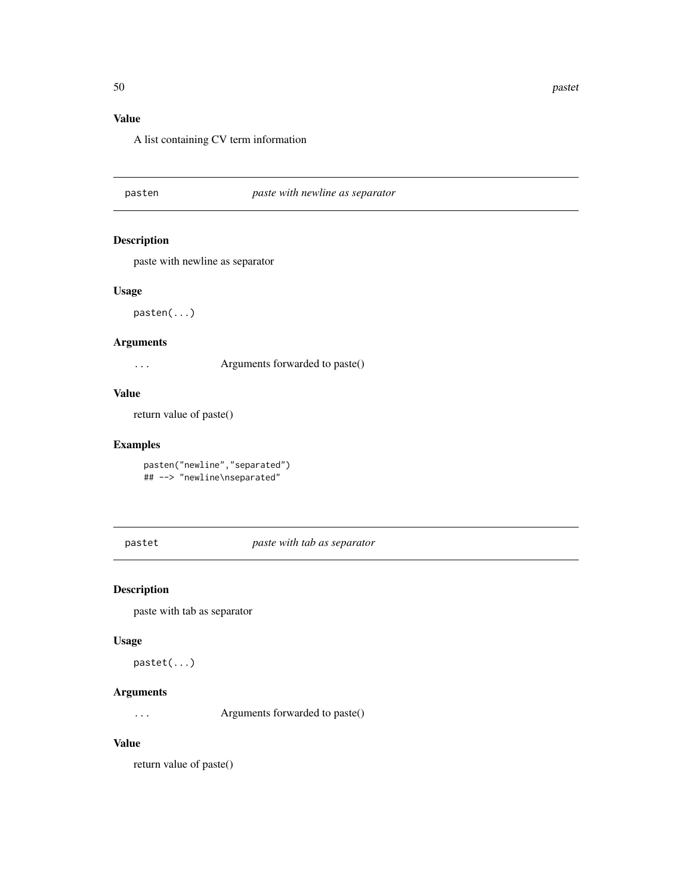# Value

A list containing CV term information

pasten *paste with newline as separator*

## Description

paste with newline as separator

### Usage

pasten(...)

### Arguments

... Arguments forwarded to paste()

### Value

return value of paste()

## Examples

pasten("newline","separated") ## --> "newline\nseparated"

pastet *paste with tab as separator*

## Description

paste with tab as separator

### Usage

pastet(...)

## Arguments

... Arguments forwarded to paste()

# Value

return value of paste()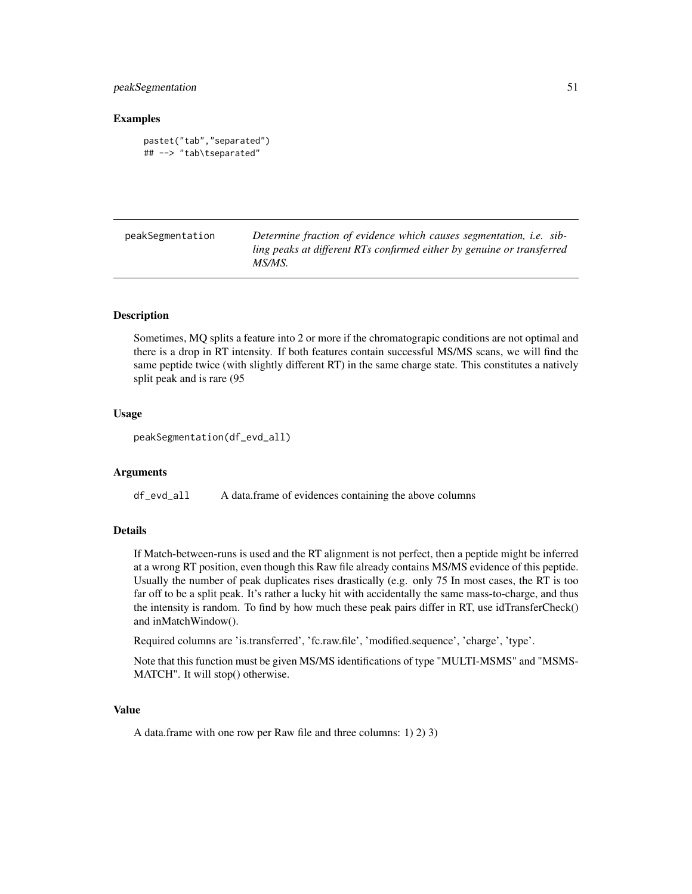## peakSegmentation 51

### Examples

```
pastet("tab","separated")
## --> "tab\tseparated"
```

| peakSegmentation | Determine fraction of evidence which causes segmentation, <i>i.e.</i> sib- |
|------------------|----------------------------------------------------------------------------|
|                  | ling peaks at different RTs confirmed either by genuine or transferred     |
|                  | MS/MS.                                                                     |

## Description

Sometimes, MQ splits a feature into 2 or more if the chromatograpic conditions are not optimal and there is a drop in RT intensity. If both features contain successful MS/MS scans, we will find the same peptide twice (with slightly different RT) in the same charge state. This constitutes a natively split peak and is rare (95

#### Usage

```
peakSegmentation(df_evd_all)
```
#### Arguments

df\_evd\_all A data.frame of evidences containing the above columns

#### Details

If Match-between-runs is used and the RT alignment is not perfect, then a peptide might be inferred at a wrong RT position, even though this Raw file already contains MS/MS evidence of this peptide. Usually the number of peak duplicates rises drastically (e.g. only 75 In most cases, the RT is too far off to be a split peak. It's rather a lucky hit with accidentally the same mass-to-charge, and thus the intensity is random. To find by how much these peak pairs differ in RT, use idTransferCheck() and inMatchWindow().

Required columns are 'is.transferred', 'fc.raw.file', 'modified.sequence', 'charge', 'type'.

Note that this function must be given MS/MS identifications of type "MULTI-MSMS" and "MSMS-MATCH". It will stop() otherwise.

## Value

A data.frame with one row per Raw file and three columns: 1) 2) 3)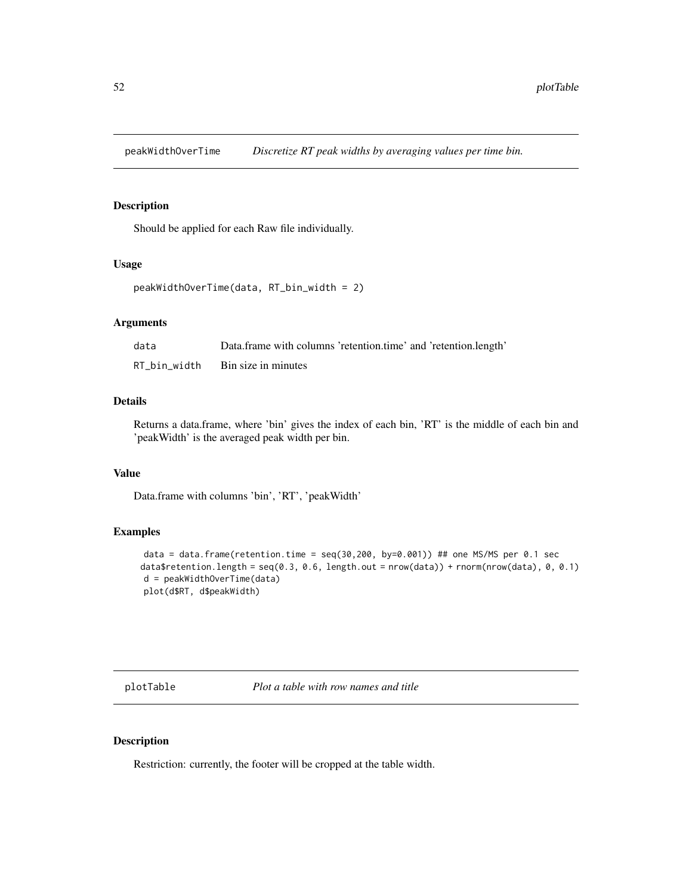Should be applied for each Raw file individually.

## Usage

```
peakWidthOverTime(data, RT_bin_width = 2)
```
# Arguments

| data         | Data.frame with columns 'retention.time' and 'retention.length' |
|--------------|-----------------------------------------------------------------|
| RT_bin_width | Bin size in minutes                                             |

## Details

Returns a data.frame, where 'bin' gives the index of each bin, 'RT' is the middle of each bin and 'peakWidth' is the averaged peak width per bin.

## Value

Data.frame with columns 'bin', 'RT', 'peakWidth'

## Examples

```
data = data.frame(retention.time = seq(30,200, by=0.001)) ## one MS/MS per 0.1 sec
data$retention.length = seq(0.3, 0.6, length.out = nrow(data)) + rnorm(nrow(data), 0, 0.1)
d = peakWidthOverTime(data)
plot(d$RT, d$peakWidth)
```
plotTable *Plot a table with row names and title*

#### Description

Restriction: currently, the footer will be cropped at the table width.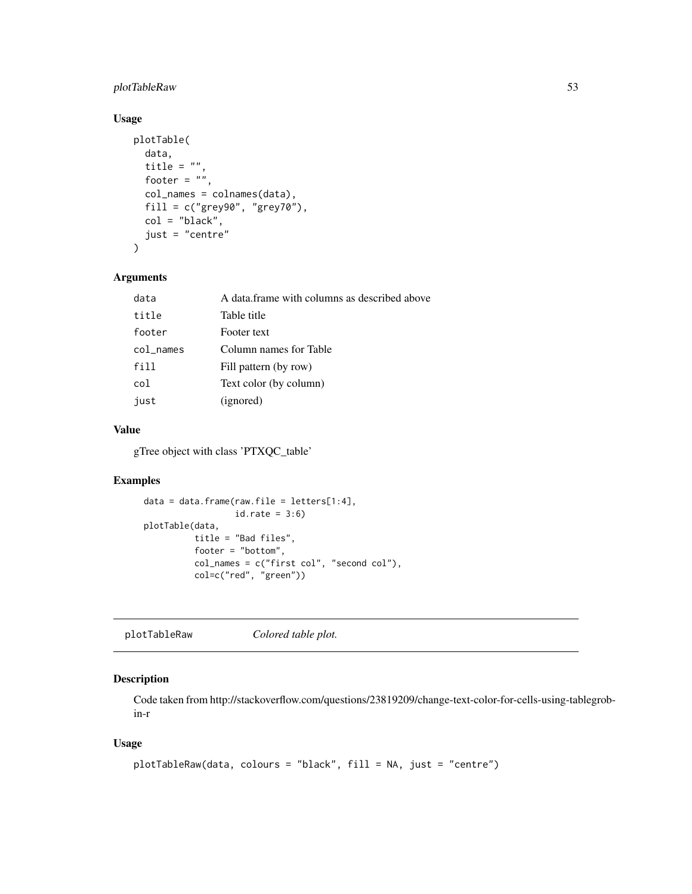## plotTableRaw 53

## Usage

```
plotTable(
 data,
  title = ",
 footer = ",
 col_names = colnames(data),
 fill = c("grey90", "grey70"),
 col = "black",
  just = "centre"
\mathcal{L}
```
### Arguments

| data      | A data frame with columns as described above |
|-----------|----------------------------------------------|
| title     | Table title                                  |
| footer    | Footer text                                  |
| col_names | Column names for Table                       |
| fill      | Fill pattern (by row)                        |
| col       | Text color (by column)                       |
| just      | (ignored)                                    |
|           |                                              |

# Value

gTree object with class 'PTXQC\_table'

## Examples

```
data = data.frame(raw.file = letters[1:4],
                  id.\text{rate} = 3:6plotTable(data,
          title = "Bad files",
          footer = "bottom",
          col_names = c("first col", "second col"),
          col=c("red", "green"))
```
plotTableRaw *Colored table plot.*

## Description

Code taken from http://stackoverflow.com/questions/23819209/change-text-color-for-cells-using-tablegrobin-r

### Usage

```
plotTableRaw(data, colours = "black", fill = NA, just = "centre")
```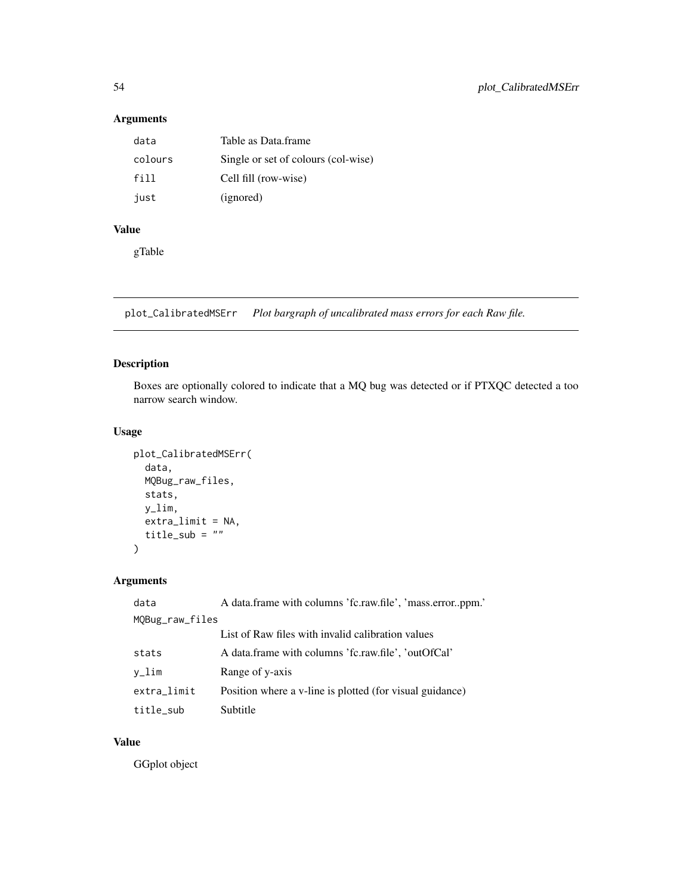# Arguments

| data    | Table as Data frame                 |
|---------|-------------------------------------|
| colours | Single or set of colours (col-wise) |
| fill    | Cell fill (row-wise)                |
| iust    | (ignored)                           |

# Value

gTable

plot\_CalibratedMSErr *Plot bargraph of uncalibrated mass errors for each Raw file.*

## Description

Boxes are optionally colored to indicate that a MQ bug was detected or if PTXQC detected a too narrow search window.

## Usage

```
plot_CalibratedMSErr(
  data,
  MQBug_raw_files,
  stats,
  y_lim,
  extra_limit = NA,
  title_sub = ""\mathcal{L}
```
## Arguments

| data            | A data frame with columns 'fc.raw.file', 'mass.errorppm.' |  |
|-----------------|-----------------------------------------------------------|--|
| MQBug_raw_files |                                                           |  |
|                 | List of Raw files with invalid calibration values         |  |
| stats           | A data frame with columns 'fc.raw.file', 'outOfCal'       |  |
| v_lim           | Range of y-axis                                           |  |
| extra_limit     | Position where a v-line is plotted (for visual guidance)  |  |
| title_sub       | Subtitle                                                  |  |

## Value

GGplot object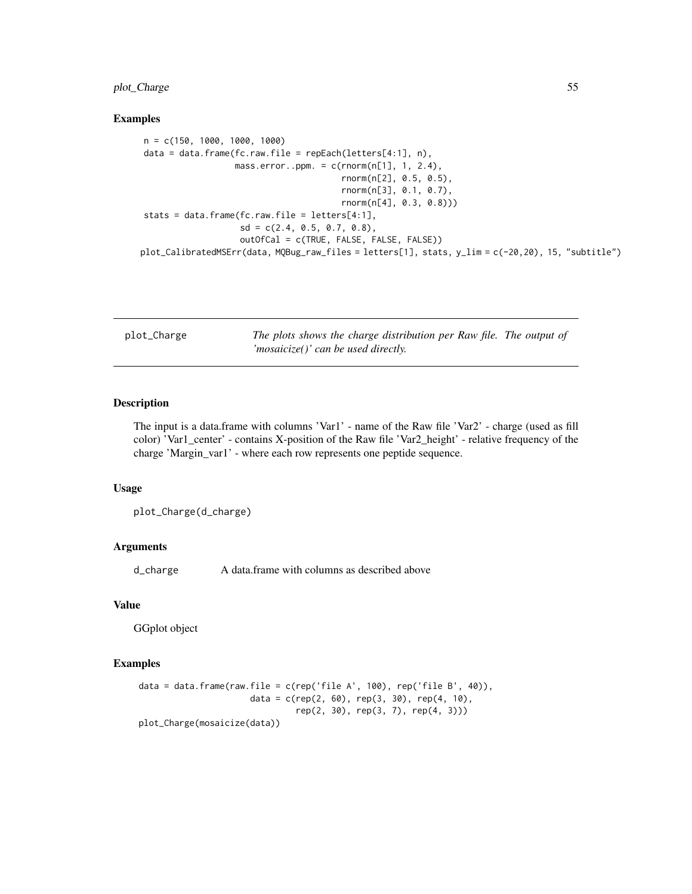## plot\_Charge 55

#### Examples

```
n = c(150, 1000, 1000, 1000)
data = data.frame(fc.raw.file = repEach(letters[4:1], n),
                  mass_error..ppm. = c(rnorm(n[1], 1, 2.4),rnorm(n[2], 0.5, 0.5),
                                        rnorm(n[3], 0.1, 0.7),
                                        rnorm(n[4], 0.3, 0.8)))
stats = data.frame(fc.raw.file = letters[4:1],
                   sd = c(2.4, 0.5, 0.7, 0.8),outOfCal = c(TRUE, FALSE, FALSE, FALSE))
plot_CalibratedMSErr(data, MQBug_raw_files = letters[1], stats, y_lim = c(-20,20), 15, "subtitle")
```

| plot_Charge | The plots shows the charge distribution per Raw file. The output of |  |
|-------------|---------------------------------------------------------------------|--|
|             | 'mosaicize()' can be used directly.                                 |  |

## Description

The input is a data.frame with columns 'Var1' - name of the Raw file 'Var2' - charge (used as fill color) 'Var1\_center' - contains X-position of the Raw file 'Var2\_height' - relative frequency of the charge 'Margin\_var1' - where each row represents one peptide sequence.

### Usage

plot\_Charge(d\_charge)

## Arguments

d\_charge A data.frame with columns as described above

#### Value

GGplot object

```
data = data.frame(raw.file = c(rep('file A', 100), rep('file B', 40)),
                      data = c(rep(2, 60), rep(3, 30), rep(4, 10),
                               rep(2, 30), rep(3, 7), rep(4, 3)))
plot_Charge(mosaicize(data))
```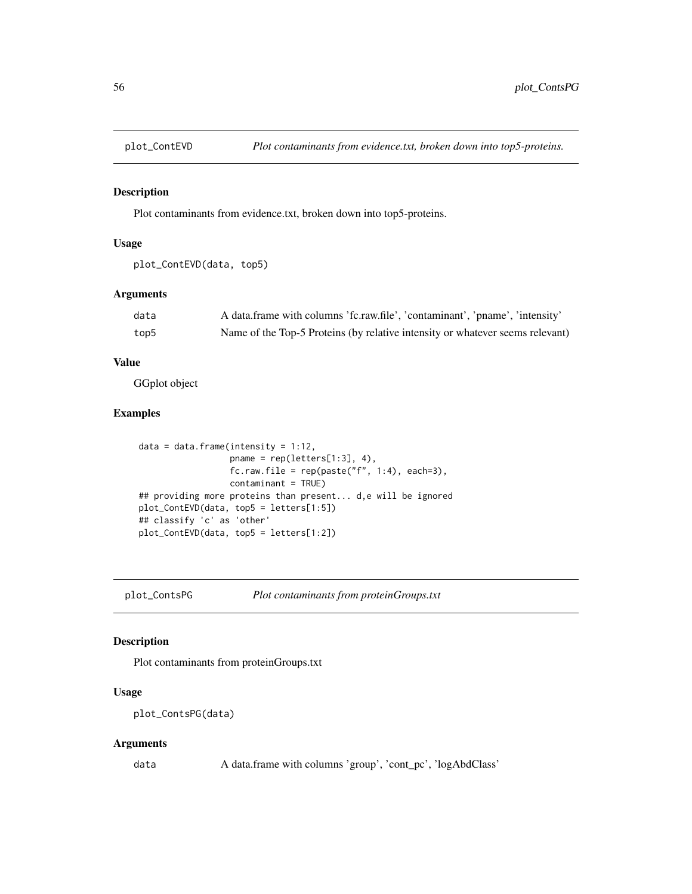Plot contaminants from evidence.txt, broken down into top5-proteins.

### Usage

```
plot_ContEVD(data, top5)
```
### Arguments

| data | A data frame with columns 'fc.raw.file', 'contaminant', 'pname', 'intensity'  |
|------|-------------------------------------------------------------------------------|
| top5 | Name of the Top-5 Proteins (by relative intensity or whatever seems relevant) |

## Value

GGplot object

## Examples

```
data = data.frame(intensity = 1:12,
                  pname = rep(letters[1:3], 4),
                  fc.raw.file = rep(paste("f", 1:4), each=3),
                  contaminant = TRUE)
## providing more proteins than present... d,e will be ignored
plot_ContEVD(data, top5 = letters[1:5])
## classify 'c' as 'other'
plot_ContEVD(data, top5 = letters[1:2])
```
plot\_ContsPG *Plot contaminants from proteinGroups.txt*

## Description

Plot contaminants from proteinGroups.txt

## Usage

plot\_ContsPG(data)

#### Arguments

data A data.frame with columns 'group', 'cont\_pc', 'logAbdClass'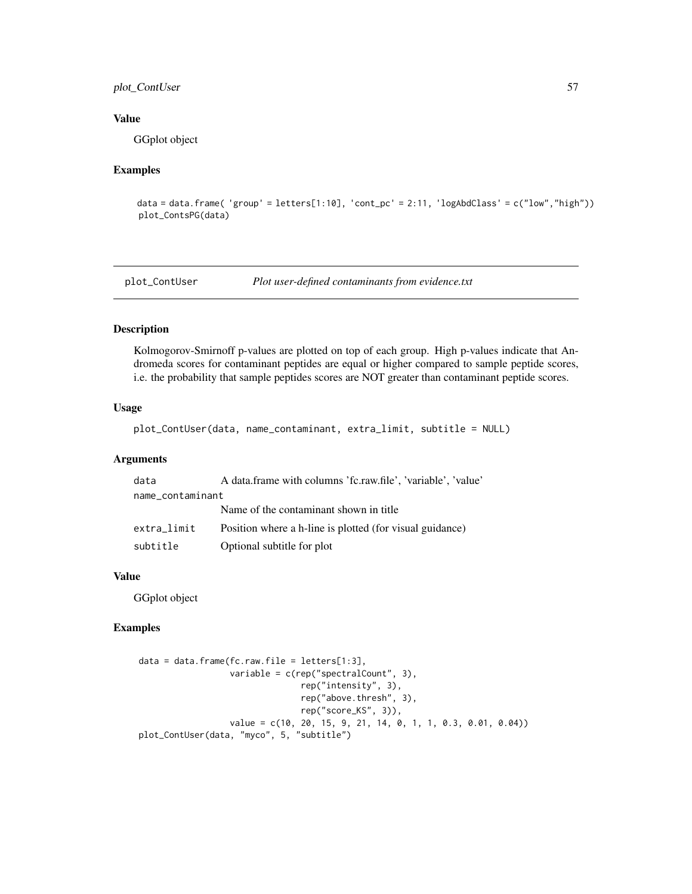## plot\_ContUser 57

### Value

GGplot object

### Examples

```
data = data.frame( 'group' = letters[1:10], 'cont_pc' = 2:11, 'logAbdClass' = c("low","high"))
plot_ContsPG(data)
```
plot\_ContUser *Plot user-defined contaminants from evidence.txt*

## Description

Kolmogorov-Smirnoff p-values are plotted on top of each group. High p-values indicate that Andromeda scores for contaminant peptides are equal or higher compared to sample peptide scores, i.e. the probability that sample peptides scores are NOT greater than contaminant peptide scores.

#### Usage

```
plot_ContUser(data, name_contaminant, extra_limit, subtitle = NULL)
```
### Arguments

| data             | A data frame with columns 'fc.raw.file', 'variable', 'value' |  |
|------------------|--------------------------------------------------------------|--|
| name contaminant |                                                              |  |
|                  | Name of the contaminant shown in title.                      |  |
| extra limit      | Position where a h-line is plotted (for visual guidance)     |  |
| subtitle         | Optional subtitle for plot                                   |  |

## Value

GGplot object

```
data = data.frame(fc.raw.file = letters[1:3],
                  variable = c(rep("spectralCount", 3),
                                rep("intensity", 3),
                                rep("above.thresh", 3),
                                rep("score_KS", 3)),
                  value = c(10, 20, 15, 9, 21, 14, 0, 1, 1, 0.3, 0.01, 0.04))
plot_ContUser(data, "myco", 5, "subtitle")
```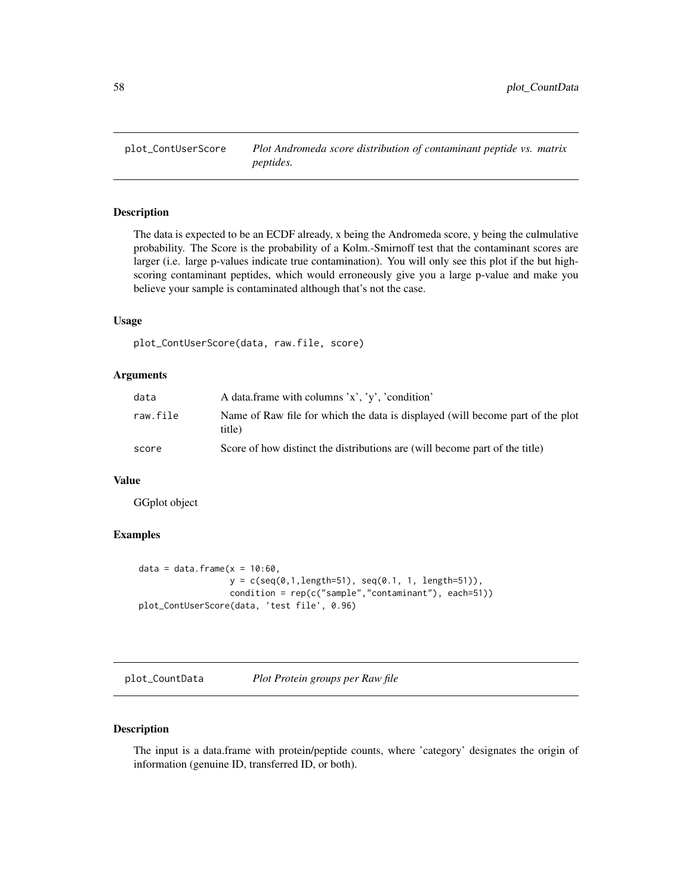The data is expected to be an ECDF already, x being the Andromeda score, y being the culmulative probability. The Score is the probability of a Kolm.-Smirnoff test that the contaminant scores are larger (i.e. large p-values indicate true contamination). You will only see this plot if the but highscoring contaminant peptides, which would erroneously give you a large p-value and make you believe your sample is contaminated although that's not the case.

### Usage

plot\_ContUserScore(data, raw.file, score)

#### **Arguments**

| data     | A data frame with columns 'x', 'y', 'condition'                                          |
|----------|------------------------------------------------------------------------------------------|
| raw.file | Name of Raw file for which the data is displayed (will become part of the plot<br>title) |
| score    | Score of how distinct the distributions are (will become part of the title)              |

### Value

GGplot object

## Examples

```
data = data.frame(x = 10:60,y = c(\text{seq}(0, 1, \text{length}=51), \text{seq}(0.1, 1, \text{length}=51)),condition = rep(c("sample", "contaminant"), each=51))plot_ContUserScore(data, 'test file', 0.96)
```
plot\_CountData *Plot Protein groups per Raw file*

### Description

The input is a data.frame with protein/peptide counts, where 'category' designates the origin of information (genuine ID, transferred ID, or both).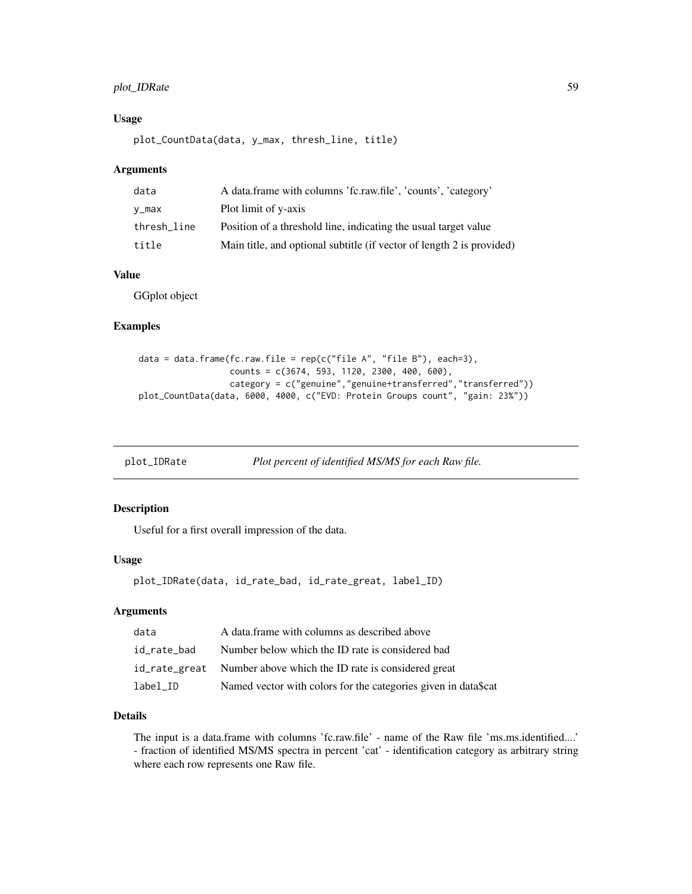## plot\_IDRate 59

### Usage

plot\_CountData(data, y\_max, thresh\_line, title)

#### Arguments

| data        | A data frame with columns 'fc.raw.file', 'counts', 'category'         |
|-------------|-----------------------------------------------------------------------|
| v_max       | Plot limit of y-axis                                                  |
| thresh line | Position of a threshold line, indicating the usual target value       |
| title       | Main title, and optional subtitle (if vector of length 2 is provided) |

## Value

GGplot object

### Examples

```
data = data.frame(fc.raw.file = rep(c("file A", "file B"), each=3),
                  counts = c(3674, 593, 1120, 2300, 400, 600),
                  category = c("genuine","genuine+transferred","transferred"))
plot_CountData(data, 6000, 4000, c("EVD: Protein Groups count", "gain: 23%"))
```
plot\_IDRate *Plot percent of identified MS/MS for each Raw file.*

## Description

Useful for a first overall impression of the data.

#### Usage

plot\_IDRate(data, id\_rate\_bad, id\_rate\_great, label\_ID)

#### Arguments

| data        | A data frame with columns as described above                     |
|-------------|------------------------------------------------------------------|
| id rate bad | Number below which the ID rate is considered bad                 |
|             | id_rate_great Number above which the ID rate is considered great |
| label_ID    | Named vector with colors for the categories given in data\$cat   |

### Details

The input is a data.frame with columns 'fc.raw.file' - name of the Raw file 'ms.ms.identified....' - fraction of identified MS/MS spectra in percent 'cat' - identification category as arbitrary string where each row represents one Raw file.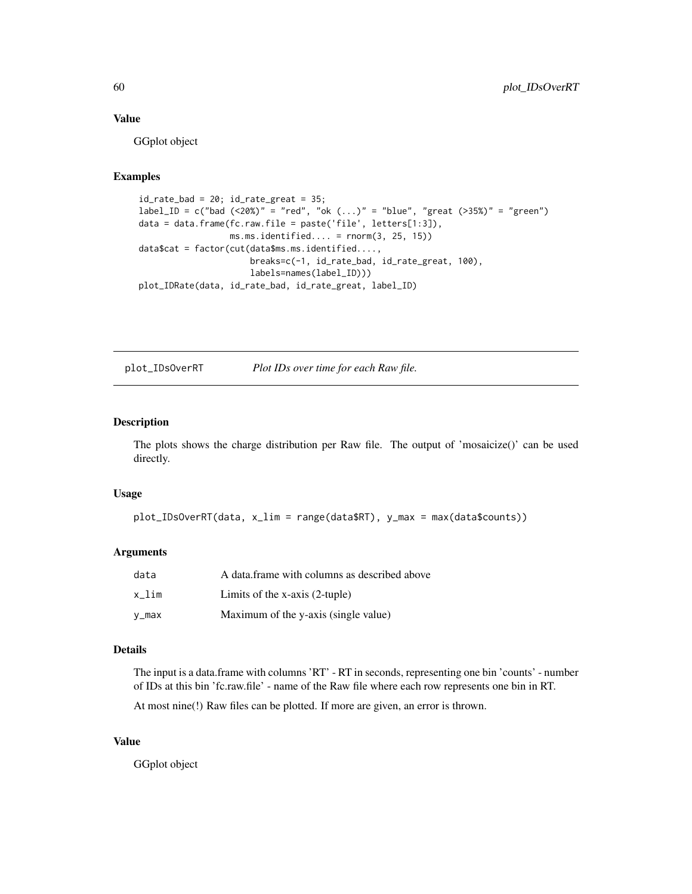### Value

GGplot object

## Examples

```
id_rate\_bad = 20; id_rate\_great = 35;label\_ID = c("bad (<20%)" = "red", "ok (...)" = "blue", "green (<i>&gt;</i>35%)" = "green")data = data.frame(fc.raw.file = paste('file', letters[1:3]),
                  ms.ms.identified.... = rnorm(3, 25, 15))
data$cat = factor(cut(data$ms.ms.identified....,
                      breaks=c(-1, id_rate_bad, id_rate_great, 100),
                      labels=names(label_ID)))
plot_IDRate(data, id_rate_bad, id_rate_great, label_ID)
```
plot\_IDsOverRT *Plot IDs over time for each Raw file.*

## Description

The plots shows the charge distribution per Raw file. The output of 'mosaicize()' can be used directly.

#### Usage

```
plot_IDsOverRT(data, x_lim = range(data$RT), y_max = max(data$counts))
```
### Arguments

| data  | A data frame with columns as described above |
|-------|----------------------------------------------|
| x lim | Limits of the $x$ -axis $(2$ -tuple)         |
| v_max | Maximum of the y-axis (single value)         |

#### Details

The input is a data.frame with columns 'RT' - RT in seconds, representing one bin 'counts' - number of IDs at this bin 'fc.raw.file' - name of the Raw file where each row represents one bin in RT.

At most nine(!) Raw files can be plotted. If more are given, an error is thrown.

### Value

GGplot object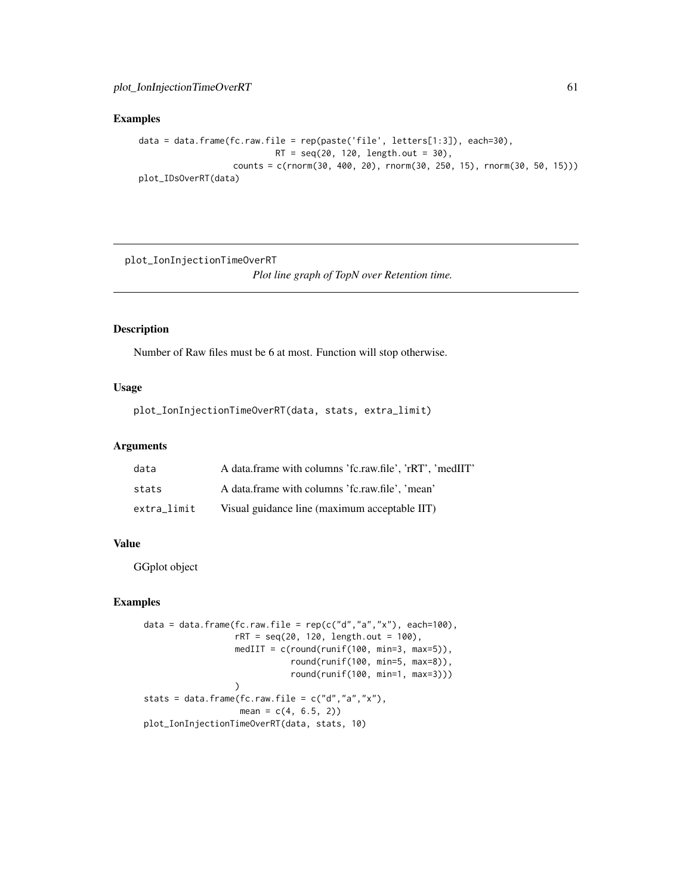## Examples

```
data = data.frame(fc.raw.file = rep(paste('file', letters[1:3]), each=30),
                           RT = seq(20, 120, length.out = 30),counts = c(rnorm(30, 400, 20), rnorm(30, 250, 15), rnorm(30, 50, 15)))
plot_IDsOverRT(data)
```
plot\_IonInjectionTimeOverRT *Plot line graph of TopN over Retention time.*

## Description

Number of Raw files must be 6 at most. Function will stop otherwise.

### Usage

plot\_IonInjectionTimeOverRT(data, stats, extra\_limit)

## Arguments

| data        | A data frame with columns 'fc.raw.file', 'rRT', 'medIIT' |
|-------------|----------------------------------------------------------|
| stats       | A data frame with columns 'fc.raw.file'. 'mean'          |
| extra limit | Visual guidance line (maximum acceptable IIT)            |

## Value

GGplot object

```
data = data.frame(fc.raw.file = rep(c("d", "a", "x"), each=100),rRT = seq(20, 120, length.out = 100),medIIT = c(round(runif(100, min=3, max=5)),round(runif(100, min=5, max=8)),
                              round(runif(100, min=1, max=3)))
                  \mathcal{L}stats = data.frame(fc.raw.file = c("d", "a", "x"),
                   mean = c(4, 6.5, 2)plot_IonInjectionTimeOverRT(data, stats, 10)
```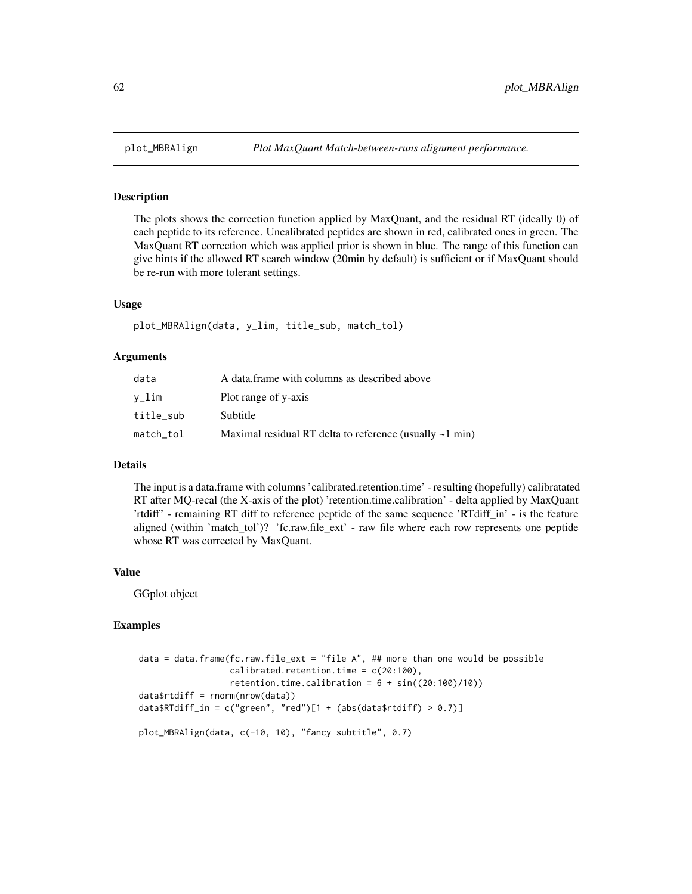The plots shows the correction function applied by MaxQuant, and the residual RT (ideally 0) of each peptide to its reference. Uncalibrated peptides are shown in red, calibrated ones in green. The MaxQuant RT correction which was applied prior is shown in blue. The range of this function can give hints if the allowed RT search window (20min by default) is sufficient or if MaxQuant should be re-run with more tolerant settings.

#### Usage

plot\_MBRAlign(data, y\_lim, title\_sub, match\_tol)

#### Arguments

| data      | A data frame with columns as described above                  |
|-----------|---------------------------------------------------------------|
| v_lim     | Plot range of y-axis                                          |
| title sub | Subtitle                                                      |
| match_tol | Maximal residual RT delta to reference (usually $\sim$ 1 min) |

### Details

The input is a data.frame with columns 'calibrated.retention.time' - resulting (hopefully) calibratated RT after MQ-recal (the X-axis of the plot) 'retention.time.calibration' - delta applied by MaxQuant 'rtdiff' - remaining RT diff to reference peptide of the same sequence 'RTdiff\_in' - is the feature aligned (within 'match\_tol')? 'fc.raw.file\_ext' - raw file where each row represents one peptide whose RT was corrected by MaxQuant.

#### Value

GGplot object

```
data = data.frame(fc.raw.file_ext = "file A", ## more than one would be possible
                  calibrated.retention.time = c(20:100),
                  retention.time.calibration = 6 + sin((20:100)/10))
data$rtdiff = rnorm(nrow(data))
data$RTdiff_in = c("green", "red")[1 + (abs(data$rtdiff) > 0.7)]
plot_MBRAlign(data, c(-10, 10), "fancy subtitle", 0.7)
```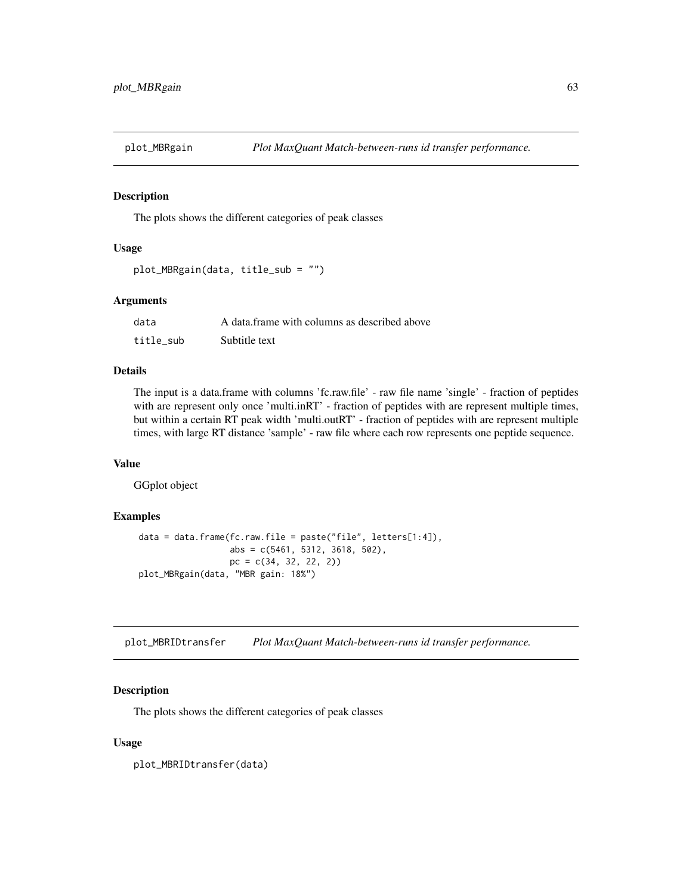The plots shows the different categories of peak classes

## Usage

```
plot_MBRgain(data, title_sub = "")
```
#### Arguments

| data      | A data frame with columns as described above |
|-----------|----------------------------------------------|
| title sub | Subtitle text                                |

## Details

The input is a data.frame with columns 'fc.raw.file' - raw file name 'single' - fraction of peptides with are represent only once 'multi.inRT' - fraction of peptides with are represent multiple times, but within a certain RT peak width 'multi.outRT' - fraction of peptides with are represent multiple times, with large RT distance 'sample' - raw file where each row represents one peptide sequence.

## Value

GGplot object

#### Examples

```
data = data.frame(fc.raw.file = paste("file", letters[1:4]),
                 abs = c(5461, 5312, 3618, 502),
                 pc = c(34, 32, 22, 2)plot_MBRgain(data, "MBR gain: 18%")
```
plot\_MBRIDtransfer *Plot MaxQuant Match-between-runs id transfer performance.*

### Description

The plots shows the different categories of peak classes

#### Usage

plot\_MBRIDtransfer(data)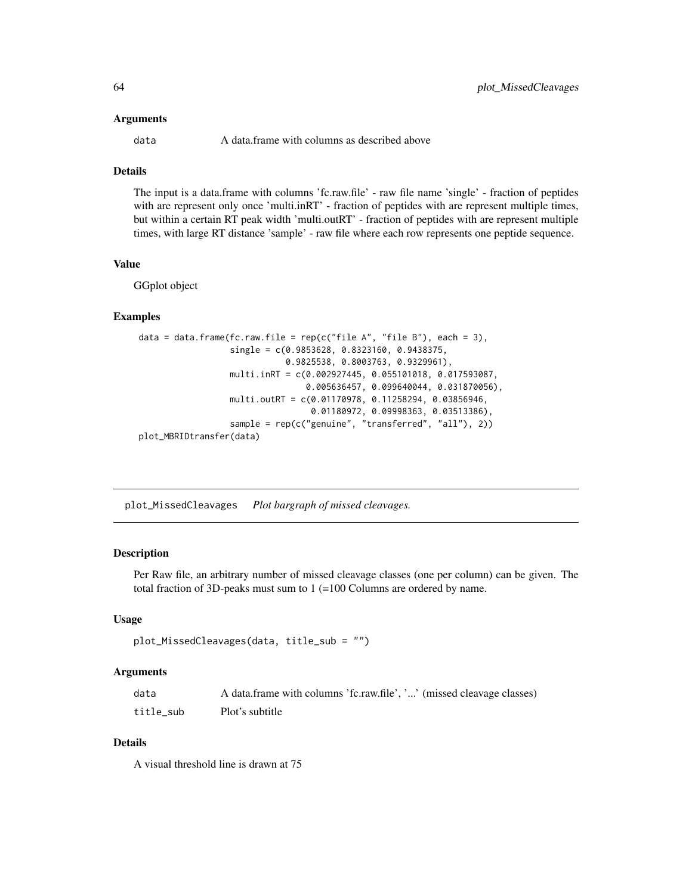#### Arguments

data A data.frame with columns as described above

## **Details**

The input is a data.frame with columns 'fc.raw.file' - raw file name 'single' - fraction of peptides with are represent only once 'multi.inRT' - fraction of peptides with are represent multiple times, but within a certain RT peak width 'multi.outRT' - fraction of peptides with are represent multiple times, with large RT distance 'sample' - raw file where each row represents one peptide sequence.

## Value

GGplot object

## Examples

```
data = data.frame(fc.raw.file = rep(c("file A", "file B"), each = 3),single = c(0.9853628, 0.8323160, 0.9438375,
                             0.9825538, 0.8003763, 0.9329961),
                  multi.inRT = c(0.002927445, 0.055101018, 0.017593087,
                                 0.005636457, 0.099640044, 0.031870056),
                  multi.outRT = c(0.01170978, 0.11258294, 0.03856946,
                                  0.01180972, 0.09998363, 0.03513386),
                  sample = rep(c("genuine", "transferred", "all"), 2))
plot_MBRIDtransfer(data)
```
plot\_MissedCleavages *Plot bargraph of missed cleavages.*

### **Description**

Per Raw file, an arbitrary number of missed cleavage classes (one per column) can be given. The total fraction of 3D-peaks must sum to 1 (=100 Columns are ordered by name.

#### Usage

```
plot_MissedCleavages(data, title_sub = "")
```
### Arguments

| data      | A data.frame with columns 'fc.raw.file', '' (missed cleavage classes) |
|-----------|-----------------------------------------------------------------------|
| title sub | Plot's subtitle                                                       |

### Details

A visual threshold line is drawn at 75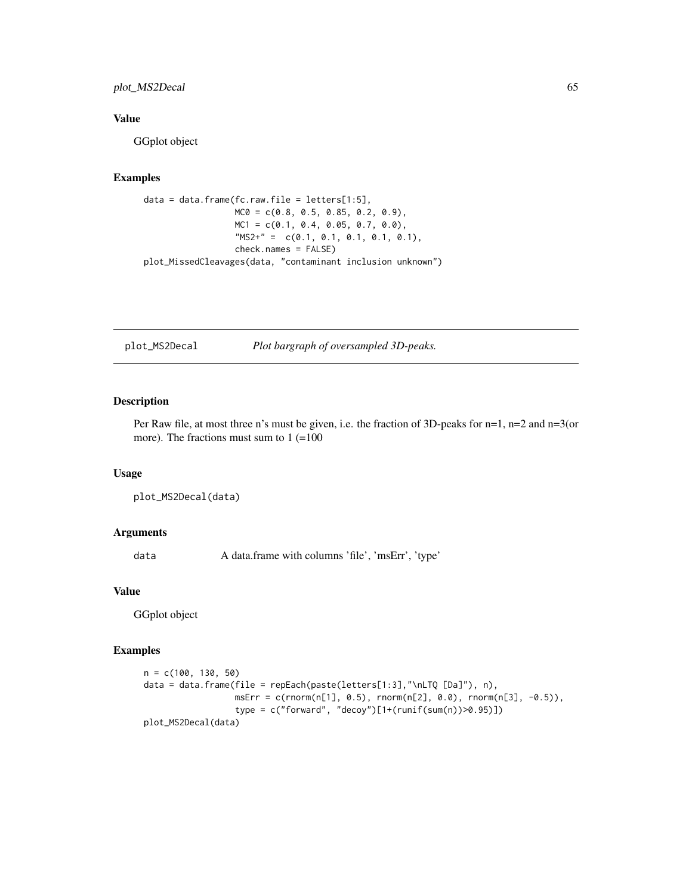## plot\_MS2Decal 65

## Value

GGplot object

### Examples

```
data = data.frame(fc.raw.file = letters[1:5],
                 MC0 = c(0.8, 0.5, 0.85, 0.2, 0.9),MC1 = c(0.1, 0.4, 0.05, 0.7, 0.0),
                  "MS2+" = c(0.1, 0.1, 0.1, 0.1, 0.1)check.names = FALSE)
plot_MissedCleavages(data, "contaminant inclusion unknown")
```
plot\_MS2Decal *Plot bargraph of oversampled 3D-peaks.*

## Description

Per Raw file, at most three n's must be given, i.e. the fraction of 3D-peaks for n=1, n=2 and n=3(or more). The fractions must sum to  $1 (=100)$ 

#### Usage

```
plot_MS2Decal(data)
```
#### Arguments

data A data.frame with columns 'file', 'msErr', 'type'

#### Value

GGplot object

```
n = c(100, 130, 50)
data = data.frame(file = repEach(paste(letters[1:3],"\nLTQ [Da]"), n),
                  msErr = c(rnorm(n[1], 0.5), rnorm(n[2], 0.0), rnorm(n[3], -0.5)),
                  type = c("forward", "decoy")[1+(runif(sum(n))>0.95)])
plot_MS2Decal(data)
```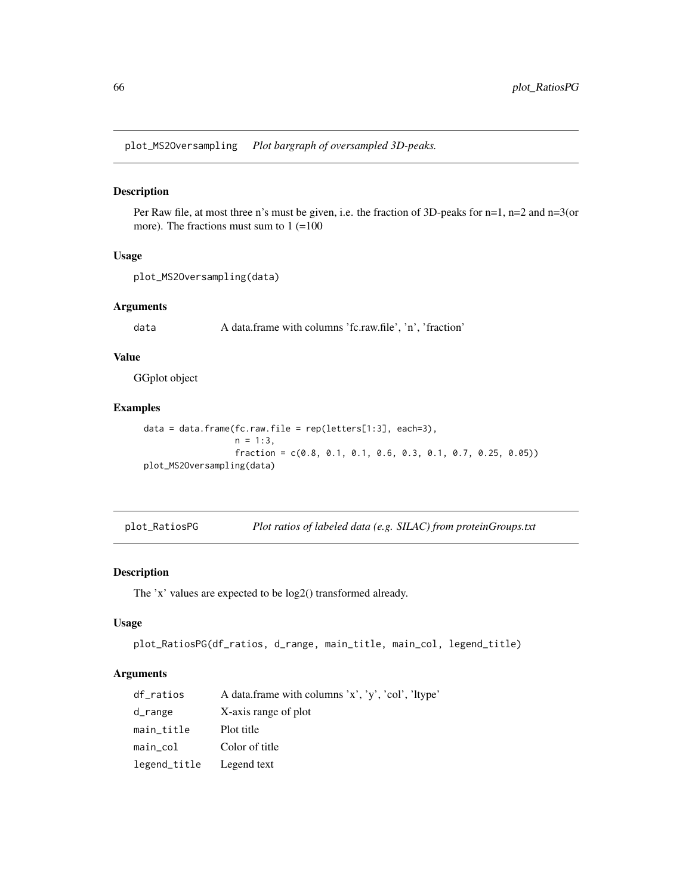plot\_MS2Oversampling *Plot bargraph of oversampled 3D-peaks.*

#### Description

Per Raw file, at most three n's must be given, i.e. the fraction of 3D-peaks for n=1, n=2 and n=3(or more). The fractions must sum to  $1 (=100)$ 

#### Usage

```
plot_MS2Oversampling(data)
```
#### Arguments

data A data.frame with columns 'fc.raw.file', 'n', 'fraction'

### Value

GGplot object

### Examples

```
data = data.frame(fc.raw.file = rep(letters[1:3], each=3),
                  n = 1:3,
                  fraction = c(0.8, 0.1, 0.1, 0.6, 0.3, 0.1, 0.7, 0.25, 0.05))
plot_MS2Oversampling(data)
```
plot\_RatiosPG *Plot ratios of labeled data (e.g. SILAC) from proteinGroups.txt*

### Description

The 'x' values are expected to be log2() transformed already.

### Usage

```
plot_RatiosPG(df_ratios, d_range, main_title, main_col, legend_title)
```
#### Arguments

| df_ratios    | A data frame with columns 'x', 'y', 'col', 'ltype' |
|--------------|----------------------------------------------------|
| d_range      | X-axis range of plot                               |
| main_title   | Plot title                                         |
| main_col     | Color of title                                     |
| legend_title | Legend text                                        |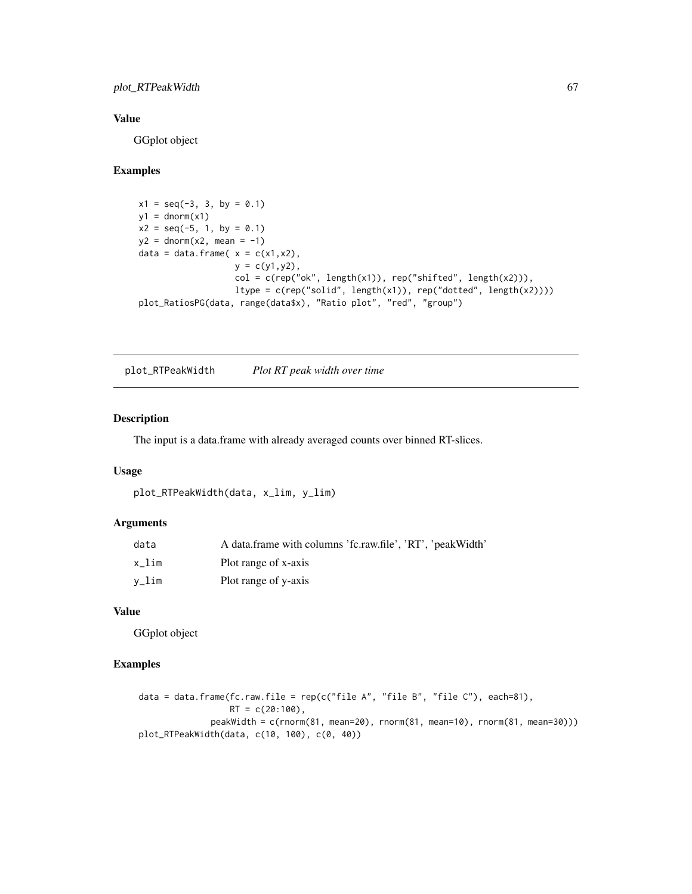## plot\_RTPeakWidth 67

## Value

GGplot object

## Examples

```
x1 = seq(-3, 3, by = 0.1)y1 = \text{dnorm}(x1)x2 = seq(-5, 1, by = 0.1)y2 = \text{dnorm}(x2, \text{ mean } = -1)data = data.frame(x = c(x1, x2),
                    y = c(y1, y2),
                    col = c(rep("ok", length(x1)), rep("shifted", length(x2))),ltype = c(rep("solid", length(x1)), rep("dotted", length(x2))))
plot_RatiosPG(data, range(data$x), "Ratio plot", "red", "group")
```
plot\_RTPeakWidth *Plot RT peak width over time*

## Description

The input is a data.frame with already averaged counts over binned RT-slices.

## Usage

```
plot_RTPeakWidth(data, x_lim, y_lim)
```
## Arguments

| data  | A data frame with columns 'fc.raw.file', 'RT', 'peakWidth' |
|-------|------------------------------------------------------------|
| x lim | Plot range of x-axis                                       |
| v_lim | Plot range of y-axis                                       |

## Value

GGplot object

```
data = data.frame(fc.raw.file = rep(c("file A", "file B", "file C"), each=81),
                  RT = c(20:100),
              peakWidth = c(rnorm(81, mean=20), rnorm(81, mean=10), rnorm(81, mean=30)))
plot_RTPeakWidth(data, c(10, 100), c(0, 40))
```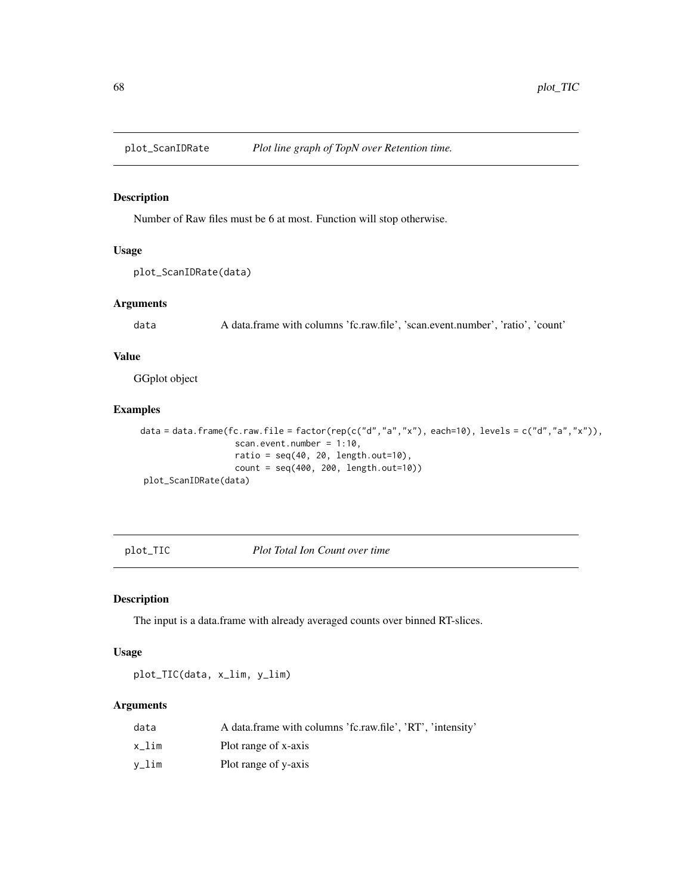Number of Raw files must be 6 at most. Function will stop otherwise.

## Usage

```
plot_ScanIDRate(data)
```
## Arguments

data A data.frame with columns 'fc.raw.file', 'scan.event.number', 'ratio', 'count'

## Value

GGplot object

## Examples

```
data = data.frame(fc.raw.file = factor(rep(c("d","a","x"), each=10), levels = c("d","a","x")),
                   scan.event.number = 1:10,
                   ratio = seq(40, 20, length.out=10),
                   count = seq(400, 200, length.out=10))
plot_ScanIDRate(data)
```
plot\_TIC *Plot Total Ion Count over time*

#### Description

The input is a data.frame with already averaged counts over binned RT-slices.

## Usage

plot\_TIC(data, x\_lim, y\_lim)

#### Arguments

| data  | A data frame with columns 'fc.raw.file', 'RT', 'intensity' |
|-------|------------------------------------------------------------|
| x lim | Plot range of x-axis                                       |
| v_lim | Plot range of y-axis                                       |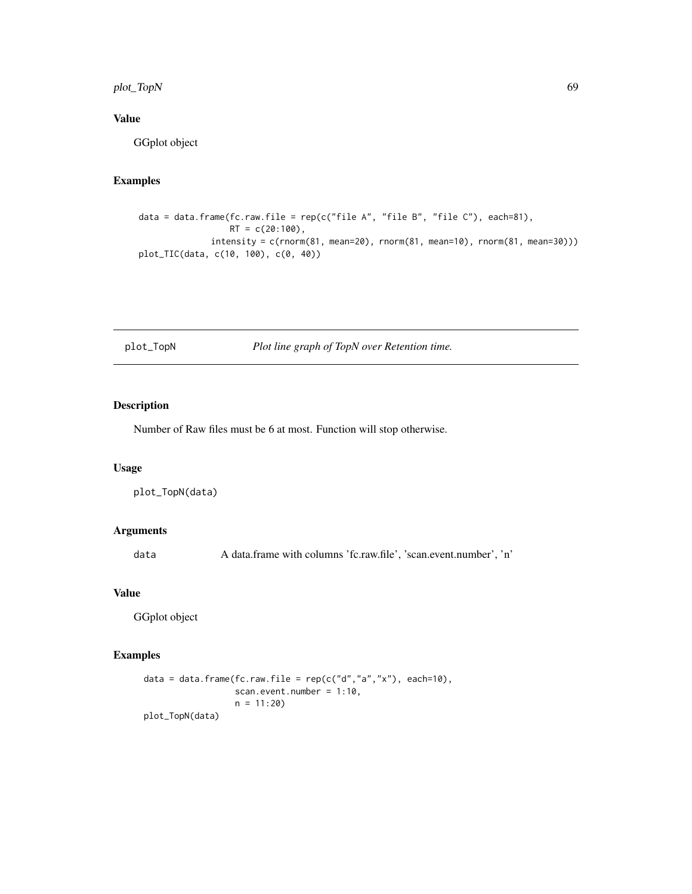## plot\_TopN 69

# Value

GGplot object

# Examples

```
data = data.frame(fc.raw.file = rep(c("file A", "file B", "file C"), each=81),
                  RT = c(20:100),
              intensity = c(rnorm(81, mean=20), rnorm(81, mean=10), rnorm(81, mean=30)))
plot_TIC(data, c(10, 100), c(0, 40))
```
# plot\_TopN *Plot line graph of TopN over Retention time.*

## Description

Number of Raw files must be 6 at most. Function will stop otherwise.

#### Usage

```
plot_TopN(data)
```
## Arguments

data A data.frame with columns 'fc.raw.file', 'scan.event.number', 'n'

### Value

GGplot object

```
data = data.frame(fc.raw.file = rep(c("d", "a", "x"), each=10),scan.event.number = 1:10,
                  n = 11:20plot_TopN(data)
```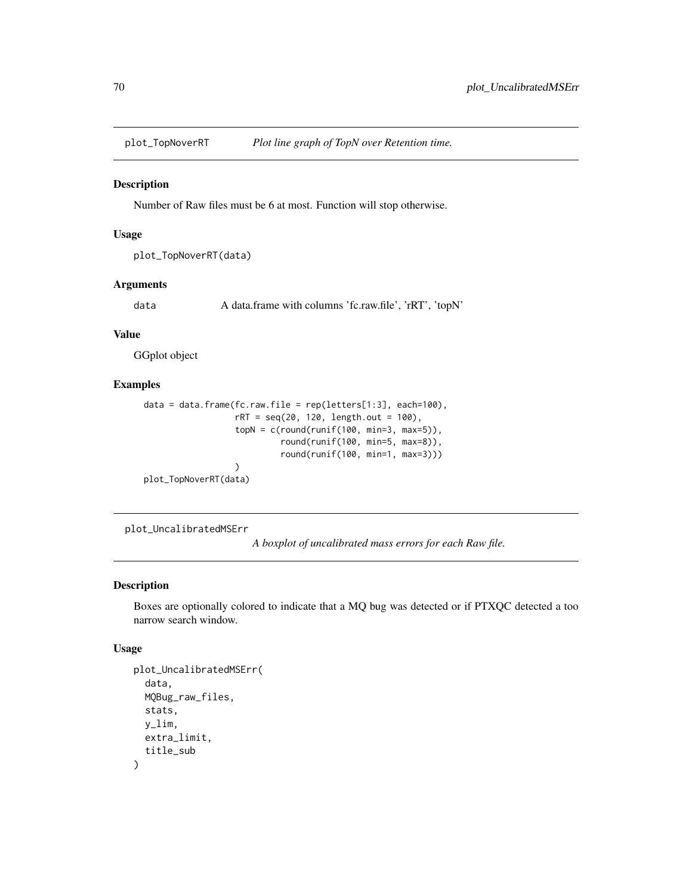Number of Raw files must be 6 at most. Function will stop otherwise.

### Usage

```
plot_TopNoverRT(data)
```
### Arguments

data A data.frame with columns 'fc.raw.file', 'rRT', 'topN'

#### Value

GGplot object

### Examples

```
data = data.frame(fc.raw.file = rep(letters[1:3], each=100),
                  rRT = seq(20, 120, length.out = 100),
                  topN = c(round(runif(100, min=3, max=5)),round(runif(100, min=5, max=8)),
                           round(runif(100, min=1, max=3)))
                  )
plot_TopNoverRT(data)
```
plot\_UncalibratedMSErr

*A boxplot of uncalibrated mass errors for each Raw file.*

## Description

Boxes are optionally colored to indicate that a MQ bug was detected or if PTXQC detected a too narrow search window.

### Usage

```
plot_UncalibratedMSErr(
  data,
 MQBug_raw_files,
  stats,
 y_lim,
 extra_limit,
  title_sub
)
```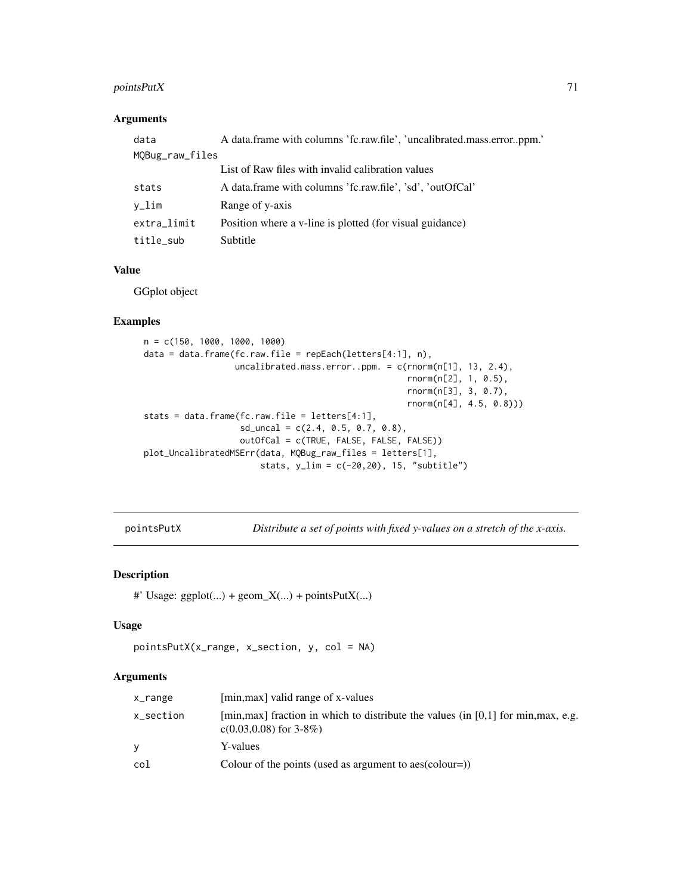## pointsPutX 71

## Arguments

| data            | A data.frame with columns 'fc.raw.file', 'uncalibrated.mass.errorppm.' |
|-----------------|------------------------------------------------------------------------|
| MQBug_raw_files |                                                                        |
|                 | List of Raw files with invalid calibration values                      |
| stats           | A data.frame with columns 'fc.raw.file', 'sd', 'outOfCal'              |
| v_lim           | Range of y-axis                                                        |
| extra_limit     | Position where a v-line is plotted (for visual guidance)               |
| title_sub       | Subtitle                                                               |

## Value

GGplot object

### Examples

```
n = c(150, 1000, 1000, 1000)
data = data.frame(fc.raw.file = repEach(letters[4:1], n),
                  uncalibrated.mass.error..ppm. = c(rnorm(n[1], 13, 2.4),
                                                    rnorm(n[2], 1, 0.5),
                                                    rnorm(n[3], 3, 0.7),
                                                    rnorm(n[4], 4.5, 0.8)))
stats = data.frame(fc.raw.file = letters[4:1],
                   sd\_uncal = c(2.4, 0.5, 0.7, 0.8),outOfCal = c(TRUE, FALSE, FALSE, FALSE))
plot_UncalibratedMSErr(data, MQBug_raw_files = letters[1],
                       stats, y_lim = c(-20,20), 15, "subtitle")
```
pointsPutX *Distribute a set of points with fixed y-values on a stretch of the x-axis.*

### Description

```
#' Usage: ggplot(...) + geom_X(...) + pointsPutX(...)
```
#### Usage

```
pointsPutX(x_range, x_section, y, col = NA)
```
### Arguments

| x_range   | [min, max] valid range of x-values                                                                                |
|-----------|-------------------------------------------------------------------------------------------------------------------|
| x_section | [min, max] fraction in which to distribute the values (in $[0,1]$ for min, max, e.g.<br>$c(0.03, 0.08)$ for 3-8%) |
| <b>Y</b>  | Y-values                                                                                                          |
| col       | Colour of the points (used as argument to aes(colour=))                                                           |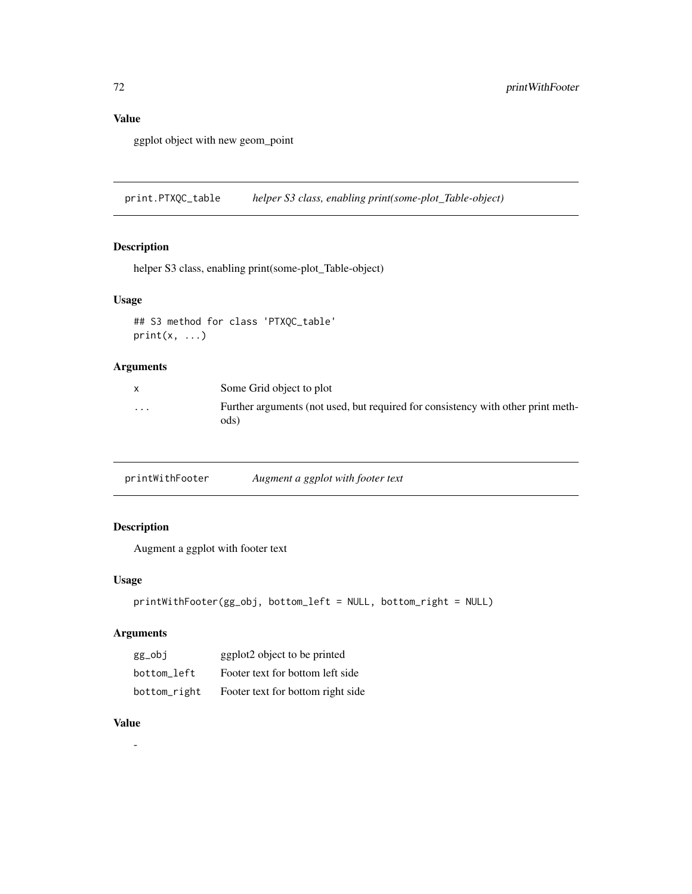# Value

ggplot object with new geom\_point

print.PTXQC\_table *helper S3 class, enabling print(some-plot\_Table-object)*

## Description

helper S3 class, enabling print(some-plot\_Table-object)

### Usage

```
## S3 method for class 'PTXQC_table'
print(x, \ldots)
```
## Arguments

|          | Some Grid object to plot                                                                 |
|----------|------------------------------------------------------------------------------------------|
| $\cdots$ | Further arguments (not used, but required for consistency with other print meth-<br>ods) |

| printWithFooter | Augment a ggplot with footer text |  |
|-----------------|-----------------------------------|--|
|-----------------|-----------------------------------|--|

## Description

Augment a ggplot with footer text

### Usage

```
printWithFooter(gg_obj, bottom_left = NULL, bottom_right = NULL)
```
# Arguments

| gg_obj       | ggplot2 object to be printed      |
|--------------|-----------------------------------|
| bottom left  | Footer text for bottom left side  |
| bottom_right | Footer text for bottom right side |

## Value

-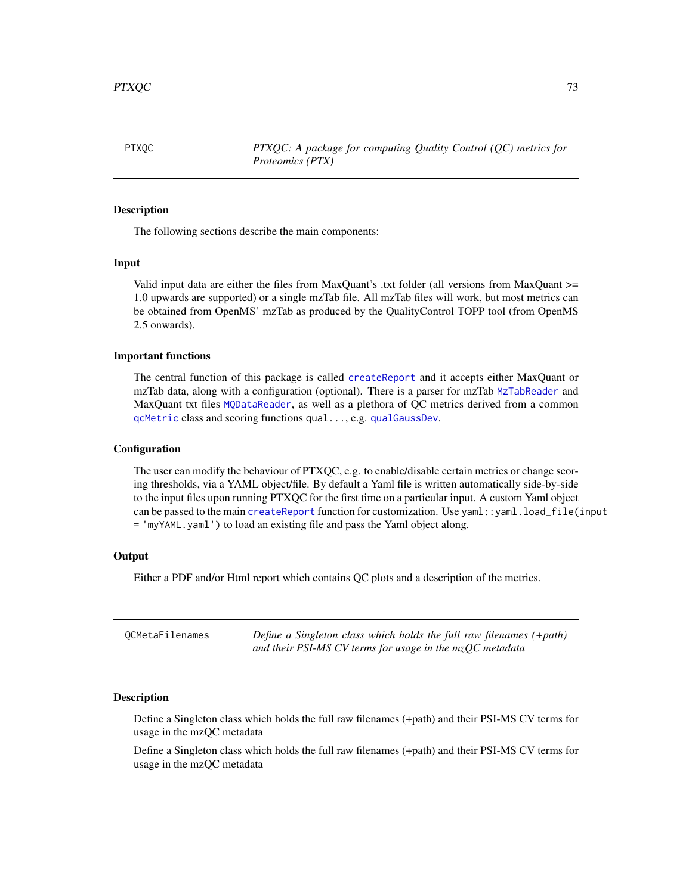<span id="page-72-0"></span>PTXQC *PTXQC: A package for computing Quality Control (QC) metrics for Proteomics (PTX)*

#### Description

The following sections describe the main components:

#### Input

Valid input data are either the files from MaxQuant's .txt folder (all versions from MaxQuant >= 1.0 upwards are supported) or a single mzTab file. All mzTab files will work, but most metrics can be obtained from OpenMS' mzTab as produced by the QualityControl TOPP tool (from OpenMS 2.5 onwards).

#### Important functions

The central function of this package is called [createReport](#page-11-0) and it accepts either MaxQuant or mzTab data, along with a configuration (optional). There is a parser for mzTab [MzTabReader](#page-47-0) and MaxQuant txt files [MQDataReader](#page-40-0), as well as a plethora of QC metrics derived from a common [qcMetric](#page-73-0) class and scoring functions qual..., e.g. [qualGaussDev](#page-76-0).

#### **Configuration**

The user can modify the behaviour of PTXQC, e.g. to enable/disable certain metrics or change scoring thresholds, via a YAML object/file. By default a Yaml file is written automatically side-by-side to the input files upon running PTXQC for the first time on a particular input. A custom Yaml object can be passed to the main [createReport](#page-11-0) function for customization. Use yaml::yaml.load\_file(input = 'myYAML.yaml') to load an existing file and pass the Yaml object along.

#### **Output**

Either a PDF and/or Html report which contains QC plots and a description of the metrics.

| OCMetaFilenames | Define a Singleton class which holds the full raw filenames $(+path)$ |
|-----------------|-----------------------------------------------------------------------|
|                 | and their PSI-MS CV terms for usage in the $mzQC$ metadata            |

#### **Description**

Define a Singleton class which holds the full raw filenames (+path) and their PSI-MS CV terms for usage in the mzQC metadata

Define a Singleton class which holds the full raw filenames (+path) and their PSI-MS CV terms for usage in the mzQC metadata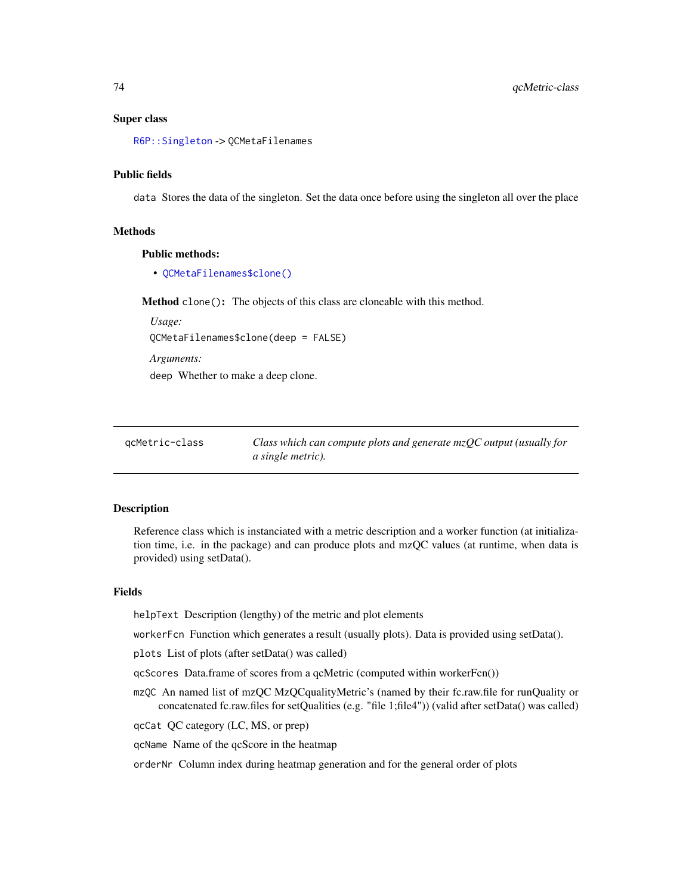#### <span id="page-73-1"></span>Super class

[R6P::Singleton](#page-0-0) -> QCMetaFilenames

#### Public fields

data Stores the data of the singleton. Set the data once before using the singleton all over the place

#### Methods

#### Public methods:

• [QCMetaFilenames\\$clone\(\)](#page-14-0)

Method clone(): The objects of this class are cloneable with this method.

*Usage:* QCMetaFilenames\$clone(deep = FALSE)

*Arguments:*

deep Whether to make a deep clone.

| acMetric-class | Class which can compute plots and generate $mzQC$ output (usually for |
|----------------|-----------------------------------------------------------------------|
|                | <i>a single metric</i> ).                                             |

#### <span id="page-73-0"></span>Description

Reference class which is instanciated with a metric description and a worker function (at initialization time, i.e. in the package) and can produce plots and mzQC values (at runtime, when data is provided) using setData().

#### Fields

helpText Description (lengthy) of the metric and plot elements

workerFcn Function which generates a result (usually plots). Data is provided using setData().

plots List of plots (after setData() was called)

qcScores Data.frame of scores from a qcMetric (computed within workerFcn())

- mzQC An named list of mzQC MzQCqualityMetric's (named by their fc.raw.file for runQuality or concatenated fc.raw.files for setQualities (e.g. "file 1;file4")) (valid after setData() was called)
- qcCat QC category (LC, MS, or prep)

qcName Name of the qcScore in the heatmap

orderNr Column index during heatmap generation and for the general order of plots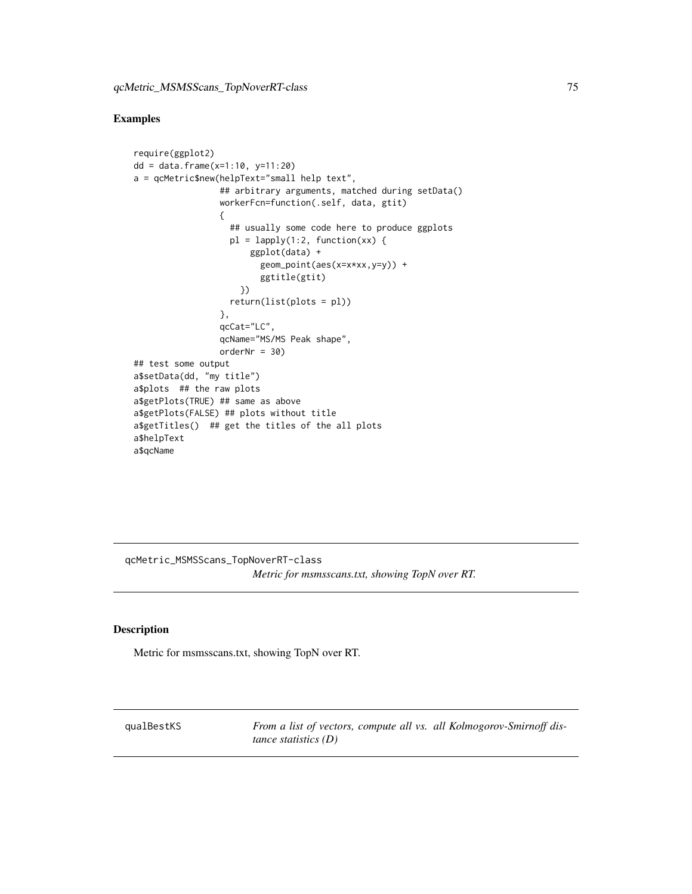#### <span id="page-74-0"></span>Examples

```
require(ggplot2)
dd = data.frame(x=1:10, y=11:20)
a = qcMetric$new(helpText="small help text",
                 ## arbitrary arguments, matched during setData()
                 workerFcn=function(.self, data, gtit)
                 {
                   ## usually some code here to produce ggplots
                   pl = \text{lapply}(1:2, function(xx) )ggplot(data) +
                         geom_point(aes(x=x*xx,y=y)) +
                         ggtitle(gtit)
                     })
                   return(list(plots = pl))
                 },
                 qcCat="LC",
                 qcName="MS/MS Peak shape",
                 orderNr = 30)
## test some output
a$setData(dd, "my title")
a$plots ## the raw plots
a$getPlots(TRUE) ## same as above
a$getPlots(FALSE) ## plots without title
a$getTitles() ## get the titles of the all plots
a$helpText
a$qcName
```
qcMetric\_MSMSScans\_TopNoverRT-class *Metric for msmsscans.txt, showing TopN over RT.*

#### Description

Metric for msmsscans.txt, showing TopN over RT.

qualBestKS *From a list of vectors, compute all vs. all Kolmogorov-Smirnoff distance statistics (D)*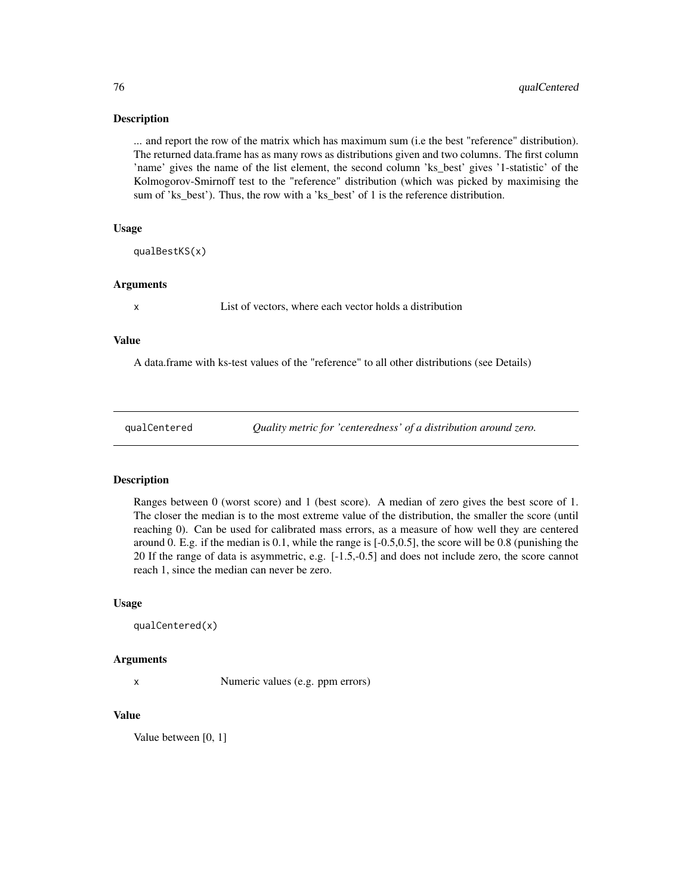... and report the row of the matrix which has maximum sum (i.e the best "reference" distribution). The returned data.frame has as many rows as distributions given and two columns. The first column 'name' gives the name of the list element, the second column 'ks\_best' gives '1-statistic' of the Kolmogorov-Smirnoff test to the "reference" distribution (which was picked by maximising the sum of 'ks\_best'). Thus, the row with a 'ks\_best' of 1 is the reference distribution.

#### Usage

qualBestKS(x)

#### Arguments

x List of vectors, where each vector holds a distribution

#### Value

A data.frame with ks-test values of the "reference" to all other distributions (see Details)

qualCentered *Quality metric for 'centeredness' of a distribution around zero.*

#### **Description**

Ranges between 0 (worst score) and 1 (best score). A median of zero gives the best score of 1. The closer the median is to the most extreme value of the distribution, the smaller the score (until reaching 0). Can be used for calibrated mass errors, as a measure of how well they are centered around 0. E.g. if the median is 0.1, while the range is [-0.5,0.5], the score will be 0.8 (punishing the 20 If the range of data is asymmetric, e.g. [-1.5,-0.5] and does not include zero, the score cannot reach 1, since the median can never be zero.

#### Usage

```
qualCentered(x)
```
#### Arguments

x Numeric values (e.g. ppm errors)

#### Value

Value between [0, 1]

<span id="page-75-0"></span>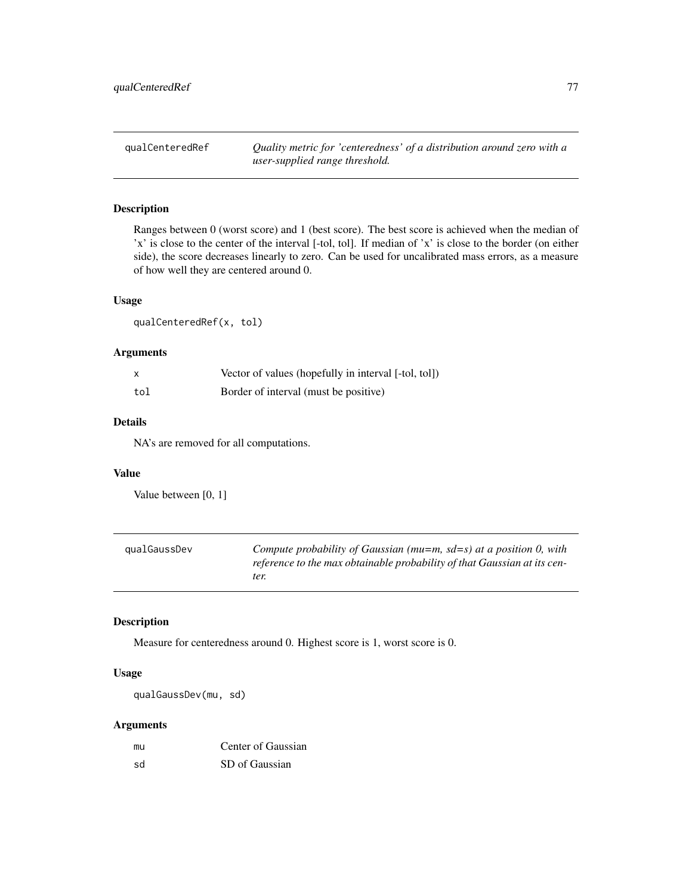<span id="page-76-1"></span>qualCenteredRef *Quality metric for 'centeredness' of a distribution around zero with a user-supplied range threshold.*

## Description

Ranges between 0 (worst score) and 1 (best score). The best score is achieved when the median of 'x' is close to the center of the interval [-tol, tol]. If median of 'x' is close to the border (on either side), the score decreases linearly to zero. Can be used for uncalibrated mass errors, as a measure of how well they are centered around 0.

#### Usage

qualCenteredRef(x, tol)

## Arguments

| x   | Vector of values (hopefully in interval [-tol, tol]) |
|-----|------------------------------------------------------|
| tol | Border of interval (must be positive)                |

#### Details

NA's are removed for all computations.

## Value

Value between [0, 1]

<span id="page-76-0"></span>

| qualGaussDev | Compute probability of Gaussian ( $mu=m$ , $sd=s$ ) at a position 0, with |
|--------------|---------------------------------------------------------------------------|
|              | reference to the max obtainable probability of that Gaussian at its cen-  |
|              | ter.                                                                      |

## Description

Measure for centeredness around 0. Highest score is 1, worst score is 0.

#### Usage

qualGaussDev(mu, sd)

#### Arguments

| mu | Center of Gaussian |
|----|--------------------|
| sd | SD of Gaussian     |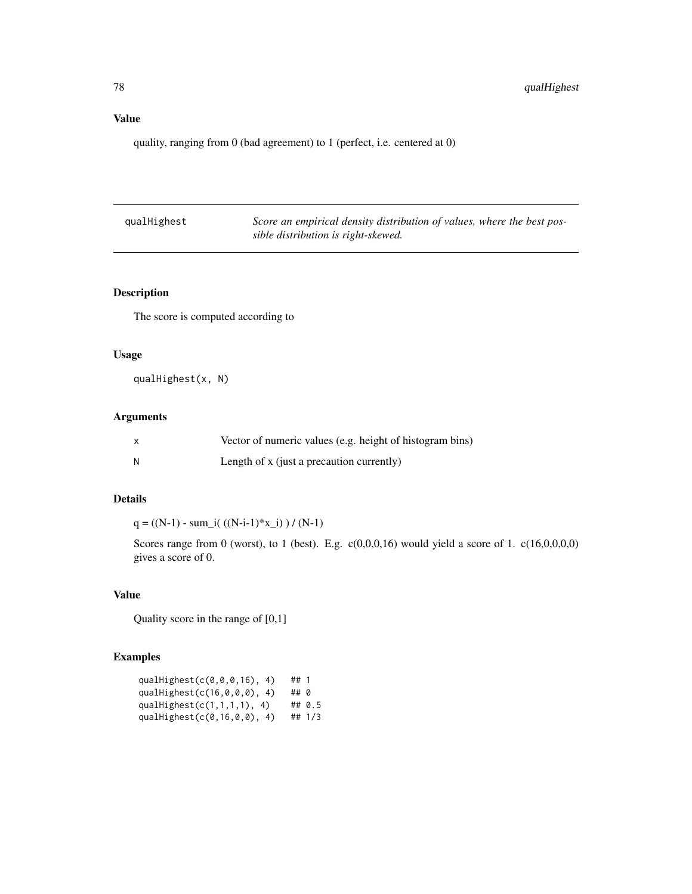## <span id="page-77-0"></span>Value

quality, ranging from 0 (bad agreement) to 1 (perfect, i.e. centered at 0)

| qualHighest | Score an empirical density distribution of values, where the best pos- |
|-------------|------------------------------------------------------------------------|
|             | sible distribution is right-skewed.                                    |

## Description

The score is computed according to

## Usage

qualHighest(x, N)

## Arguments

|     | Vector of numeric values (e.g. height of histogram bins) |
|-----|----------------------------------------------------------|
| - N | Length of x (just a precaution currently)                |

## Details

 $q = ((N-1) - sum_i)((N-i-1)*x_i)$  ) /  $(N-1)$ 

Scores range from 0 (worst), to 1 (best). E.g.  $c(0,0,0,16)$  would yield a score of 1.  $c(16,0,0,0,0)$ gives a score of 0.

## Value

Quality score in the range of [0,1]

## Examples

| qualHighest(c(0,0,0,16), 4)   | ##1  |        |
|-------------------------------|------|--------|
| qualHighest(c(16,0,0,0), 4)   | ## 0 |        |
| qualHighest $(c(1,1,1,1), 4)$ |      | ## 0.5 |
| qualHighest(c(0,16,0,0), 4)   |      | ## 1/3 |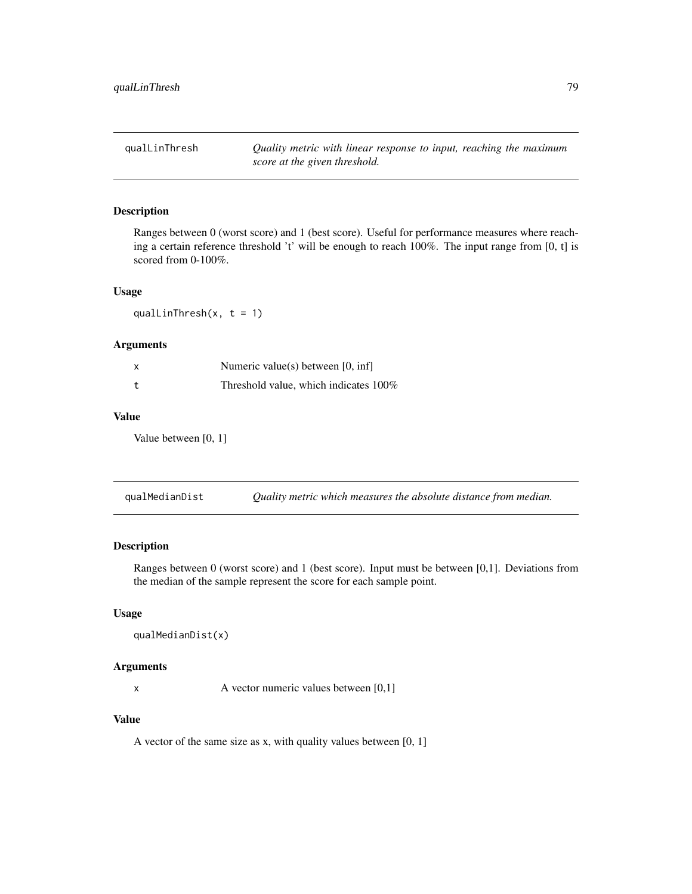<span id="page-78-0"></span>qualLinThresh *Quality metric with linear response to input, reaching the maximum score at the given threshold.*

## Description

Ranges between 0 (worst score) and 1 (best score). Useful for performance measures where reaching a certain reference threshold 't' will be enough to reach 100%. The input range from [0, t] is scored from 0-100%.

## Usage

qualLinThresh $(x, t = 1)$ 

#### Arguments

| x | Numeric value(s) between $[0, \text{inf}]$ |
|---|--------------------------------------------|
|   | Threshold value, which indicates $100\%$   |

## Value

Value between [0, 1]

qualMedianDist *Quality metric which measures the absolute distance from median.*

## Description

Ranges between 0 (worst score) and 1 (best score). Input must be between [0,1]. Deviations from the median of the sample represent the score for each sample point.

## Usage

```
qualMedianDist(x)
```
#### Arguments

x A vector numeric values between [0,1]

## Value

A vector of the same size as x, with quality values between [0, 1]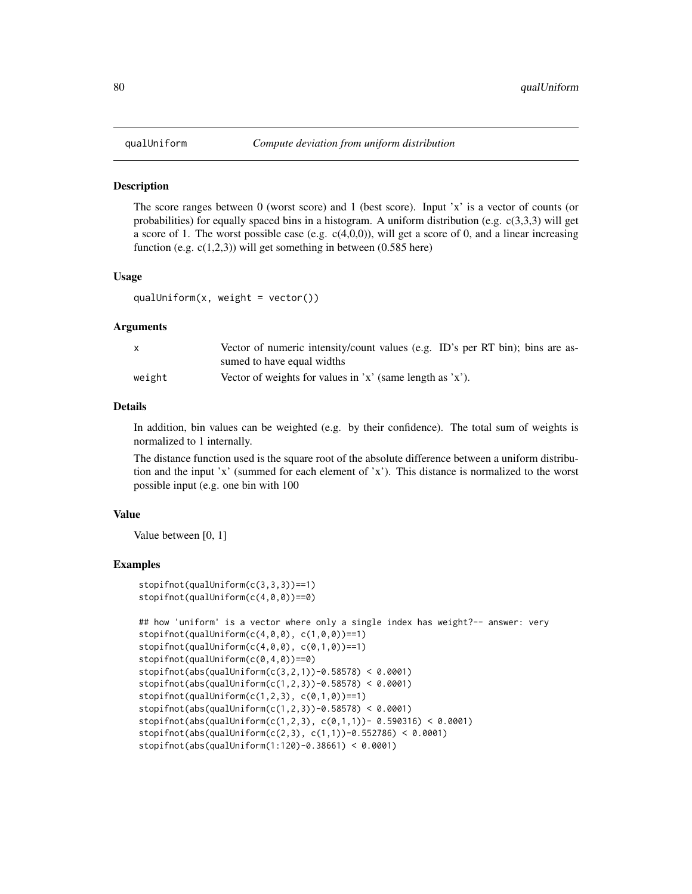<span id="page-79-0"></span>

The score ranges between 0 (worst score) and 1 (best score). Input 'x' is a vector of counts (or probabilities) for equally spaced bins in a histogram. A uniform distribution (e.g.  $c(3,3,3)$  will get a score of 1. The worst possible case (e.g.  $c(4,0,0)$ ), will get a score of 0, and a linear increasing function (e.g.  $c(1,2,3)$ ) will get something in between (0.585 here)

#### Usage

qualUniform $(x, \text{ weight} = \text{vector}()$ 

#### Arguments

|        | Vector of numeric intensity/count values (e.g. ID's per RT bin); bins are as- |
|--------|-------------------------------------------------------------------------------|
|        | sumed to have equal widths                                                    |
| weight | Vector of weights for values in 'x' (same length as 'x').                     |

#### Details

In addition, bin values can be weighted (e.g. by their confidence). The total sum of weights is normalized to 1 internally.

The distance function used is the square root of the absolute difference between a uniform distribution and the input 'x' (summed for each element of 'x'). This distance is normalized to the worst possible input (e.g. one bin with 100

#### Value

Value between [0, 1]

#### Examples

```
stopifnot(qualUniform(c(3,3,3))==1)
stopifnot(qualUniform(c(4,0,0))==0)
```

```
## how 'uniform' is a vector where only a single index has weight?-- answer: very
stopifnot(qualUniform(c(4, 0, 0), c(1, 0, 0)) == 1)stopifnot(qualUniform(c(4, 0, 0), c(0, 1, 0)) == 1)stopifnot(qualUniform(c(0,4,0))==0)
stopifnot(abs(qualUniform(c(3,2,1)) - 0.58578) < 0.0001)stopifnot(abs(qualUniform(c(1,2,3))-0.58578) < 0.0001)
stopifnot(qualUniform(c(1,2,3), c(0,1,0)) == 1)stopifnot(abs(qualUniform(c(1,2,3))-0.58578) < 0.0001)
stopifnot(abs(qualUniform(c(1,2,3), c(0,1,1))- 0.590316) < 0.0001)
stopifnot(abs(qualUniform(c(2,3), c(1,1)) - 0.552786) < 0.0001)stopifnot(abs(qualUniform(1:120)-0.38661) < 0.0001)
```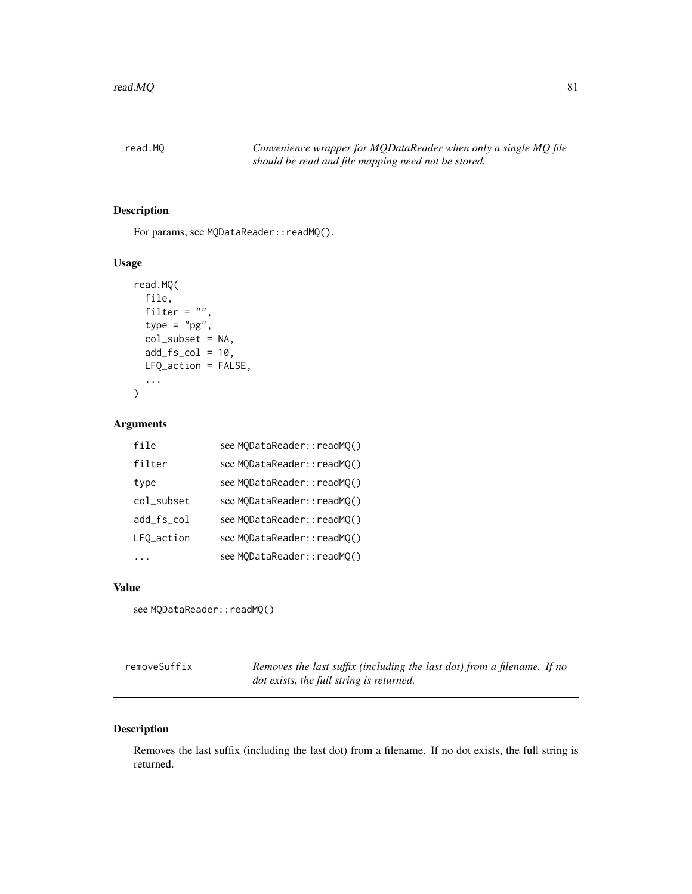<span id="page-80-0"></span>

For params, see MQDataReader::readMQ().

#### Usage

```
read.MQ(
  file,
  filter = ",
  type = "pg",
  col_subset = NA,
  add_fs\_col = 10,
 LFQ_action = FALSE,
  ...
)
```
## Arguments

| file       | see MQDataReader::readMQ() |
|------------|----------------------------|
| filter     | see MODataReader::readMO() |
| type       | see MODataReader::readMO() |
| col_subset | see MODataReader::readMO() |
| add fs col | see MQDataReader::readMQ() |
| LFQ_action | see MODataReader::readMO() |
|            | see MQDataReader::readMQ() |

#### Value

```
see MQDataReader::readMQ()
```
removeSuffix *Removes the last suffix (including the last dot) from a filename. If no dot exists, the full string is returned.*

## Description

Removes the last suffix (including the last dot) from a filename. If no dot exists, the full string is returned.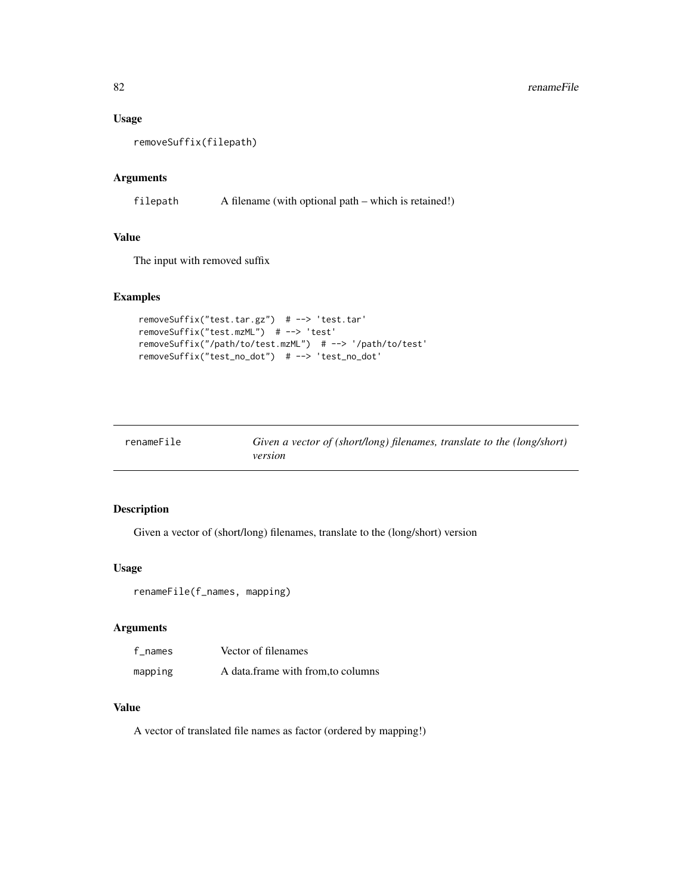#### <span id="page-81-0"></span>Usage

removeSuffix(filepath)

## Arguments

filepath A filename (with optional path – which is retained!)

## Value

The input with removed suffix

## Examples

```
removeSuffix("test.tar.gz") # --> 'test.tar'
removeSuffix("test.mzML") # --> 'test'
removeSuffix("/path/to/test.mzML") # --> '/path/to/test'
removeSuffix("test_no_dot") # --> 'test_no_dot'
```

| renameFile | Given a vector of (short/long) filenames, translate to the (long/short) |
|------------|-------------------------------------------------------------------------|
|            | version                                                                 |

## Description

Given a vector of (short/long) filenames, translate to the (long/short) version

#### Usage

```
renameFile(f_names, mapping)
```
## Arguments

| f names | Vector of filenames               |
|---------|-----------------------------------|
| mapping | A data frame with from to columns |

## Value

A vector of translated file names as factor (ordered by mapping!)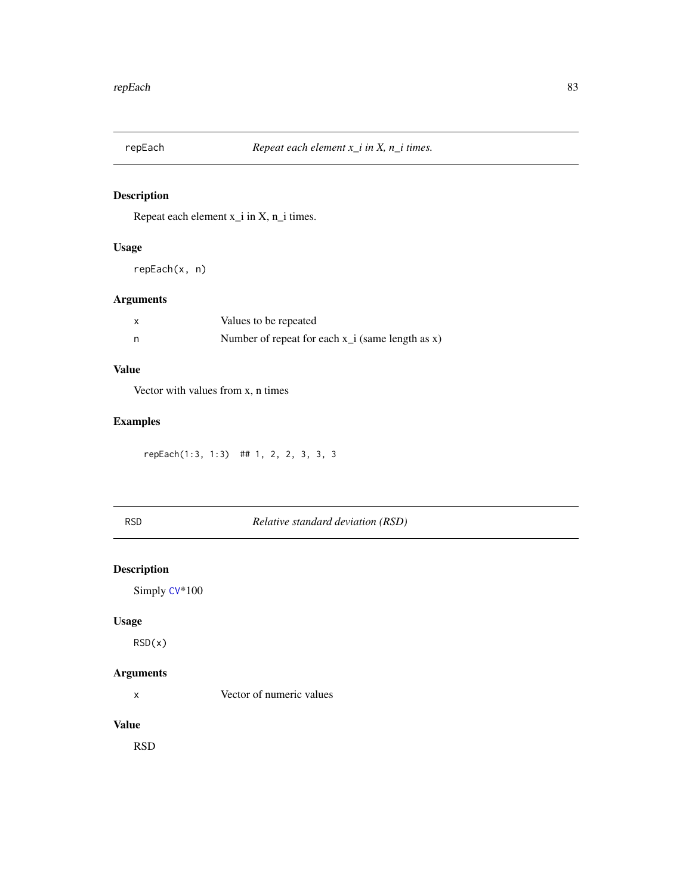<span id="page-82-0"></span>

Repeat each element x\_i in X, n\_i times.

## Usage

repEach(x, n)

## Arguments

| Values to be repeated                              |
|----------------------------------------------------|
| Number of repeat for each $x_i$ (same length as x) |

## Value

Vector with values from x, n times

## Examples

repEach(1:3, 1:3) ## 1, 2, 2, 3, 3, 3

 $Relative standard deviation (RSD)$ 

## Description

Simply [CV](#page-13-0)\*100

## Usage

RSD(x)

## Arguments

x Vector of numeric values

#### Value

RSD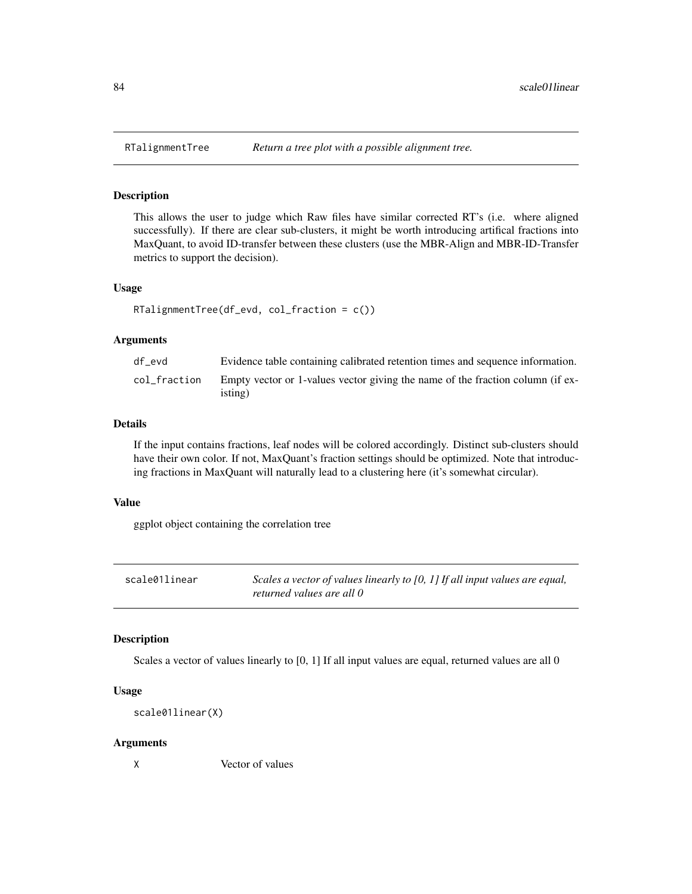This allows the user to judge which Raw files have similar corrected RT's (i.e. where aligned successfully). If there are clear sub-clusters, it might be worth introducing artifical fractions into MaxQuant, to avoid ID-transfer between these clusters (use the MBR-Align and MBR-ID-Transfer metrics to support the decision).

#### Usage

```
RTalignmentTree(df_evd, col_fraction = c())
```
#### Arguments

| df evd       | Evidence table containing calibrated retention times and sequence information.            |
|--------------|-------------------------------------------------------------------------------------------|
| col fraction | Empty vector or 1-values vector giving the name of the fraction column (if ex-<br>isting) |

#### Details

If the input contains fractions, leaf nodes will be colored accordingly. Distinct sub-clusters should have their own color. If not, MaxQuant's fraction settings should be optimized. Note that introducing fractions in MaxQuant will naturally lead to a clustering here (it's somewhat circular).

#### Value

ggplot object containing the correlation tree

scale01linear *Scales a vector of values linearly to [0, 1] If all input values are equal, returned values are all 0*

## Description

Scales a vector of values linearly to [0, 1] If all input values are equal, returned values are all 0

#### Usage

```
scale01linear(X)
```
#### Arguments

X Vector of values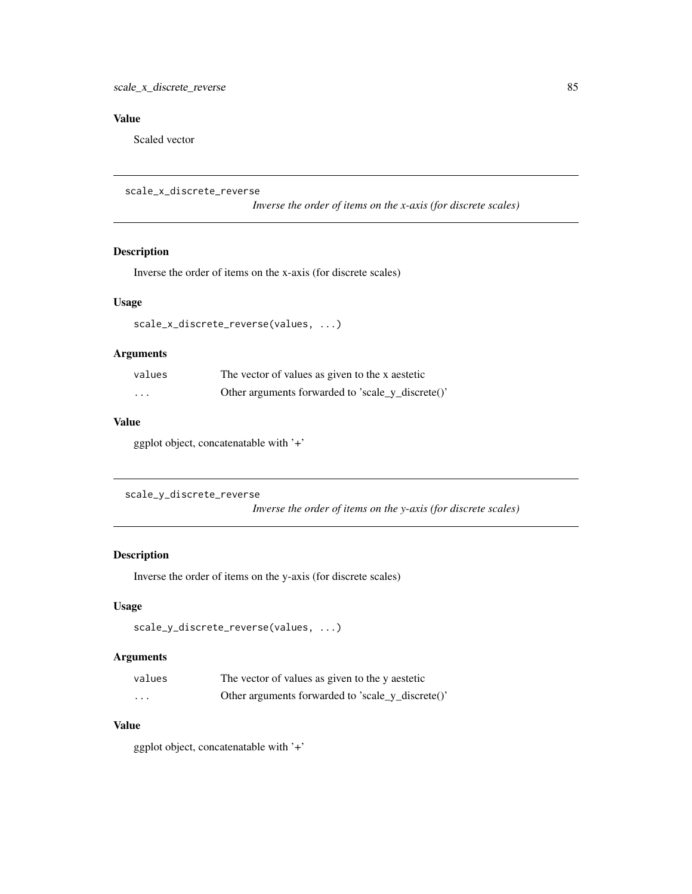## <span id="page-84-0"></span>Value

Scaled vector

```
scale_x_discrete_reverse
```
*Inverse the order of items on the x-axis (for discrete scales)*

## Description

Inverse the order of items on the x-axis (for discrete scales)

## Usage

scale\_x\_discrete\_reverse(values, ...)

## Arguments

| values  | The vector of values as given to the x aestetic   |  |  |  |  |
|---------|---------------------------------------------------|--|--|--|--|
| $\cdot$ | Other arguments forwarded to 'scale_y_discrete()' |  |  |  |  |

## Value

ggplot object, concatenatable with '+'

```
scale_y_discrete_reverse
```
*Inverse the order of items on the y-axis (for discrete scales)*

## Description

Inverse the order of items on the y-axis (for discrete scales)

## Usage

```
scale_y_discrete_reverse(values, ...)
```
## Arguments

| values                  | The vector of values as given to the y aestetic   |  |  |  |  |
|-------------------------|---------------------------------------------------|--|--|--|--|
| $\cdot$ $\cdot$ $\cdot$ | Other arguments forwarded to 'scale_y_discrete()' |  |  |  |  |

## Value

ggplot object, concatenatable with '+'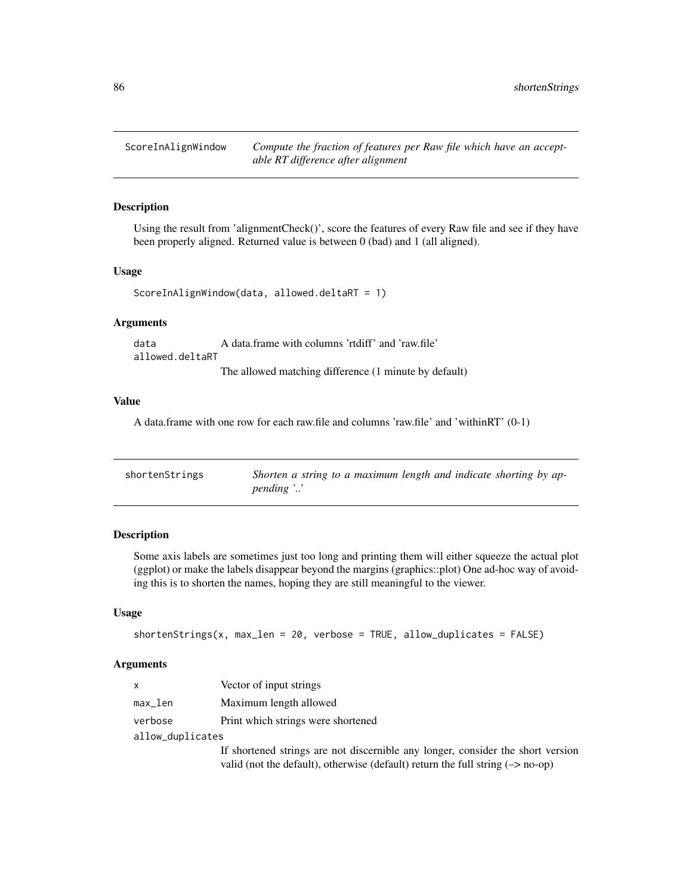<span id="page-85-0"></span>ScoreInAlignWindow *Compute the fraction of features per Raw file which have an acceptable RT difference after alignment*

## Description

Using the result from 'alignmentCheck()', score the features of every Raw file and see if they have been properly aligned. Returned value is between 0 (bad) and 1 (all aligned).

#### Usage

```
ScoreInAlignWindow(data, allowed.deltaRT = 1)
```
## Arguments

data A data.frame with columns 'rtdiff' and 'raw.file' allowed.deltaRT The allowed matching difference (1 minute by default)

#### Value

A data.frame with one row for each raw.file and columns 'raw.file' and 'withinRT' (0-1)

| shortenStrings | Shorten a string to a maximum length and indicate shorting by ap- |
|----------------|-------------------------------------------------------------------|
|                | $pending \n$                                                      |

## Description

Some axis labels are sometimes just too long and printing them will either squeeze the actual plot (ggplot) or make the labels disappear beyond the margins (graphics::plot) One ad-hoc way of avoiding this is to shorten the names, hoping they are still meaningful to the viewer.

#### Usage

```
shortenStrings(x, max_length = 20, verbose = TRUE, allow_duplicates = FALSE)
```
#### Arguments

| <b>X</b>         | Vector of input strings                                                                   |
|------------------|-------------------------------------------------------------------------------------------|
| max_len          | Maximum length allowed                                                                    |
| verbose          | Print which strings were shortened                                                        |
| allow_duplicates |                                                                                           |
|                  | If shortened strings are not discernible any longer, consider the short version           |
|                  | valid (not the default), otherwise (default) return the full string $(\rightarrow$ no-op) |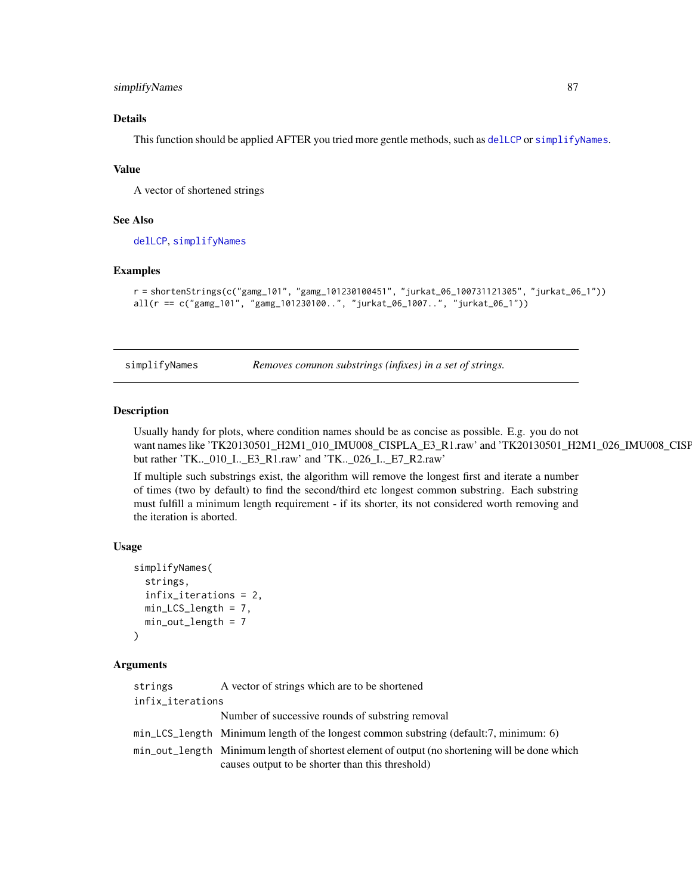## <span id="page-86-1"></span>simplifyNames 87

## Details

This function should be applied AFTER you tried more gentle methods, such as [delLCP](#page-15-0) or [simplifyNames](#page-86-0).

#### Value

A vector of shortened strings

#### See Also

[delLCP](#page-15-0), [simplifyNames](#page-86-0)

#### Examples

```
r = shortenStrings(c("gamg_101", "gamg_101230100451", "jurkat_06_100731121305", "jurkat_06_1"))
all(r == c("gamg_101", "gamg_101230100..", "jurkat_06_1007..", "jurkat_06_1"))
```
<span id="page-86-0"></span>simplifyNames *Removes common substrings (infixes) in a set of strings.*

#### Description

Usually handy for plots, where condition names should be as concise as possible. E.g. you do not want names like 'TK20130501\_H2M1\_010\_IMU008\_CISPLA\_E3\_R1.raw' and 'TK20130501\_H2M1\_026\_IMU008\_CISPLA\_E7\_R2.raw' but rather 'TK..\_010\_I..\_E3\_R1.raw' and 'TK..\_026\_I..\_E7\_R2.raw'

If multiple such substrings exist, the algorithm will remove the longest first and iterate a number of times (two by default) to find the second/third etc longest common substring. Each substring must fulfill a minimum length requirement - if its shorter, its not considered worth removing and the iteration is aborted.

## Usage

```
simplifyNames(
  strings,
  infix_iterations = 2,
  min_LCS_length = 7,
  min_out_length = 7
\lambda
```
#### Arguments

| strings          | A vector of strings which are to be shortened                                                 |
|------------------|-----------------------------------------------------------------------------------------------|
| infix_iterations |                                                                                               |
|                  | Number of successive rounds of substring removal                                              |
|                  | min_LCS_length Minimum length of the longest common substring (default:7, minimum: 6)         |
|                  | min_out_length Minimum length of shortest element of output (no shortening will be done which |
|                  | causes output to be shorter than this threshold)                                              |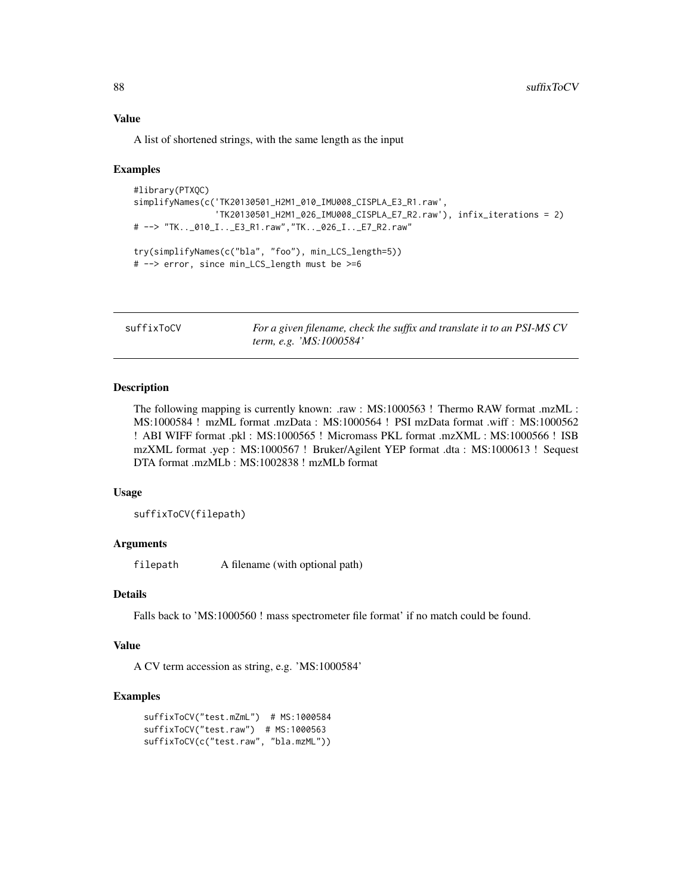### Value

A list of shortened strings, with the same length as the input

#### Examples

```
#library(PTXQC)
simplifyNames(c('TK20130501_H2M1_010_IMU008_CISPLA_E3_R1.raw',
                'TK20130501_H2M1_026_IMU008_CISPLA_E7_R2.raw'), infix_iterations = 2)
# --> "TK.._010_I.._E3_R1.raw","TK.._026_I.._E7_R2.raw"
try(simplifyNames(c("bla", "foo"), min_LCS_length=5))
# --> error, since min_LCS_length must be >=6
```
suffixToCV *For a given filename, check the suffix and translate it to an PSI-MS CV term, e.g. 'MS:1000584'*

#### Description

The following mapping is currently known: .raw : MS:1000563 ! Thermo RAW format .mzML : MS:1000584 ! mzML format .mzData : MS:1000564 ! PSI mzData format .wiff : MS:1000562 ! ABI WIFF format .pkl : MS:1000565 ! Micromass PKL format .mzXML : MS:1000566 ! ISB mzXML format .yep : MS:1000567 ! Bruker/Agilent YEP format .dta : MS:1000613 ! Sequest DTA format .mzMLb : MS:1002838 ! mzMLb format

#### Usage

suffixToCV(filepath)

#### Arguments

filepath A filename (with optional path)

## Details

Falls back to 'MS:1000560 ! mass spectrometer file format' if no match could be found.

## Value

A CV term accession as string, e.g. 'MS:1000584'

#### Examples

```
suffixToCV("test.mZmL") # MS:1000584
suffixToCV("test.raw") # MS:1000563
suffixToCV(c("test.raw", "bla.mzML"))
```
<span id="page-87-0"></span>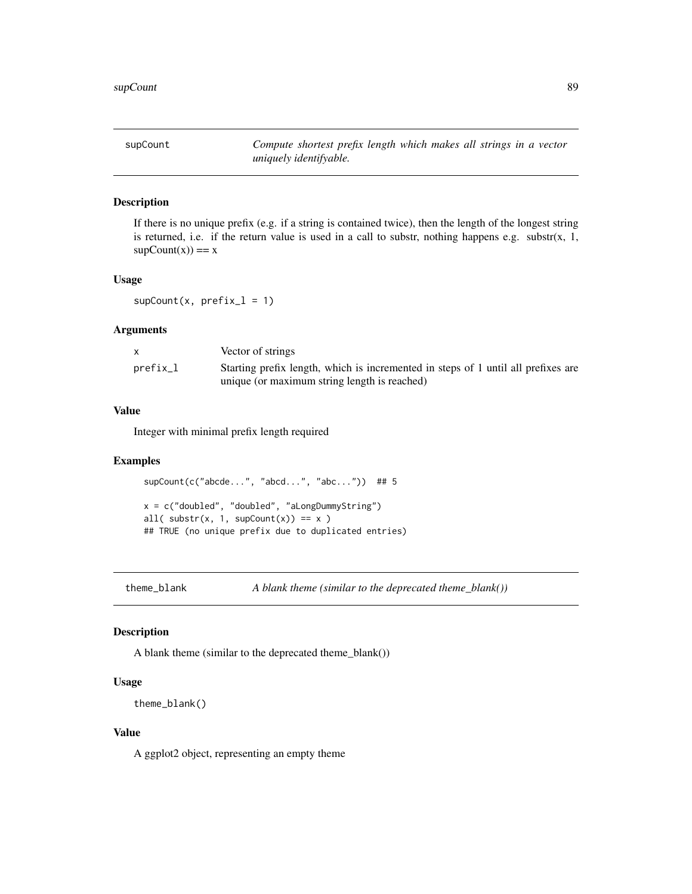<span id="page-88-0"></span>supCount *Compute shortest prefix length which makes all strings in a vector uniquely identifyable.*

#### Description

If there is no unique prefix (e.g. if a string is contained twice), then the length of the longest string is returned, i.e. if the return value is used in a call to substr, nothing happens e.g. substr $(x, 1, ...)$  $supCount(x)) == x$ 

## Usage

 $supCount(x, prefix_1 = 1)$ 

## Arguments

|          | Vector of strings                                                                                                                 |
|----------|-----------------------------------------------------------------------------------------------------------------------------------|
| prefix_l | Starting prefix length, which is incremented in steps of 1 until all prefixes are<br>unique (or maximum string length is reached) |
|          |                                                                                                                                   |

## Value

Integer with minimal prefix length required

## Examples

```
supCount(c("abcde...", "abcd...", "abc...")) ## 5
x = c("doubled", "doubled", "aLongDummyString")
all( \text{substr}(x, 1, \text{supCount}(x)) == x )
## TRUE (no unique prefix due to duplicated entries)
```
theme\_blank *A blank theme (similar to the deprecated theme\_blank())*

#### Description

A blank theme (similar to the deprecated theme\_blank())

#### Usage

```
theme_blank()
```
### Value

A ggplot2 object, representing an empty theme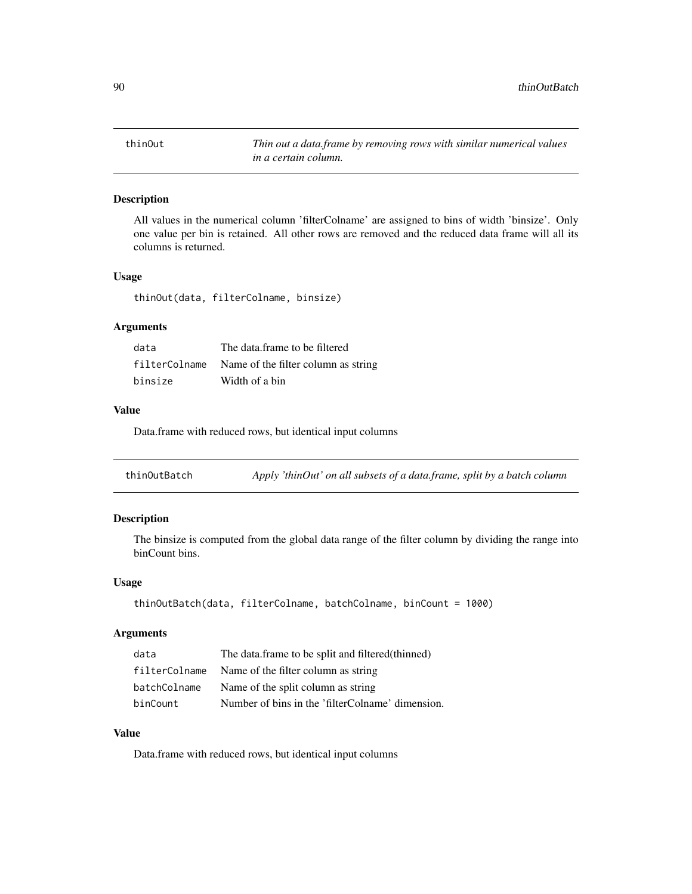<span id="page-89-0"></span>

All values in the numerical column 'filterColname' are assigned to bins of width 'binsize'. Only one value per bin is retained. All other rows are removed and the reduced data frame will all its columns is returned.

#### Usage

thinOut(data, filterColname, binsize)

#### Arguments

| data    | The data frame to be filtered                     |
|---------|---------------------------------------------------|
|         | filterColname Name of the filter column as string |
| binsize | Width of a bin                                    |

## Value

Data.frame with reduced rows, but identical input columns

| thinOutBatch |  |  | Apply 'thinOut' on all subsets of a data.frame, split by a batch column |  |
|--------------|--|--|-------------------------------------------------------------------------|--|
|              |  |  |                                                                         |  |

#### Description

The binsize is computed from the global data range of the filter column by dividing the range into binCount bins.

## Usage

```
thinOutBatch(data, filterColname, batchColname, binCount = 1000)
```
## Arguments

| data          | The data.frame to be split and filtered (thinned) |
|---------------|---------------------------------------------------|
| filterColname | Name of the filter column as string               |
| batchColname  | Name of the split column as string                |
| binCount      | Number of bins in the 'filterColname' dimension.  |

## Value

Data.frame with reduced rows, but identical input columns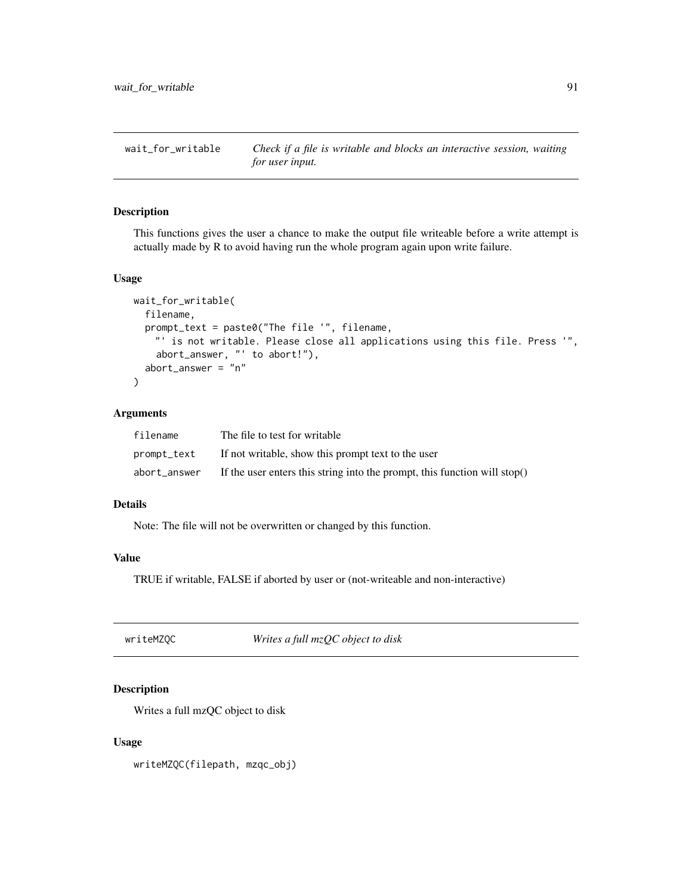<span id="page-90-0"></span>

This functions gives the user a chance to make the output file writeable before a write attempt is actually made by R to avoid having run the whole program again upon write failure.

## Usage

```
wait_for_writable(
  filename,
  prompt_text = paste0("The file '", filename,
    "' is not writable. Please close all applications using this file. Press '",
    abort_answer, "' to abort!"),
  abort_answer = "n"\lambda
```
#### Arguments

| filename     | The file to test for writable                                                |
|--------------|------------------------------------------------------------------------------|
| prompt_text  | If not writable, show this prompt text to the user                           |
| abort answer | If the user enters this string into the prompt, this function will stop $()$ |

## Details

Note: The file will not be overwritten or changed by this function.

## Value

TRUE if writable, FALSE if aborted by user or (not-writeable and non-interactive)

| writeMZQC | Writes a full mzQC object to disk |
|-----------|-----------------------------------|
|-----------|-----------------------------------|

## Description

Writes a full mzQC object to disk

#### Usage

writeMZQC(filepath, mzqc\_obj)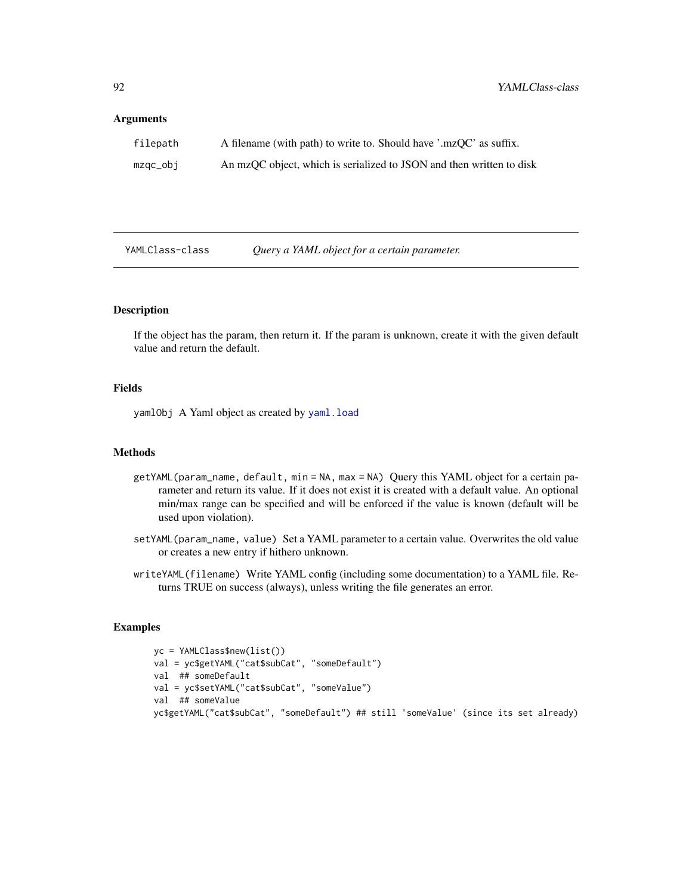#### <span id="page-91-0"></span>**Arguments**

| filepath | A filename (with path) to write to. Should have '.mzQC' as suffix.   |
|----------|----------------------------------------------------------------------|
| mzgc_obj | An mzQC object, which is serialized to JSON and then written to disk |

YAMLClass-class *Query a YAML object for a certain parameter.*

## Description

If the object has the param, then return it. If the param is unknown, create it with the given default value and return the default.

## Fields

yamlObj A Yaml object as created by [yaml.load](#page-0-0)

#### Methods

- getYAML(param\_name, default, min = NA, max = NA) Query this YAML object for a certain parameter and return its value. If it does not exist it is created with a default value. An optional min/max range can be specified and will be enforced if the value is known (default will be used upon violation).
- setYAML(param\_name, value) Set a YAML parameter to a certain value. Overwrites the old value or creates a new entry if hithero unknown.
- writeYAML(filename) Write YAML config (including some documentation) to a YAML file. Returns TRUE on success (always), unless writing the file generates an error.

## Examples

```
yc = YAMLClass$new(list())
val = yc$getYAML("cat$subCat", "someDefault")
val ## someDefault
val = yc$setYAML("cat$subCat", "someValue")
val ## someValue
yc$getYAML("cat$subCat", "someDefault") ## still 'someValue' (since its set already)
```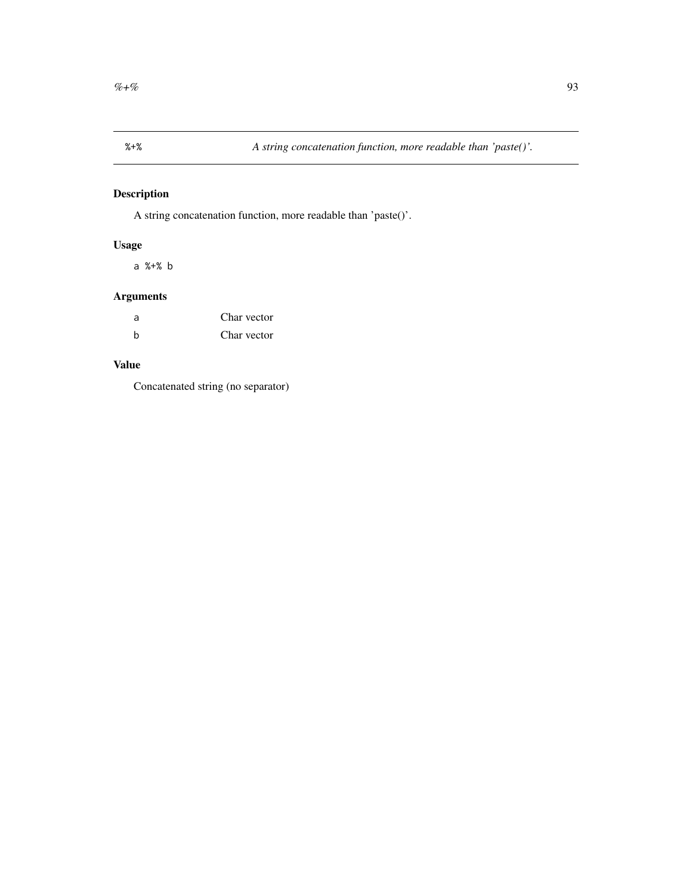<span id="page-92-0"></span>

A string concatenation function, more readable than 'paste()'.

## Usage

a %+% b

## Arguments

| a | Char vector |
|---|-------------|
| h | Char vector |

## Value

Concatenated string (no separator)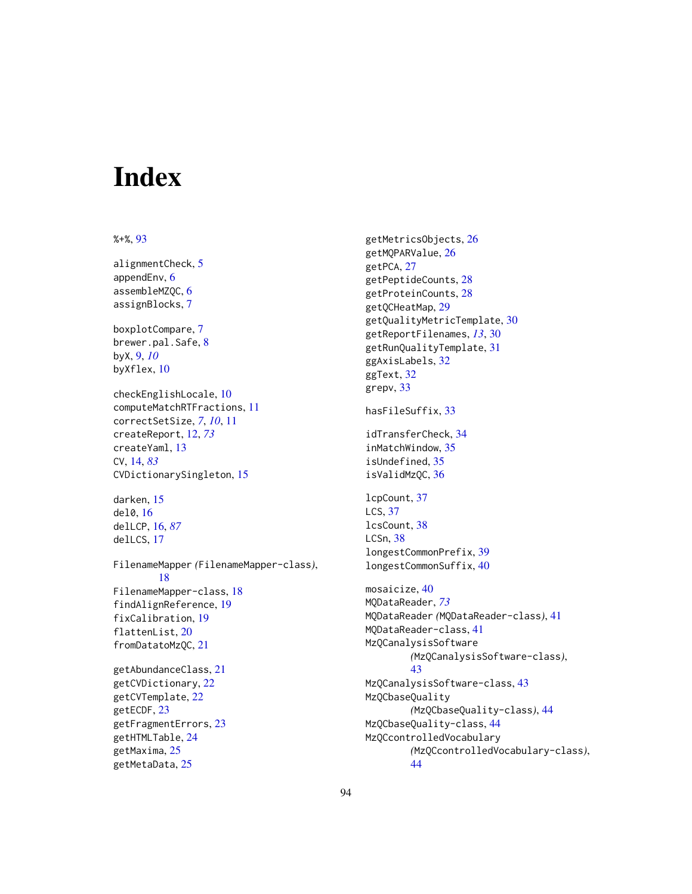# **Index**

### %+%, [93](#page-92-0)

alignmentCheck, [5](#page-4-0) appendEnv, [6](#page-5-0) assembleMZQC, [6](#page-5-0) assignBlocks, [7](#page-6-0) boxplotCompare, [7](#page-6-0) brewer.pal.Safe, [8](#page-7-0) byX, [9,](#page-8-0) *[10](#page-9-0)* byXflex, [10](#page-9-0) checkEnglishLocale, [10](#page-9-0) computeMatchRTFractions, [11](#page-10-0) correctSetSize, *[7](#page-6-0)*, *[10](#page-9-0)*, [11](#page-10-0) createReport, [12,](#page-11-1) *[73](#page-72-0)* createYaml, [13](#page-12-0) CV, [14,](#page-13-1) *[83](#page-82-0)* CVDictionarySingleton, [15](#page-14-1) darken, [15](#page-14-1) del0, [16](#page-15-1) delLCP, [16,](#page-15-1) *[87](#page-86-1)* delLCS, [17](#page-16-0) FilenameMapper *(*FilenameMapper-class*)*, [18](#page-17-0) FilenameMapper-class, [18](#page-17-0) findAlignReference, [19](#page-18-0) fixCalibration, [19](#page-18-0) flattenList, [20](#page-19-0) fromDatatoMzQC, [21](#page-20-0) getAbundanceClass, [21](#page-20-0)

getCVDictionary, [22](#page-21-0) getCVTemplate, [22](#page-21-0) getECDF, [23](#page-22-0) getFragmentErrors, [23](#page-22-0) getHTMLTable, [24](#page-23-0) getMaxima, [25](#page-24-0) getMetaData, [25](#page-24-0)

getMetricsObjects, [26](#page-25-0) getMQPARValue, [26](#page-25-0) getPCA, [27](#page-26-0) getPeptideCounts, [28](#page-27-0) getProteinCounts, [28](#page-27-0) getQCHeatMap, [29](#page-28-0) getQualityMetricTemplate, [30](#page-29-0) getReportFilenames, *[13](#page-12-0)*, [30](#page-29-0) getRunQualityTemplate, [31](#page-30-0) ggAxisLabels, [32](#page-31-0) ggText, [32](#page-31-0) grepv, [33](#page-32-0) hasFileSuffix, [33](#page-32-0) idTransferCheck, [34](#page-33-0) inMatchWindow, [35](#page-34-0) isUndefined, [35](#page-34-0) isValidMzQC, [36](#page-35-0) lcpCount, [37](#page-36-0) LCS, [37](#page-36-0) lcsCount, [38](#page-37-0) LCSn, [38](#page-37-0) longestCommonPrefix, [39](#page-38-0) longestCommonSuffix, [40](#page-39-0) mosaicize, [40](#page-39-0) MQDataReader, *[73](#page-72-0)* MQDataReader *(*MQDataReader-class*)*, [41](#page-40-1) MQDataReader-class, [41](#page-40-1) MzQCanalysisSoftware *(*MzQCanalysisSoftware-class*)*, [43](#page-42-0) MzQCanalysisSoftware-class, [43](#page-42-0) MzQCbaseQuality *(*MzQCbaseQuality-class*)*, [44](#page-43-0) MzQCbaseQuality-class, [44](#page-43-0) MzQCcontrolledVocabulary *(*MzQCcontrolledVocabulary-class*)*,

[44](#page-43-0)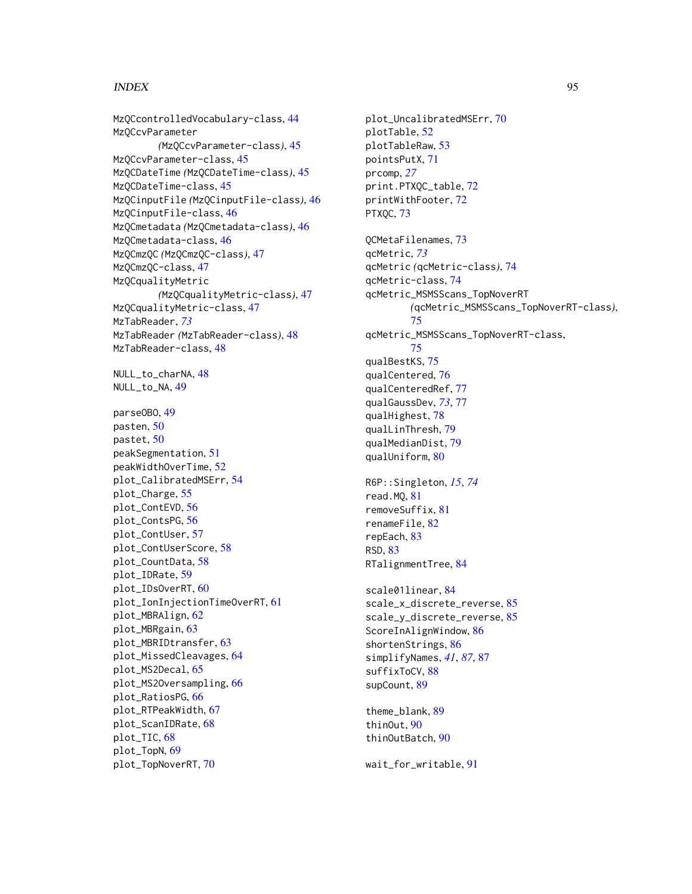#### INDEX 95

MzQCcontrolledVocabulary-class, [44](#page-43-0) MzQCcvParameter *(*MzQCcvParameter-class*)*, [45](#page-44-0) MzQCcvParameter-class, [45](#page-44-0) MzQCDateTime *(*MzQCDateTime-class*)*, [45](#page-44-0) MzQCDateTime-class, [45](#page-44-0) MzQCinputFile *(*MzQCinputFile-class*)*, [46](#page-45-0) MzQCinputFile-class, [46](#page-45-0) MzQCmetadata *(*MzQCmetadata-class*)*, [46](#page-45-0) MzQCmetadata-class, [46](#page-45-0) MzQCmzQC *(*MzQCmzQC-class*)*, [47](#page-46-0) MzQCmzQC-class, [47](#page-46-0) MzQCqualityMetric *(*MzQCqualityMetric-class*)*, [47](#page-46-0) MzQCqualityMetric-class, [47](#page-46-0) MzTabReader, *[73](#page-72-0)* MzTabReader *(*MzTabReader-class*)*, [48](#page-47-1) MzTabReader-class, [48](#page-47-1) NULL\_to\_charNA, [48](#page-47-1) NULL\_to\_NA, [49](#page-48-0) parseOBO, [49](#page-48-0) pasten, [50](#page-49-0) pastet, [50](#page-49-0) peakSegmentation, [51](#page-50-0) peakWidthOverTime, [52](#page-51-0) plot\_CalibratedMSErr, [54](#page-53-0) plot\_Charge, [55](#page-54-0) plot\_ContEVD, [56](#page-55-0) plot\_ContsPG, [56](#page-55-0) plot\_ContUser, [57](#page-56-0) plot\_ContUserScore, [58](#page-57-0) plot\_CountData, [58](#page-57-0) plot\_IDRate, [59](#page-58-0) plot\_IDsOverRT, [60](#page-59-0) plot\_IonInjectionTimeOverRT, [61](#page-60-0) plot\_MBRAlign, [62](#page-61-0) plot\_MBRgain, [63](#page-62-0) plot\_MBRIDtransfer, [63](#page-62-0) plot\_MissedCleavages, [64](#page-63-0) plot\_MS2Decal, [65](#page-64-0) plot\_MS2Oversampling, [66](#page-65-0) plot\_RatiosPG, [66](#page-65-0) plot\_RTPeakWidth, [67](#page-66-0) plot\_ScanIDRate, [68](#page-67-0) plot\_TIC, [68](#page-67-0) plot\_TopN, [69](#page-68-0) plot\_TopNoverRT, [70](#page-69-0)

plot\_UncalibratedMSErr, [70](#page-69-0) plotTable, [52](#page-51-0) plotTableRaw, [53](#page-52-0) pointsPutX, [71](#page-70-0) prcomp, *[27](#page-26-0)* print.PTXQC\_table, [72](#page-71-0) printWithFooter, [72](#page-71-0) PTXQC, [73](#page-72-0) QCMetaFilenames, [73](#page-72-0) qcMetric, *[73](#page-72-0)* qcMetric *(*qcMetric-class*)*, [74](#page-73-1) qcMetric-class, [74](#page-73-1) qcMetric\_MSMSScans\_TopNoverRT *(*qcMetric\_MSMSScans\_TopNoverRT-class*)*, [75](#page-74-0) qcMetric\_MSMSScans\_TopNoverRT-class, [75](#page-74-0) qualBestKS, [75](#page-74-0) qualCentered, [76](#page-75-0) qualCenteredRef, [77](#page-76-1) qualGaussDev, *[73](#page-72-0)*, [77](#page-76-1) qualHighest, [78](#page-77-0) qualLinThresh, [79](#page-78-0) qualMedianDist, [79](#page-78-0) qualUniform, [80](#page-79-0) R6P::Singleton, *[15](#page-14-1)*, *[74](#page-73-1)* read.MQ, [81](#page-80-0) removeSuffix, [81](#page-80-0) renameFile, [82](#page-81-0) repEach, [83](#page-82-0) RSD, [83](#page-82-0) RTalignmentTree, [84](#page-83-0) scale01linear, [84](#page-83-0) scale\_x\_discrete\_reverse, [85](#page-84-0) scale\_y\_discrete\_reverse, [85](#page-84-0) ScoreInAlignWindow, [86](#page-85-0) shortenStrings, [86](#page-85-0) simplifyNames, *[41](#page-40-1)*, *[87](#page-86-1)*, [87](#page-86-1) suffixToCV, [88](#page-87-0) supCount, [89](#page-88-0) theme\_blank, [89](#page-88-0) thinOut, [90](#page-89-0) thinOutBatch, [90](#page-89-0) wait\_for\_writable, [91](#page-90-0)